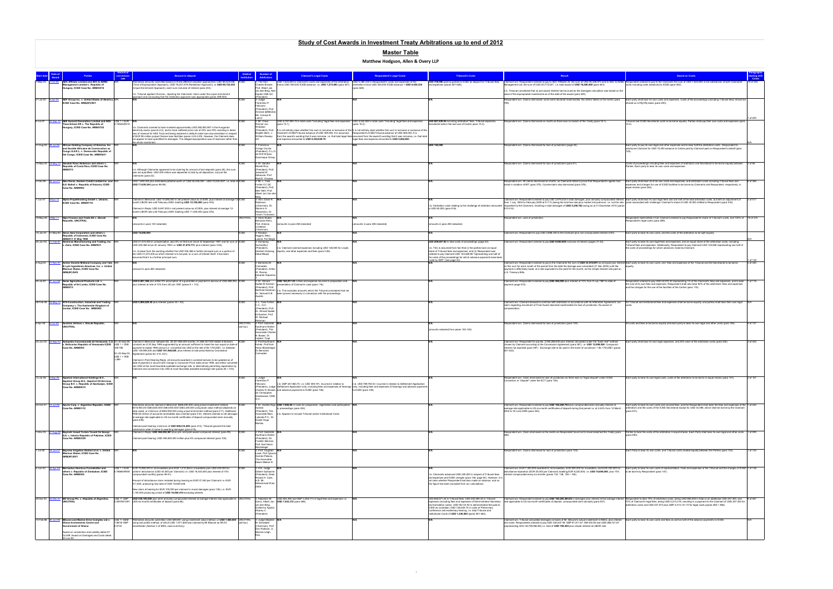|                           |                                                                                                        |                        |                                                                                                                                                                                                                                                   |                 |                                                                                                                                                                                                                                                                                                 |                                                                                                                                                       | <b>Tribunal's Costs</b>                                                                                                               |                                                                                                                                                                                                                                                                                                                                                                                                        |                                                                                                                                                                                                                                                                      |              |
|---------------------------|--------------------------------------------------------------------------------------------------------|------------------------|---------------------------------------------------------------------------------------------------------------------------------------------------------------------------------------------------------------------------------------------------|-----------------|-------------------------------------------------------------------------------------------------------------------------------------------------------------------------------------------------------------------------------------------------------------------------------------------------|-------------------------------------------------------------------------------------------------------------------------------------------------------|---------------------------------------------------------------------------------------------------------------------------------------|--------------------------------------------------------------------------------------------------------------------------------------------------------------------------------------------------------------------------------------------------------------------------------------------------------------------------------------------------------------------------------------------------------|----------------------------------------------------------------------------------------------------------------------------------------------------------------------------------------------------------------------------------------------------------------------|--------------|
|                           | ADC Affiliate Limited and ADC & ADMC                                                                   |                        | Iternative amounts submitted based on three different valuation approaches: USD 68.423.638   ICSID                                                                                                                                                |                 | USD 7,623,693 in Claimant's costs and expenses of the arbitration, USD 4,380,335 in Respondent's costs and expenses of the<br>: The Hon.                                                                                                                                                        |                                                                                                                                                       |                                                                                                                                       | USD 700,000 paid by parties to ICSID as deposit for Tribunal fees Claimant win. Respondent ordered to pay to ADC Affiliate Ltd. the sum of USD 55,426,973 and to ADC & ADMC Respondent ordered to pay to ADC & ADMC Respondent                                                                                                                                                                         |                                                                                                                                                                                                                                                                      |              |
|                           | nagement Limited v. Republic of<br>ungary, ICSID Case No. ARB/03/16                                    |                        | (Time of Expropriation Approach), USD 76.227.279 (Restitution Approach), or USD 99.722.430<br>(Uniust Enrichment Approach), each sum inclusive of interest (para 243).                                                                            |                 | minus USD 350,000 ICSID advance, i.e. USD 7,273,693 (para 527). arbitration minus USD 350,000 ICSID advance = USD 4,030,335<br><b>Charles Brower</b><br>Prof. Albert Jan                                                                                                                        | (para 528)                                                                                                                                            | and expenses (paras 527-528).                                                                                                         | inagement Ltd. the sum of USD 20.773.027. i.e. total award of USD 76.200.000 (para 543).                                                                                                                                                                                                                                                                                                               | osts including costs advanced to ICSID (para 542)                                                                                                                                                                                                                    |              |
|                           |                                                                                                        |                        | n.b. Tribunal applied Chorzow, rejecting the Claimants' claim under the unjust enrichment                                                                                                                                                         |                 | van den Berg, Nei<br>Kaplan CBE QC                                                                                                                                                                                                                                                              |                                                                                                                                                       |                                                                                                                                       | n.b. Tribunal considered that no pre-award interest had accrued as the damages calculation was based on the<br>alue of the expropriated investments as of the date of the award (para 520).                                                                                                                                                                                                            |                                                                                                                                                                                                                                                                      |              |
|                           | 21-Jul-00 9-Jan-03 ADF Group Inc. v. United States of America,                                         |                        | approach and concluding that the restitution approach was appropriate (paras 499-500).                                                                                                                                                            |                 | President                                                                                                                                                                                                                                                                                       |                                                                                                                                                       |                                                                                                                                       | espondent win. Claims dismissed: some were declared inadmissible, the others failed on the merits (para                                                                                                                                                                                                                                                                                                | Each party shall bear its own costs and expenses. Costs of the proceedings (including Tribunal fees) should be                                                                                                                                                       |              |
|                           | ICSID Case No. ARB(AF)/00/1                                                                            |                        |                                                                                                                                                                                                                                                   |                 | Florentino P.<br>Feliciano                                                                                                                                                                                                                                                                      |                                                                                                                                                       |                                                                                                                                       |                                                                                                                                                                                                                                                                                                                                                                                                        | hared on a fifty-fifty basis (para 200).                                                                                                                                                                                                                             |              |
|                           |                                                                                                        |                        |                                                                                                                                                                                                                                                   |                 | (President), Prof.<br>Armand deMestra                                                                                                                                                                                                                                                           |                                                                                                                                                       |                                                                                                                                       |                                                                                                                                                                                                                                                                                                                                                                                                        |                                                                                                                                                                                                                                                                      |              |
|                           |                                                                                                        |                        |                                                                                                                                                                                                                                                   |                 | Ms. Carolyn B.                                                                                                                                                                                                                                                                                  |                                                                                                                                                       |                                                                                                                                       |                                                                                                                                                                                                                                                                                                                                                                                                        |                                                                                                                                                                                                                                                                      |              |
| 6-Jul-07                  | 3-Sep-10 AES Summit Generation Limited and AES- US\$ 1 = EUR N/A<br>Tisza Erömü Kft v. The Republic of | 0.7492320515           |                                                                                                                                                                                                                                                   |                 | 3: Mr. Claus<br>USD 8,787,993.70 in total costs "including" legal fees and expenses USD 5,522,883 in total costs "including" legal fees and expenses<br>Werner von<br>(para 15.1)                                                                                                               | para 15.2)                                                                                                                                            | USD 887,839.04 including arbitrators' fees, Tribunal expenses,<br>cretariat admin fee and use of Centre (para 15.3).                  | espondent win. Claims dismissed on merits as there was no breach of the Treaty (para 16.1)                                                                                                                                                                                                                                                                                                             | ribunal and ICSID Secretariat costs to be borne equally. Parties shall pay their own costs and expenses (par                                                                                                                                                         |              |
|                           | Hungary, ICSID Case No. ARB/07/22                                                                      |                        | n.b. Claimants claimed to have invested approximately USD 260,800,597 in the Hungarian<br>lectricity sector (para 6.2.2), and to have suffered price cuts of 43% and 35% resulting in direct                                                      |                 | (President), Prof.                                                                                                                                                                                                                                                                              | It is not entirely clear whether this sum is inclusive or exclusive of the It is not entirely clear whether this sum is inclusive or exclusive of the |                                                                                                                                       |                                                                                                                                                                                                                                                                                                                                                                                                        |                                                                                                                                                                                                                                                                      |              |
|                           |                                                                                                        |                        | loss of revenue for AES Tisza and being declared in default under loan documentation in respect<br>of EUR 98 million project finance loan facilities (paras 4.24-4.25). However, the Claimant does                                                |                 | Claimant's ICSID/Tribunal advance of USD 459,945. It is assumed Respondent's ICSID/Tribunal advance of USD 460,000. It is<br>Brigitte Stern, J<br>William Rowley                                                                                                                                | from the award's wording that it was inclusive, i.e. that total legal fees assumed from the award's wording that it was inclusive. i.e. that total    |                                                                                                                                       |                                                                                                                                                                                                                                                                                                                                                                                                        |                                                                                                                                                                                                                                                                      |              |
|                           |                                                                                                        |                        | not appear to have quantified its damages. The alleged expropriation was of revenues rather than<br>the whole investment.                                                                                                                         |                 | dexpense amounted to USD 8,328,048.70.                                                                                                                                                                                                                                                          | legal fees and expense amounted to USD 5,062,883.                                                                                                     |                                                                                                                                       |                                                                                                                                                                                                                                                                                                                                                                                                        |                                                                                                                                                                                                                                                                      |              |
| 31-Aug-05 29-Jul-08       | African Holding Company of America, Inc.<br>nd Société Africaine de Construction au                    |                        |                                                                                                                                                                                                                                                   |                 | : Francisco<br>Orrego Vicuña                                                                                                                                                                                                                                                                    |                                                                                                                                                       | USD 140,000                                                                                                                           | spondent win. Claims dismissed for lack of jurisdiction (page 44)                                                                                                                                                                                                                                                                                                                                      | Each party to pay its own legal and other expenses and to bear half the arbitration costs. Respondent<br>mburse Claimant for USD 70,000 advance to Centre paid by Claimant paid on Respondent's behalf (para                                                         |              |
|                           | Congo S.A.R.L. v. Democratic Republic of<br>the Congo, ICSID Case No. ARB/05/21                        |                        |                                                                                                                                                                                                                                                   |                 | President), O.L.O.<br>de Witt Wiinen.                                                                                                                                                                                                                                                           |                                                                                                                                                       |                                                                                                                                       |                                                                                                                                                                                                                                                                                                                                                                                                        |                                                                                                                                                                                                                                                                      |              |
|                           |                                                                                                        |                        |                                                                                                                                                                                                                                                   |                 | Dominique Grisav                                                                                                                                                                                                                                                                                |                                                                                                                                                       |                                                                                                                                       |                                                                                                                                                                                                                                                                                                                                                                                                        |                                                                                                                                                                                                                                                                      |              |
|                           | 10-May-04 19-May-10 Alasdair Ross Anderson and others v.<br>Republic of Costa Rica, ICSID Case No.     |                        |                                                                                                                                                                                                                                                   |                 | 3: Dr. Sandra<br>Morelli Rico                                                                                                                                                                                                                                                                   |                                                                                                                                                       |                                                                                                                                       | pondent win. Claims dismissed for lack of jurisdiction (para 61).                                                                                                                                                                                                                                                                                                                                      | Costs of proceedings including fees and expenses of arbitrators and Secretariat to be borne equally between<br>Parties. Each party to bear its own costs and expenses.                                                                                               |              |
|                           | B/07/3                                                                                                 |                        | n.b. Although Claimants appeared to be claiming for amount of lost deposits (para 28), this sum<br>was not quantified. USD 405 million was deposited in total by all depositors, not just the                                                     |                 | (President), Prof<br>Jeswald W.                                                                                                                                                                                                                                                                 |                                                                                                                                                       |                                                                                                                                       |                                                                                                                                                                                                                                                                                                                                                                                                        |                                                                                                                                                                                                                                                                      |              |
|                           |                                                                                                        |                        | Claimants (para 22).                                                                                                                                                                                                                              |                 | Salacuse, Prof.                                                                                                                                                                                                                                                                                 |                                                                                                                                                       |                                                                                                                                       |                                                                                                                                                                                                                                                                                                                                                                                                        |                                                                                                                                                                                                                                                                      |              |
| 2-Feb-99                  | Alex Genin, Eastern Credit Limited Inc. and<br>A.S. Baltoil v. Republic of Estonia, ICSID              |                        | USD 1,639,344 plus estimated potential worth of "USD 50,000,000 - USD 70,000,000", i.e. total of ICSID<br>USD 71,639,344 (paras 98-99).                                                                                                           |                 | laúl E. Vinuesa<br>3 <sup>-</sup> Mr. L. Yves<br>Fortier CC QC                                                                                                                                                                                                                                  |                                                                                                                                                       |                                                                                                                                       | pondent win. All claims dismissed on merits, as Claimants failed to prove that Respondent's agents had<br>acted in violation of BIT (para 375). Counterclaim also dismissed (para 378).                                                                                                                                                                                                                | Each party shall bear all of its own costs and expenses, and arbitration costs including Tribunal fees and<br>expenses and charges for use of ICSID facilities to be borne by Claimants and Respondent. respectively. in                                             |              |
|                           | Case No. ARB/99/2                                                                                      |                        |                                                                                                                                                                                                                                                   |                 | (President), Prof                                                                                                                                                                                                                                                                               |                                                                                                                                                       |                                                                                                                                       |                                                                                                                                                                                                                                                                                                                                                                                                        | equal shares (para 383).                                                                                                                                                                                                                                             |              |
|                           |                                                                                                        |                        |                                                                                                                                                                                                                                                   |                 | Meir Heth, Prof.<br>Albert Jan Van de                                                                                                                                                                                                                                                           |                                                                                                                                                       |                                                                                                                                       |                                                                                                                                                                                                                                                                                                                                                                                                        |                                                                                                                                                                                                                                                                      |              |
|                           | 1-Jun-07 8-Nov-10 Alpha Projektholding GmbH v. Ukraine,                                                |                        | Ilaimed in Memorial: USD 10,085,000 in net present value as of 2004, plus interest at average 12 ICSID                                                                                                                                            |                 | 3: Hon. Davis R.                                                                                                                                                                                                                                                                                |                                                                                                                                                       |                                                                                                                                       |                                                                                                                                                                                                                                                                                                                                                                                                        | Claimant win. Respondent ordered to pay USD 2,979,232 in total damages, plus annually compounded interest Each party shall bear its own legal fees and one half of the total arbitration costs, but with an adjustment of                                            | 2 of 517     |
|                           | CSID Case No. ARB/07/1                                                                                 |                        | onth LIBOR rate until February 2009, totalling USD 12,100,000 (para 476                                                                                                                                                                           |                 | tobinson<br>(Chairman), Dr.                                                                                                                                                                                                                                                                     |                                                                                                                                                       |                                                                                                                                       | from 1 July 2004 to February 2009 at 9.11% (being the risk-free rate plus market risk premium, i.e. not the rate costs associated with challenge: Claimant's share of USD 30,000 shifted to Respondent (para 516)<br>b. Arbitration costs relating to the challenge of arbitrator amounted requested by the Claimant), resulting in total damages of USD 5,250,782 owing as at 31 December 2010 (paras |                                                                                                                                                                                                                                                                      |              |
|                           |                                                                                                        |                        | Claimed in Reply: USD 9,467,000 in net present value as of 2004, plus interest at average 12-<br>month LIBOR rate until February 2009, totalling USD 11,400,000 (para 476)                                                                        |                 | Stanimir A.<br>Alexandrov, Dr.                                                                                                                                                                                                                                                                  |                                                                                                                                                       | o USD 60,000 (para 516).                                                                                                              | 513-514).                                                                                                                                                                                                                                                                                                                                                                                              |                                                                                                                                                                                                                                                                      |              |
|                           | 19-May-08 5-Mar-11 Alps Finance and Trade AG v. Slovak                                                 |                        |                                                                                                                                                                                                                                                   | <b>JNCITRAL</b> | Yoram Turbowicz<br>3: Hans Stuber,                                                                                                                                                                                                                                                              |                                                                                                                                                       |                                                                                                                                       | Respondent win. Lack of jurisdiction                                                                                                                                                                                                                                                                                                                                                                   | Respondent indemnified in full. Claimant ordered to pay Respondent's share of Tribunal's costs, and 100% of 18 of 270                                                                                                                                                |              |
|                           | public, UNCITRAL                                                                                       |                        | amounts in para 140 redacted)                                                                                                                                                                                                                     |                 | ohuslav Klein<br>nounts in para 258 redacted)<br>Prof. Antonio                                                                                                                                                                                                                                  | mounts in para 258 redacted)                                                                                                                          | mounts in para 255 redacted)                                                                                                          |                                                                                                                                                                                                                                                                                                                                                                                                        | spondent's legal costs (para 269).                                                                                                                                                                                                                                   |              |
|                           |                                                                                                        |                        |                                                                                                                                                                                                                                                   |                 | Crivellaro<br>Chairman                                                                                                                                                                                                                                                                          |                                                                                                                                                       |                                                                                                                                       |                                                                                                                                                                                                                                                                                                                                                                                                        |                                                                                                                                                                                                                                                                      |              |
|                           | 15-Jan-81 31-May-90 Amco Asia Corporation and others v.<br>Republic of Indonesia, ICSID Case No.       |                        | USD 15,000,000                                                                                                                                                                                                                                    |                 | : Rosalyn<br>liggins, Marc                                                                                                                                                                                                                                                                      |                                                                                                                                                       |                                                                                                                                       | Claimant win. Respondent to pay USD 2,696,330 to the Claimant plus non-compounded interest of 6%.                                                                                                                                                                                                                                                                                                      | Each party to bear its own costs, and the costs of the arbitration to be split equally                                                                                                                                                                               |              |
| 25-Jan-93 21-Feb-97       | ARB/81/1 31 May 1990<br>American Manufacturing and Trading, Inc.                                       |                        | JSD 21,574,405 in compensation, plus 8% on that sum since 23 September 1991 and for sum of ICSID                                                                                                                                                  |                 | alone, Per Magi<br>: Sompong                                                                                                                                                                                                                                                                    |                                                                                                                                                       | USD 209,657.92 in total costs of proceedings (page 42).                                                                               | Claimant win. Respondent ordered to pay USD 9,000,000 inclusive of interest (pages 41-42).                                                                                                                                                                                                                                                                                                             | Each party to bear its own legal fees and expenses, and an equal share of the arbitration costs, including                                                                                                                                                           |              |
|                           | Zaire, ICSID Case No. ARB/93/1                                                                         |                        | JSD 305,368 since 30 January 1993 i.e. USD 21,879,773, plus interest (para 3.06).                                                                                                                                                                 |                 | Sucharitkul<br>President),<br>n.b. Claimant claimed expenses including USD 126,500 for Lloyds                                                                                                                                                                                                   |                                                                                                                                                       | b. This is assumed from fact that (i) the parties bore an equal                                                                       |                                                                                                                                                                                                                                                                                                                                                                                                        | Fribunal fees and expenses. Additionally, Respondent to pay Claimant USD 104,828 representing one half of<br>he costs of proceedings for which advances made by Claimant.                                                                                            |              |
|                           |                                                                                                        |                        | n.b. Unclear from the wording whether the USD 305,368 is further principal sum or a portion of<br>the USD 21.574.405 on which interest is to be paid, or a sum of interest itself. It has been                                                    |                 | leribert Golso<br>reports, and other expenses and fees (para 3.06).<br>Keba Mbave                                                                                                                                                                                                               |                                                                                                                                                       | share of Tribunal fees and expenses, and (ii) Respondent was<br>ordered to pay Claimant USD 104.828.96 "representing one half of      |                                                                                                                                                                                                                                                                                                                                                                                                        |                                                                                                                                                                                                                                                                      |              |
|                           |                                                                                                        |                        | ssumed that it is a further principal sum.                                                                                                                                                                                                        |                 |                                                                                                                                                                                                                                                                                                 |                                                                                                                                                       | the costs of the proceedings for which advance payments have been                                                                     |                                                                                                                                                                                                                                                                                                                                                                                                        |                                                                                                                                                                                                                                                                      |              |
| 4-Aug-04<br>-Nov-07       | Archer Daniels Midland Company and Tate                                                                |                        |                                                                                                                                                                                                                                                   | <b>ICSID</b>    | 3: Bernardo M.                                                                                                                                                                                                                                                                                  |                                                                                                                                                       | made by AMT" (see page 42).                                                                                                           | Claimant win. Respondent ordered to pay to the Claimants the sum of USD 33.510.091 as principal plus interest Each party to bear its own costs, and fees and expenses of the Tribunal and the Secretariat to be borne                                                                                                                                                                                  |                                                                                                                                                                                                                                                                      | 3 of 340     |
|                           | & Lyle Ingredients Americas, Inc. v. United<br>Mexican States, ICSID Case No.                          |                        | (amount in para 260 redacted)                                                                                                                                                                                                                     |                 | Cremades<br>President), Arthur                                                                                                                                                                                                                                                                  |                                                                                                                                                       |                                                                                                                                       | on this sum for each month of the period from the date the damage was calculated (31 Dec 2005) until the<br>payment is effectively made, at a rate equivalent to the yield for the month, as the simple interest rate paid on                                                                                                                                                                          |                                                                                                                                                                                                                                                                      |              |
|                           | RB(AF)/04/5                                                                                            |                        |                                                                                                                                                                                                                                                   |                 | W. Rovine,<br>Eduardo Siqueiro                                                                                                                                                                                                                                                                  |                                                                                                                                                       |                                                                                                                                       | U.S. Treasury Bills.                                                                                                                                                                                                                                                                                                                                                                                   |                                                                                                                                                                                                                                                                      |              |
| 20-Jul-87                 | 27-Jun-90 Asian Agricultural Products Ltd. v.                                                          |                        | USD 8,067,368 plus either R's assumption of a guarantee or payment in escrow of USD 888,000, ICSID                                                                                                                                                |                 | 3: Dr. Ahmed<br>USD 164,917.20 in fees and expense incurred in preparation and N/A                                                                                                                                                                                                              |                                                                                                                                                       |                                                                                                                                       | Claimant win. Respondent ordered to pay USD 460,000 plus interest of 10% from 9 July 1987 to date of                                                                                                                                                                                                                                                                                                   | lespondent ordered to pay USD 54,972.40 representing 1/3 of the Claimant's fees and expenses, and to bear 1 of 116                                                                                                                                                   |              |
|                           | Republic of Sri Lanka, ICSID Case No.<br>ARB/87/3                                                      |                        | plus interest at rate of 10% from 28 Jan 1987 (paras 9 + 112).                                                                                                                                                                                    |                 | Sadek El-Kosheri<br>sentation of Claimant's case (para 116)<br>(President), Prof.                                                                                                                                                                                                               |                                                                                                                                                       |                                                                                                                                       | payment (page 572).                                                                                                                                                                                                                                                                                                                                                                                    | the cost of its own fees and expenses. Respondent shall also bear 60% of the arbitrators' fees and expenses<br>and the charges for the use of the facilities of the Centre (para 116)                                                                                |              |
|                           |                                                                                                        |                        |                                                                                                                                                                                                                                                   |                 | Berthold Goldman, n.b. This excludes amounts which the Tribunal considered had not<br>Dr. Samuel K.B. been proven necessary in connection with the proceedings.                                                                                                                                 |                                                                                                                                                       |                                                                                                                                       |                                                                                                                                                                                                                                                                                                                                                                                                        |                                                                                                                                                                                                                                                                      |              |
|                           |                                                                                                        |                        |                                                                                                                                                                                                                                                   |                 |                                                                                                                                                                                                                                                                                                 |                                                                                                                                                       |                                                                                                                                       |                                                                                                                                                                                                                                                                                                                                                                                                        |                                                                                                                                                                                                                                                                      |              |
| 28-Feb-08                 | <b>ATA Construction, Industrial and Trading</b><br>Company v. The Hashemite Kingdom of                 |                        | USD 5,906,828.30 plus interest (paras 44 + 83).                                                                                                                                                                                                   |                 | 3:1 Yves Fortie<br>C.C., Q.C.                                                                                                                                                                                                                                                                   |                                                                                                                                                       |                                                                                                                                       | Claimant win. Claimant allowed to continue with arbitration in accordance with its Arbitration Agreement, but<br>claim regarding annulment of Final Award declared inadmissible for lack of jurisdiction. No award of                                                                                                                                                                                  | All Tribunal and Institutional fees and expenses shall be borne equally, and parties shall bear their own legal                                                                                                                                                      |              |
|                           | Jordan, ICSID Case No. ARB/08/2                                                                        |                        |                                                                                                                                                                                                                                                   |                 | (President), Prof.<br>Dr. Ahmed Sadek                                                                                                                                                                                                                                                           |                                                                                                                                                       |                                                                                                                                       | ompensation.                                                                                                                                                                                                                                                                                                                                                                                           |                                                                                                                                                                                                                                                                      |              |
|                           |                                                                                                        |                        |                                                                                                                                                                                                                                                   |                 | El-Kosheri, Prof.<br>V. Michael                                                                                                                                                                                                                                                                 |                                                                                                                                                       |                                                                                                                                       |                                                                                                                                                                                                                                                                                                                                                                                                        |                                                                                                                                                                                                                                                                      |              |
| 8-Apr-08<br><b>Oct-09</b> | Austrian Airlines v. Slovak Republic                                                                   |                        |                                                                                                                                                                                                                                                   | <b>JNCITRA</b>  | teisman<br>3: Prof. Gabrielle                                                                                                                                                                                                                                                                   |                                                                                                                                                       |                                                                                                                                       | spondent win. Claims dismissed for lack of jurisdiction (para 140).                                                                                                                                                                                                                                                                                                                                    | I costs and fees to be borne equally and each party to bear its own legal and other costs (para 146)                                                                                                                                                                 | $5$ of $147$ |
|                           | <b>JNCITRAL</b>                                                                                        |                        |                                                                                                                                                                                                                                                   | (ad hoc)        | Kaufmann-Kohler<br>President). The                                                                                                                                                                                                                                                              |                                                                                                                                                       | nounts redacted from paras 142-145)                                                                                                   |                                                                                                                                                                                                                                                                                                                                                                                                        |                                                                                                                                                                                                                                                                      |              |
|                           |                                                                                                        |                        |                                                                                                                                                                                                                                                   |                 | onorable Charle<br>V. Bower, Dr.                                                                                                                                                                                                                                                                |                                                                                                                                                       |                                                                                                                                       |                                                                                                                                                                                                                                                                                                                                                                                                        |                                                                                                                                                                                                                                                                      |              |
|                           |                                                                                                        |                        | 23-Jun-00 23-Sep-03 Autopista Concesionada de Venezuela, C.A. On 30-Sep-95, Claimed in Memorial: between Bs. 25,431,864,000 and Bs. 27,466,327,000 stated in Bolivars CSID                                                                        |                 | oitěch Trapl<br>3: Prof Kaufmann-                                                                                                                                                                                                                                                               |                                                                                                                                                       |                                                                                                                                       | Claimant win. Respondent to pay Bs. 2,055,288,000 plus interest calculated under the "bank rate" method                                                                                                                                                                                                                                                                                                | Each party shall bear its own legal expenses, and 50% each of the arbitration costs (para 425).                                                                                                                                                                      | of 425       |
|                           | Case No. ARB/00/5                                                                                      | 169.785                | Bolivarian Republic of Venezuela ICSID US\$ 1 = VEB constant as of 30 Sep 1995 augmented by an amount sufficient to make the sum equal on date of<br>ayment to stated 1995 amount or converted into USD at the rate of Bs 170/US\$1, i.e. between |                 | Kohler, Prof Karl-<br>Heinz Böckstiege                                                                                                                                                                                                                                                          |                                                                                                                                                       |                                                                                                                                       | chosen by Claimant according to the Concession Agreement (para 387), i.e. USD 12,089,929. Compound<br>interest not awarded (para 397). Exchange rate to be used in the event of conversion = Bs 170/US\$1 (paras                                                                                                                                                                                       |                                                                                                                                                                                                                                                                      |              |
|                           |                                                                                                        |                        | USD 149,599,200 and USD 161,566,629, plus interest at rate prescribed by Concession<br>On 23-Sep-03, Agreement (paras 84, 415, 421).                                                                                                              |                 | Dr Bernardo<br>Cremades                                                                                                                                                                                                                                                                         |                                                                                                                                                       |                                                                                                                                       | 421-422).                                                                                                                                                                                                                                                                                                                                                                                              |                                                                                                                                                                                                                                                                      |              |
|                           |                                                                                                        | $USS 1 = VEB$<br>1.599 | laimed in Post-Hearing Reply: all amounts awarded in constant bolivars to be updated as of                                                                                                                                                        |                 |                                                                                                                                                                                                                                                                                                 |                                                                                                                                                       |                                                                                                                                       |                                                                                                                                                                                                                                                                                                                                                                                                        |                                                                                                                                                                                                                                                                      |              |
|                           |                                                                                                        |                        | date of payment in accord with change in Consumer Price Index since 1995, and either converted<br>into USD at the most favorable available exchange rate, or alternatively permitting repatriation by                                             |                 |                                                                                                                                                                                                                                                                                                 |                                                                                                                                                       |                                                                                                                                       |                                                                                                                                                                                                                                                                                                                                                                                                        |                                                                                                                                                                                                                                                                      |              |
|                           |                                                                                                        |                        | Claimant and conversion into USD at most favorable available exchange rate (paras 84 + 415).                                                                                                                                                      |                 |                                                                                                                                                                                                                                                                                                 |                                                                                                                                                       |                                                                                                                                       |                                                                                                                                                                                                                                                                                                                                                                                                        |                                                                                                                                                                                                                                                                      |              |
|                           |                                                                                                        |                        |                                                                                                                                                                                                                                                   |                 |                                                                                                                                                                                                                                                                                                 |                                                                                                                                                       |                                                                                                                                       | Respondent win. Claim dismissed for lack of jurisdiction as there was no "legal dispute" under ICSID                                                                                                                                                                                                                                                                                                   |                                                                                                                                                                                                                                                                      |              |
|                           | 13-Jul-06 8-Sep-09 Azpetrol International Holdings B.V.,<br>Azpetrol Group B.V., Azpetrol Oil Services |                        |                                                                                                                                                                                                                                                   |                 | 3: Judge<br>Florentino P.                                                                                                                                                                                                                                                                       |                                                                                                                                                       |                                                                                                                                       | Convention or "dispute" under the ECT (para 105).                                                                                                                                                                                                                                                                                                                                                      | Each party to bear its own legal costs; costs of the arbitration to be borne in equal shares (para 107).                                                                                                                                                             | 2 of 107     |
|                           | Group B.V. v. Republic of Azerbaijan, ICSID<br>Case No. ARB/06/15                                      |                        |                                                                                                                                                                                                                                                   |                 | n.b. GBP 247,863.70, i.e. USD 409,191, incurred in relation to n.b. USD 789,760.53 incurred in relation to Settlement Application<br>(President), Judge Settlement Application only, including fees and expenses of hearings only, including fees and expenses of hearings and advance payments |                                                                                                                                                       |                                                                                                                                       |                                                                                                                                                                                                                                                                                                                                                                                                        |                                                                                                                                                                                                                                                                      |              |
|                           |                                                                                                        |                        |                                                                                                                                                                                                                                                   |                 | Charles N. Brower, and advance payments to ICSID (para 106)<br>Sir Christopher                                                                                                                                                                                                                  | to ICSID (para 106)                                                                                                                                   |                                                                                                                                       |                                                                                                                                                                                                                                                                                                                                                                                                        |                                                                                                                                                                                                                                                                      |              |
|                           |                                                                                                        |                        |                                                                                                                                                                                                                                                   |                 | Greenwood, CMG,                                                                                                                                                                                                                                                                                 |                                                                                                                                                       |                                                                                                                                       |                                                                                                                                                                                                                                                                                                                                                                                                        |                                                                                                                                                                                                                                                                      |              |
|                           | 23-Oct-01 14-Jul-06 Azurix Corp. v. Argentine Republic, ICSID                                          |                        | Iternative amounts claimed in Memorial: \$566,400,000 using actual investment method;                                                                                                                                                             |                 | 3: Dr. Andrés Rigo USD 7,900,00 in costs for preparation, registration and participation N/A                                                                                                                                                                                                    |                                                                                                                                                       |                                                                                                                                       | laimant win. Respondent ordered to pay USD 165,240,753 plus compounded semi-annually interest at                                                                                                                                                                                                                                                                                                       | Each party to bear its own costs and counsel fees, and the Respondent shall bear the fees and expenses of the 1 of 442                                                                                                                                               |              |
|                           | Case No. ARB/01/12                                                                                     |                        | \$516,900,00/ \$484,600,000/ \$483,900,000/ \$482,200,000 using book value method (depends on<br>date used); or minimum of \$552,900,000 using uniust enrichment method (para 411). Additional                                                    |                 | in proceedings (para 432).<br>ureda<br>(President). The                                                                                                                                                                                                                                         |                                                                                                                                                       |                                                                                                                                       | werage rate applicable to US six-month certificates of deposit during that period i.e. at 2.44% from 12 March<br>2002 to 30 June 2006 (para 442).                                                                                                                                                                                                                                                      | arbitrators and the costs of the ICSID Secretariat except for USD 34,496, which shall be borne by the Claimant<br>(nara.441)                                                                                                                                         |              |
|                           |                                                                                                        |                        | AR\$120 million of accounts receivables also claimed (para 412). Interest claimed on all damages<br>at average rate applicable to US six-month certificates of deposit compounded semi-annually                                                   |                 | n.b. Appears to include Tribunal and/or Institutional Costs.<br>Honorable Marc<br>Lalonde P.C., Dr.                                                                                                                                                                                             |                                                                                                                                                       |                                                                                                                                       |                                                                                                                                                                                                                                                                                                                                                                                                        |                                                                                                                                                                                                                                                                      |              |
|                           |                                                                                                        |                        | (para 439).                                                                                                                                                                                                                                       |                 | Daniel Hugo<br>Martins                                                                                                                                                                                                                                                                          |                                                                                                                                                       |                                                                                                                                       |                                                                                                                                                                                                                                                                                                                                                                                                        |                                                                                                                                                                                                                                                                      |              |
|                           |                                                                                                        |                        | Claimed post-hearing: minimum of USD 608,414,000 (para 414). Tribunal ignored this later<br>ubmission when it came to awarding damages (para 416).                                                                                                |                 |                                                                                                                                                                                                                                                                                                 |                                                                                                                                                       |                                                                                                                                       |                                                                                                                                                                                                                                                                                                                                                                                                        |                                                                                                                                                                                                                                                                      |              |
| 1-Dec-03 27-Aug-09        | Bavindir Insaat Turizm Ticaret Ve Sanavi<br>A.S. v. Islamic Republic of Pakistan, ICSID                |                        | Claimed in Reply: USD 584,902,941 plus pre- and post-award compound interest (para 99).                                                                                                                                                           |                 | 3: Prof. Gabrielle<br>Kaufmann-Kohler                                                                                                                                                                                                                                                           |                                                                                                                                                       |                                                                                                                                       | Respondent win. Claim dismissed on the merits as Respondent found not to have breached the Treaty (para                                                                                                                                                                                                                                                                                                | Parties to bear the costs of the arbitration in equal shares. Each Party shall bear its own legal and other costs 1 of 490<br>para 490).                                                                                                                             |              |
|                           | <b>Case No. ARB/03/29</b>                                                                              |                        | Claimed post-hearing: USD 494,600,000 million plus 8% compound interest (para 100).                                                                                                                                                               |                 | (President), Sir<br>Franklin Berman.                                                                                                                                                                                                                                                            |                                                                                                                                                       |                                                                                                                                       |                                                                                                                                                                                                                                                                                                                                                                                                        |                                                                                                                                                                                                                                                                      |              |
|                           |                                                                                                        |                        |                                                                                                                                                                                                                                                   |                 | Prof. Karl-Heinz<br>öckstiegel                                                                                                                                                                                                                                                                  |                                                                                                                                                       |                                                                                                                                       |                                                                                                                                                                                                                                                                                                                                                                                                        |                                                                                                                                                                                                                                                                      |              |
|                           | 1-Jul-05 19-Jun-07 Bayview Irrigation District et al. v. United<br>Mexican States, ICSID Case No.      |                        |                                                                                                                                                                                                                                                   |                 | 3: Prof. Vaughan<br>Lowe, Prof. Ignacio                                                                                                                                                                                                                                                         |                                                                                                                                                       |                                                                                                                                       | spondent win. Claims dismissed for lack of jurisdiction (para 124).                                                                                                                                                                                                                                                                                                                                    | Each Party to bear its own costs, and Tribunal costs divided equally between the Parties (para 125).                                                                                                                                                                 |              |
|                           | ARB(AF)/05/1                                                                                           |                        |                                                                                                                                                                                                                                                   |                 | Goméz-Palacio,<br>The Honorable                                                                                                                                                                                                                                                                 |                                                                                                                                                       |                                                                                                                                       |                                                                                                                                                                                                                                                                                                                                                                                                        |                                                                                                                                                                                                                                                                      |              |
|                           |                                                                                                        |                        |                                                                                                                                                                                                                                                   |                 | Edwin Meese III                                                                                                                                                                                                                                                                                 |                                                                                                                                                       |                                                                                                                                       |                                                                                                                                                                                                                                                                                                                                                                                                        |                                                                                                                                                                                                                                                                      |              |
|                           | 4-Jun-03 22-Apr-09 Bernardus Henricus Funnekotter and<br>others v. Republic of Zimbabwe, ICSID         |                        | US\$ 1 = EUR EUR 10,960,000 in immoveables plus EUR 1,410,384 in moveables plus USD 440,000 for<br>7686549939 uniform disturbance (USD 40,000 per Claimant) i.e. USD 16,533,545 plus interest of 10%                                              |                 | 3: H.E. Judge<br>Gilbert Guillaume                                                                                                                                                                                                                                                              |                                                                                                                                                       |                                                                                                                                       | listurbance reparation (EUR 20,000 per Claimant) totalling EUR 8,220,000, i.e. USD 10,694,005, plus 10%                                                                                                                                                                                                                                                                                                | Claimant win. EUR 7,200,000 awarded for immoveables, EUR 800,000 for moveables, and EUR 220,000 for Each party to bear its own costs of representation. Fees and expenses of the Tribunal and the charges of ICSID 1 of 148<br>to be borne by Respondent (para 147). |              |
|                           | Case No. ARB/05/6                                                                                      |                        | npounded monthly (paras 49-51).                                                                                                                                                                                                                   |                 | (President), Dean                                                                                                                                                                                                                                                                               |                                                                                                                                                       | n.b. Claimants advanced USD 225,000 in respect of Tribunal fees<br>and expenses and ICSID charges (para 148, page 50). However, it is | interest compounded every six months (paras 132, 136, 138 + 146).                                                                                                                                                                                                                                                                                                                                      |                                                                                                                                                                                                                                                                      |              |
|                           |                                                                                                        |                        | Amount of disturbance claim restated during hearing as EUR 37,440 per Claimant i.e. EUR<br>411,840, producing new total of USD 16,629,338.                                                                                                        |                 | Ronald A. Cass,<br>H.E. Mr.<br>Mohammad Was                                                                                                                                                                                                                                                     |                                                                                                                                                       | not clear whether Respondent had also made an advance, and so<br>his figure has been excluded from our calculations                   |                                                                                                                                                                                                                                                                                                                                                                                                        |                                                                                                                                                                                                                                                                      |              |
|                           |                                                                                                        |                        | New claim at hearing for EUR 100,000 per claimant in moral damages (para 139), i.e. EUR                                                                                                                                                           |                 | Zafar                                                                                                                                                                                                                                                                                           |                                                                                                                                                       |                                                                                                                                       |                                                                                                                                                                                                                                                                                                                                                                                                        |                                                                                                                                                                                                                                                                      |              |
|                           |                                                                                                        |                        | 1,100,000 producing a total of USD 18,060,410 excluding interest.                                                                                                                                                                                 |                 |                                                                                                                                                                                                                                                                                                 |                                                                                                                                                       |                                                                                                                                       |                                                                                                                                                                                                                                                                                                                                                                                                        |                                                                                                                                                                                                                                                                      |              |
|                           | 25-Apr-03 24-Dec-07 BG Group Plc. v. Republic of Argentina,                                            |                        | US\$ 1= GBP USD 238,100,000 plus semi-annually compounded interest at average interest rate applicable to UNCITRAL                                                                                                                                |                 | 3: Alejandro M. USD 624,390 and GBP 3,448,773 in legal fees and expenses i.e.                                                                                                                                                                                                                   |                                                                                                                                                       | JSD 848,571.44 in Tribunal fees; USD 202,595.32 in Tribunal                                                                           |                                                                                                                                                                                                                                                                                                                                                                                                        | Claimant win. Respondent ordered to pay USD 185,285,485.85 in damages plus interest at the average interest   Respondent to bear 70% of arbitration costs, being USD 865,550 in total or an additional USD 247,300, and                                              | 9 of 467     |
|                           | UNCITRAL                                                                                               |                        | 0.5057651297 USD six-month certificates of deposit (para 86).                                                                                                                                                                                     |                 | Garro, Albert Jan USD 7,443,312 (para 465).<br>van den Berg,                                                                                                                                                                                                                                    |                                                                                                                                                       | d translation costs); USD 59,312.50 in administrative fee paid to                                                                     | expenses (including fees and expenses of Administrative Secretary rate applicable to US six-month certificates of deposit, compounded semi-annually (para 457).                                                                                                                                                                                                                                        | 70% of Claimant's legal fees, being USD 5,210,318, resulting in a payment to the Claimant of USD 247,300 for<br>oitration costs and USD 437,073 plus GBP 2,414,141.10 for legal costs (paras 460 + 466).                                                             |              |
|                           |                                                                                                        |                        |                                                                                                                                                                                                                                                   |                 | Guillermo Aquila<br>Alvarey C.                                                                                                                                                                                                                                                                  |                                                                                                                                                       | ICSID as custodian; USD 126,020.74 in costs of Preliminary<br>Conference and evidentiary hearing, i.e. total Tribunal and             |                                                                                                                                                                                                                                                                                                                                                                                                        |                                                                                                                                                                                                                                                                      |              |
|                           |                                                                                                        |                        |                                                                                                                                                                                                                                                   |                 | (President)                                                                                                                                                                                                                                                                                     |                                                                                                                                                       | nstitutional Costs of USD 1,236,500 (paras 461-462).                                                                                  |                                                                                                                                                                                                                                                                                                                                                                                                        |                                                                                                                                                                                                                                                                      |              |
|                           | 10-Feb-88 30-Jun-90 Biloune and Marine Drive Complex Ltd v.<br><b>Ghana Investments Centre and</b>     |                        | US\$ 1= DEM Alternative amounts submitted: USD 689,961 using investment value method, or USD 1,584,504 UNCITRAL<br>1.6618/ GBP using lost profits method, of which USD 1,571,828 was claimed by Mr Biloune as 99.2%                               | (ad hoc)        | 3: Judge Stephen<br>M. Schwebel                                                                                                                                                                                                                                                                 |                                                                                                                                                       |                                                                                                                                       | Claimant win. Tribunal calculated damages on basis of Mr. Biloune's actual investment in MDCL plus interest Each party to bear its own costs and fees as well as half of the advance payments to ICSID.<br>and costs. Respondents ordered to pay USD 334,637.49, GBP 61,811.67, DM 430.55 and USD 266,721.67                                                                                           |                                                                                                                                                                                                                                                                      |              |
|                           | rnment of Ghana                                                                                        | 0.5732                 | shareholder (Section C of BIICL case summary).                                                                                                                                                                                                    |                 | (Chairman), Prof.<br>Don Wallace, Jr                                                                                                                                                                                                                                                            |                                                                                                                                                       |                                                                                                                                       | presenting GHC 46,790,982.85) i.e. total of USD 709,454 plus simple interest at LIBOR rate.                                                                                                                                                                                                                                                                                                            |                                                                                                                                                                                                                                                                      |              |
|                           | Award on Jurisdiction and Liability dated 27-<br>Oct-89; Award on Damages and Costs dated              |                        |                                                                                                                                                                                                                                                   |                 | Monroe Leigh,                                                                                                                                                                                                                                                                                   |                                                                                                                                                       |                                                                                                                                       |                                                                                                                                                                                                                                                                                                                                                                                                        |                                                                                                                                                                                                                                                                      |              |
|                           |                                                                                                        |                        |                                                                                                                                                                                                                                                   |                 |                                                                                                                                                                                                                                                                                                 |                                                                                                                                                       |                                                                                                                                       |                                                                                                                                                                                                                                                                                                                                                                                                        |                                                                                                                                                                                                                                                                      |              |

 $\sim 10^{-1}$ 

## **Study of Cost Awards in Investment Treaty Arbitrations up to end of 2012**

**Master Table**

**Matthew Hodgson, Allen & Overy LLP**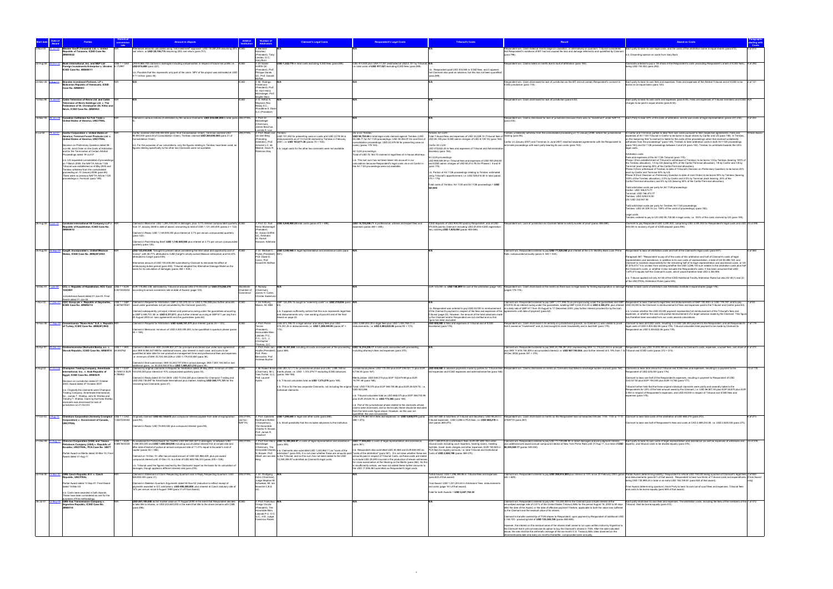|                     |                                                                                                                                                           |               | nount in dispute                                                                                                                                                                                                                                                 |                            |                                                               | <b>Claimant's Legal Costs</b>                                                                                                                                           | <b>Respondent's Legal Costs</b>                                                                                                                                                                                                                                                                       | <b>Tribunal's Costs</b>                                                                                                                                                                                                                                   |                                                                                                                                                                                                                                                                                                                                             | <b>Award on Costs</b>                                                                                                                                                                                                                                                                                                                    |           |
|---------------------|-----------------------------------------------------------------------------------------------------------------------------------------------------------|---------------|------------------------------------------------------------------------------------------------------------------------------------------------------------------------------------------------------------------------------------------------------------------|----------------------------|---------------------------------------------------------------|-------------------------------------------------------------------------------------------------------------------------------------------------------------------------|-------------------------------------------------------------------------------------------------------------------------------------------------------------------------------------------------------------------------------------------------------------------------------------------------------|-----------------------------------------------------------------------------------------------------------------------------------------------------------------------------------------------------------------------------------------------------------|---------------------------------------------------------------------------------------------------------------------------------------------------------------------------------------------------------------------------------------------------------------------------------------------------------------------------------------------|------------------------------------------------------------------------------------------------------------------------------------------------------------------------------------------------------------------------------------------------------------------------------------------------------------------------------------------|-----------|
|                     | water Gauff (Tanzania) Ltd. v. United<br>Republic of Tanzania, ICSID Case No.                                                                             |               | Iternative amounts calculated using "net investment" approach: USD 19,059,205 assuming 20% ICSID<br>lost return, or USD 20,158,775 assuming 25% lost return (para 751).                                                                                          |                            | : Bernare<br>Hanotiau                                         |                                                                                                                                                                         |                                                                                                                                                                                                                                                                                                       |                                                                                                                                                                                                                                                           | espondent win. Claim failed at merits stage on causation, or alternatively on quantum: Tribunal considered Each party to bear its own legal costs, and the costs of the arbitration borne in equal shares (para 813).<br>hat Respondent's violations of BIT had not caused the loss and damage referred to and quantified by Claimant       |                                                                                                                                                                                                                                                                                                                                          |           |
|                     | RB/05/22                                                                                                                                                  |               |                                                                                                                                                                                                                                                                  |                            | (President), Toby<br>andau, Q.C.,                             |                                                                                                                                                                         |                                                                                                                                                                                                                                                                                                       |                                                                                                                                                                                                                                                           | (para 798).                                                                                                                                                                                                                                                                                                                                 | 1.b. Dissenting opinion on costs from Gary Born.                                                                                                                                                                                                                                                                                         |           |
| 22-Aug-08 25-Oct-12 | Bosh International, Inc. and B&P Ltd<br>Foreign Investments Enterprise v. Ukraine, 8.172997                                                               |               | US\$ 1 = UAH UAH 6,666,700 claimed in damages including compensation in respect of future lost profits i.e. ICSID<br>USD 815,698 (para 227).                                                                                                                     |                            | Gary Born<br>3: Dr Gavan<br>Griffith QC                       | JSD 1,322,770 in total costs excluding ICSID fees (para 289).                                                                                                           | USD 914.920 plus UAH 17.331 (estimated at USD 2.101 by Tribunal) N/<br>i.e. total costs of USD 917,021 excluding ICSID fees (para 289).                                                                                                                                                               |                                                                                                                                                                                                                                                           | spondent win. Claims failed on merits due to lack of attribution (para 184).                                                                                                                                                                                                                                                                | Claimants ordered to pay a 1/6 share of the Respondent's costs (excluding Respondent's share of ICSID fees), 6 of 292<br>being USD 150,000 (para 292).                                                                                                                                                                                   |           |
|                     | ICSID Case No. ARB/08/11                                                                                                                                  |               | .b. Possible that this represents only part of the claim. NPV of the project was estimated at USD                                                                                                                                                                |                            | (President), Pro<br>Philippe Sands                            |                                                                                                                                                                         |                                                                                                                                                                                                                                                                                                       | b. Respondent paid USD 303,945 in ICSID fees, and it appears<br>that Claimant also paid an advance, but this has not been quantified                                                                                                                      |                                                                                                                                                                                                                                                                                                                                             |                                                                                                                                                                                                                                                                                                                                          |           |
| 24-Mar-08 2-Aug-11  | Brandes Investment Partners, LP v.                                                                                                                        |               | 9-11 million (para 38).                                                                                                                                                                                                                                          |                            | QC. Prof. Donald<br>3: Mr. Rodrigo                            |                                                                                                                                                                         |                                                                                                                                                                                                                                                                                                       | (para 289).                                                                                                                                                                                                                                               | Respondent win. Claim dismissed for lack of jurisdiction as the BIT did not contain Respondent's consent to                                                                                                                                                                                                                                 | Each party to bear its own fees and expenses. Fees and expenses of the Arbitral Tribunal and of ICSID to be 2 of 121                                                                                                                                                                                                                     |           |
|                     | livarian Republic of Venezuela, ICSID<br>Case No. ARB/08/3                                                                                                |               |                                                                                                                                                                                                                                                                  |                            | Oreamuno<br>President), Prof                                  |                                                                                                                                                                         |                                                                                                                                                                                                                                                                                                       |                                                                                                                                                                                                                                                           | ICSID jurisdiction (para 118)                                                                                                                                                                                                                                                                                                               | me on an equal basis (para 120)                                                                                                                                                                                                                                                                                                          |           |
|                     |                                                                                                                                                           |               |                                                                                                                                                                                                                                                                  |                            | Dr. Karl-Heinz<br>Böckstiegel, Pro<br><b>Brigitte Stern</b>   |                                                                                                                                                                         |                                                                                                                                                                                                                                                                                                       |                                                                                                                                                                                                                                                           |                                                                                                                                                                                                                                                                                                                                             |                                                                                                                                                                                                                                                                                                                                          |           |
|                     | 14-Nov-95 13-Jan-97 Cable Television of Nevis Ltd. and Cable<br>'elevision of Nevis Holdings Ltd. v. The<br>'ederation of St. Christopher (St. Kitts) and |               |                                                                                                                                                                                                                                                                  |                            | 3: G. Arthur A.<br>Maynard, Rex                               |                                                                                                                                                                         |                                                                                                                                                                                                                                                                                                       |                                                                                                                                                                                                                                                           | spondent win. Claim dismissed for lack of jurisdiction (para 8.02).                                                                                                                                                                                                                                                                         | Each party to bear its own costs and expenses (para 8.05). Fees and expenses of Tribunal members and ICSID N/A<br>harges to be paid in equal shares (para 8.04)                                                                                                                                                                          |           |
|                     | evis, ICSID Case No. ARB/95/2                                                                                                                             |               |                                                                                                                                                                                                                                                                  |                            | Mckay S.C.,<br>Woodbine A. Da<br>Q.C (President)              |                                                                                                                                                                         |                                                                                                                                                                                                                                                                                                       |                                                                                                                                                                                                                                                           |                                                                                                                                                                                                                                                                                                                                             |                                                                                                                                                                                                                                                                                                                                          |           |
|                     | 16-Mar-05 28-Jan-08 Canadian Cattlemen for Fair Trade v                                                                                                   |               | laimed in various notices of arbitration by the various Claimants: USD 235,000,000 in total (para UNCITRAL                                                                                                                                                       |                            | 3: Prof. Dr.                                                  |                                                                                                                                                                         |                                                                                                                                                                                                                                                                                                       |                                                                                                                                                                                                                                                           |                                                                                                                                                                                                                                                                                                                                             | ondent win. Claims dismissed for lack of jurisdiction because there was no "investment" under NAFTA Each Party to bear 50% of the costs of arbitration, and its own costs of legal representation (paras 231-232).<br>9 of 234                                                                                                           |           |
|                     | ited States of America, UNCITRAL                                                                                                                          |               |                                                                                                                                                                                                                                                                  |                            | Böckstiegel<br>(Chairman).<br>James Bacchus                   |                                                                                                                                                                         |                                                                                                                                                                                                                                                                                                       |                                                                                                                                                                                                                                                           | (para 233).                                                                                                                                                                                                                                                                                                                                 |                                                                                                                                                                                                                                                                                                                                          |           |
| 9-Jul-02            | 19-Jul-07 Canfor Corporation v. United States of                                                                                                          |               | Canfor claimed USD 250,000,000 (para 18 of Consolidation Order); Terminal claimed USD                                                                                                                                                                            | UNCITRAL                   | ucinda A. Low<br>3: Prof. Albert Jan                          |                                                                                                                                                                         | is-a-vis Tembe                                                                                                                                                                                                                                                                                        | mbec Art 112                                                                                                                                                                                                                                              | Tembec unilaterally withdrew from the consolidated proceeding on 10 January 2006, before the jurisdictional                                                                                                                                                                                                                                 | In Canfor and Terminal, parties to bear their own costs pursuant to their respective agreements. Fees and                                                                                                                                                                                                                                |           |
|                     | Imerica; Terminal Forest Products Ltd. v.<br>Inited States of America, UNCITRAL                                                                           |               | 90,000,000 (para 24 of Consolidation Order); Tembec claimed USD 200,000,000 (para 21 of<br>onsolidation Order)                                                                                                                                                   |                            | van den Berg<br>residing<br>Arbitrator), Prof.                | USD 101,052 for presenting case on costs and USD 2,019.36 in<br>oursements as of 13-Oct-06 claimed by Tembec in February<br>2007, i.e. USD 103,071.36 (paras 74 + 104). | 50,086.71 for Art 1120 proceedings; USD 24,054.91 for one-third of<br>onsolidation proceedings; USD 20,579.06 for presenting case on                                                                                                                                                                  | USD 94,720.68 in total legal costs claimed against Tembec (USD Total Tribunal fees and expenses of USD 34,329.15 (Tribunal fees of hearing (para 85)<br>USD 26,190 plus ICSID admin charges of USD 8,139.15) (para 162)                                   | Canfor (in January 2007) and Terminal (in June 2007) reached separate agreements with the Respondent to                                                                                                                                                                                                                                     | expenses of Art 1120 Tribunal in Canfor to be borne in equal shares by Canfor and US (para 158). In Tembec,<br>on the reasoning that "a claimant is liable for the costs of the proceedings when that claimant unilaterally<br>withdraws from the proceedings" (para 149), Tembec to bear arbitration costs in both Art 1120 proceedings |           |
|                     | Decision on Preliminary Question dated 06-<br>Jun-06: Joint Order on the Costs of Arbitration                                                             |               | n.b. For the purposes of our calculations, only the figures relating to Tembec have been used, as<br>figures relating specifically to the other two Claimants were not available.                                                                                |                            | Armand L.C. de<br>Mestral, Davis R.                           | n.b. Legal costs for the other two claimants were not available.                                                                                                        | osts) (paras 179-183).                                                                                                                                                                                                                                                                                | Canfor Art 1120<br>USD 372,623.25 in fees and expenses of Tribunal and Administrative                                                                                                                                                                     | erminate proceedings with each party bearing its own costs (para 153).                                                                                                                                                                                                                                                                      | (para 163) and Art 1126 proceedings between it and US (para 152). Tembec to contribute towards the US's<br>legal costs.                                                                                                                                                                                                                  |           |
|                     | and for the Termination of Certain Arbitral<br>roceedings dated 19-Jul-07                                                                                 |               |                                                                                                                                                                                                                                                                  |                            | Robinson Esg                                                  |                                                                                                                                                                         | Art 1126 proceedinas.<br>Total of USD 72.164.73 claimed in legal fees of in-house attorneys                                                                                                                                                                                                           | Secretary (para 156).<br>Art 1126 proceedings                                                                                                                                                                                                             |                                                                                                                                                                                                                                                                                                                                             | Arbitration costs<br>Fees and expenses of the Art 1126 Tribunal (para 170):                                                                                                                                                                                                                                                              |           |
|                     | n.b. US requested consolidated of proceeding<br>on 7 March 2005; the NAFTA Article 1126                                                                   |               |                                                                                                                                                                                                                                                                  |                            |                                                               |                                                                                                                                                                         | n.b. This last sum has not been taken into account in our<br>calculations because Respondent's legal costs vis-a-vis Canfor in                                                                                                                                                                        | USD 995,509.59 (in Tribunal fees and expenses of USD 930,294.80<br>and ICSID admin charges of USD 65,214.79) for Phases I, II and III                                                                                                                     |                                                                                                                                                                                                                                                                                                                                             | Phase I (from establishment of Tribunal to withdrawal of Tembec) to be borne 1/3 by Tembec (bearing 100% o<br>the Tembec allocation), 1/3 by US (bearing 50% of the Canfor/Terminal allocation), 1/6 by Canfor and 1/6 by                                                                                                                |           |
|                     | ribunal was established on 6 May 2005 and<br>Fembec withdrew from the consolidated<br>oceeding on 10 January 2006 (para 85).                              |               |                                                                                                                                                                                                                                                                  |                            |                                                               |                                                                                                                                                                         | the Art 1120 proceedings were not available.                                                                                                                                                                                                                                                          | para 175).<br>1.b. Portion of Art 1126 proceedings relating to Tembec estimated                                                                                                                                                                           |                                                                                                                                                                                                                                                                                                                                             | Terminal (each bearing 25% of the Canfor/Terminal allocation).<br>Phase II (from withdrawal of Tembec to date of Tribunal's Decision on Preliminary Question) to be borne 25%<br>each by Canfor and Terminal 50% by US.                                                                                                                  |           |
|                     | There were no previous NAFTA Article 1120<br>oceedings in Terminal (para 159).                                                                            |               |                                                                                                                                                                                                                                                                  |                            |                                                               |                                                                                                                                                                         |                                                                                                                                                                                                                                                                                                       | using Tribunal's apportionment, i.e. USD 329,614.50 in total (paras<br>$170 + 176$                                                                                                                                                                        |                                                                                                                                                                                                                                                                                                                                             | Phase III (from Decision on Preliminary Question to date of Joint Order) to be borne 90% by Tembec (bearing<br>100% of the Tembec allocation), 2.5% by Canfor and 2.5% by Terminal (each bearing 25% of the                                                                                                                              |           |
|                     |                                                                                                                                                           |               |                                                                                                                                                                                                                                                                  |                            |                                                               |                                                                                                                                                                         |                                                                                                                                                                                                                                                                                                       | Total costs of Tembec Art 1120 and Art 1126 proceedings = USD<br>363.944                                                                                                                                                                                  |                                                                                                                                                                                                                                                                                                                                             | Canfor/Terminal allocation) and 5% by US (bearing 50% of the Canfor/Terminal allocation).<br>Total arbitration costs per party for Art 1126 proceedings:                                                                                                                                                                                 |           |
|                     |                                                                                                                                                           |               |                                                                                                                                                                                                                                                                  |                            |                                                               |                                                                                                                                                                         |                                                                                                                                                                                                                                                                                                       |                                                                                                                                                                                                                                                           |                                                                                                                                                                                                                                                                                                                                             | Canfor: USD 166,473.77<br>Terminal: USD 166,473.77<br>Tember: USD 329 614 50                                                                                                                                                                                                                                                             |           |
|                     |                                                                                                                                                           |               |                                                                                                                                                                                                                                                                  |                            |                                                               |                                                                                                                                                                         |                                                                                                                                                                                                                                                                                                       |                                                                                                                                                                                                                                                           |                                                                                                                                                                                                                                                                                                                                             | US: USD 332.947.55                                                                                                                                                                                                                                                                                                                       |           |
|                     |                                                                                                                                                           |               |                                                                                                                                                                                                                                                                  |                            |                                                               |                                                                                                                                                                         |                                                                                                                                                                                                                                                                                                       |                                                                                                                                                                                                                                                           |                                                                                                                                                                                                                                                                                                                                             | Total arbitration costs per party for Tembec Art 1120 proceedings:<br>Tembec: USD 34,329.15 (i.e. 100% of the costs of proceedings) (para 163).                                                                                                                                                                                          |           |
|                     |                                                                                                                                                           |               |                                                                                                                                                                                                                                                                  |                            |                                                               |                                                                                                                                                                         |                                                                                                                                                                                                                                                                                                       |                                                                                                                                                                                                                                                           |                                                                                                                                                                                                                                                                                                                                             | Legal costs<br>Fembec ordered to pay to US USD 94,720.68 in legal costs, i.e. 100% of the costs claimed by US (para 190).                                                                                                                                                                                                                |           |
| 26-Aug-08 5-Jun-12  | Caratube International Oil Company LLP v. N<br><b>Republic of Kazakhstan, ICSID Case No.</b>                                                              |               | Claimed in Memorial: USD 1,005,700,000 in damages, plus 3.7% interest compounded quarterly ICSID<br>from 31 January 2008 to date of award, amounting to total of USD 1,121,400,000 (paras 2 + 122).                                                              |                            | Heinz Böckstiege                                              | 3: Prof. Dr. Karl- USD 5,948,908.25 total costs (paras 473 + 486).                                                                                                      | USD 14,725,206,71 in professional, witness and expert fees and<br>expenses (paras 480 + 485).                                                                                                                                                                                                         | CSID deposits of USD 950,000 paid by Respondent, and of USD<br>975,000 paid by Claimant (including USD 25,000 ICSID registration                                                                                                                          | Respondent win. Lack of jurisdiction as Claimant failed to satisfy burden of proof (paras 468-469).                                                                                                                                                                                                                                         | Claimant to pay Respondent USD 3,200,000, comprising USD 3,000,000 for Respondent's legal costs and USD 24 of 495<br>200.000 in recovery of part of ICSID deposit (para 495).                                                                                                                                                            |           |
|                     | ARB/08/12                                                                                                                                                 |               | Claimed in Reply: USD 1,149,000,000 plus interest at 3.7% per annum compounded quarterly                                                                                                                                                                         |                            | (President)<br>Dr. Gavan Griffith                             |                                                                                                                                                                         |                                                                                                                                                                                                                                                                                                       | ee), totalling USD 1,925,000 (paras 485-486).                                                                                                                                                                                                             |                                                                                                                                                                                                                                                                                                                                             |                                                                                                                                                                                                                                                                                                                                          |           |
|                     |                                                                                                                                                           |               | (para 122).                                                                                                                                                                                                                                                      |                            | QC, Arbitrator<br>Dr. Kamal<br>Hossain, Arbitrat              |                                                                                                                                                                         |                                                                                                                                                                                                                                                                                                       |                                                                                                                                                                                                                                                           |                                                                                                                                                                                                                                                                                                                                             |                                                                                                                                                                                                                                                                                                                                          |           |
|                     |                                                                                                                                                           |               | Claimed in Post-Hearing Brief: USD 1,145,000,000 plus interest at 3.7% per annum compounded<br>quarterly (para 124).                                                                                                                                             |                            |                                                               |                                                                                                                                                                         |                                                                                                                                                                                                                                                                                                       |                                                                                                                                                                                                                                                           |                                                                                                                                                                                                                                                                                                                                             |                                                                                                                                                                                                                                                                                                                                          |           |
|                     | 30-Aug-05 18-Sep-09 Cargill, Incorporated v. United Mexican<br>tes, ICSID Case No. ARB(AF)/05/2                                                           |               | USD 123,810,000, "brought to present value considering the time value and opportunity cost of   ICSID<br>noney", with 46.77% attributed to CdM (Cargill's wholly owned Mexican enterprise) and 53.23%<br>ributed to Cargill (para 435).                          |                            | Pryles (President), 5<br>Prof. David D.                       | 3: Dr. Michael C. USD 3,350,946 in legal representation and assistance costs (para                                                                                      |                                                                                                                                                                                                                                                                                                       |                                                                                                                                                                                                                                                           | Claimant win. Respondent ordered to pay USD 77,329,240 plus interest at the U.S. Monthly Bank Loan Prime Respondent to bear all arbitration costs and half of the Claimant's legal costs (para 547).<br>Rate, compounded annually (paras 5, 540 + 544).                                                                                     | Paragraph 561: "Respondent to pay all of the costs of this arbitration and half of Claimant's costs of legal                                                                                                                                                                                                                             | 1 of 562  |
|                     |                                                                                                                                                           |               | Iternative amount of USD 100,000,000 submitted by Claimant to eliminate the effect of                                                                                                                                                                            |                            | Caron, Prof.<br>Donald M. McRa                                |                                                                                                                                                                         |                                                                                                                                                                                                                                                                                                       |                                                                                                                                                                                                                                                           |                                                                                                                                                                                                                                                                                                                                             | epresentation and assistance, in addition to its own costs of representation, a total of US \$3,296,140; and<br>Claimant to maintain responsibility for the remaining half of its legal representation and assistance costs, or US                                                                                                       |           |
|                     |                                                                                                                                                           |               | antidumping duties period (para 450). Tribunal adopted this Alternative Damage Model as the<br>asis for its calculation of damages (paras 465 + 538.)                                                                                                            |                            |                                                               |                                                                                                                                                                         |                                                                                                                                                                                                                                                                                                       |                                                                                                                                                                                                                                                           |                                                                                                                                                                                                                                                                                                                                             | \$1,675,473." It is unclear from wording whether the USD 3,296,140 sum relates to the arbitration costs plus half<br>the Claimant's costs, or whether it also includes the Respondent's costs. It has been assumed that USD<br>1.675.473 equals half the Claimant's costs, which would therefore total USD 3.350.946.                    |           |
|                     |                                                                                                                                                           |               |                                                                                                                                                                                                                                                                  |                            |                                                               |                                                                                                                                                                         |                                                                                                                                                                                                                                                                                                       |                                                                                                                                                                                                                                                           |                                                                                                                                                                                                                                                                                                                                             | n.b. Tribunal applied not only Art 58 of the ICSID Additional Facility Arbitration Rules but also Art 40(1) and (2)                                                                                                                                                                                                                      |           |
| 18-Dec-01 1-Jan-04  |                                                                                                                                                           |               | CCL v. Republic of Kazakhstan, SCC Case US\$ 1 = EUR EUR 178,892,338, estimated by Tribunal at around USD 219,000,000 (or USD 215,265,276                                                                                                                        |                            | 3: Norway                                                     |                                                                                                                                                                         |                                                                                                                                                                                                                                                                                                       |                                                                                                                                                                                                                                                           | UR 123,000 i.e. USD 148,009 for cost of the arbitration (page 124). Respondent win. Claim dismissed on the merits as there was no legal basis for finding expropriation or damage Parties to bear costs of arbitrators and Arb                                                                                                              | of the UNCITRAL Arbitration Rules (para 545).                                                                                                                                                                                                                                                                                            |           |
|                     |                                                                                                                                                           |               | 0.8310320232 according to actual conversion rate at date of Award) (page 124).                                                                                                                                                                                   | hamber of<br>ommerce       | (Chairman<br>James H. Carte                                   |                                                                                                                                                                         |                                                                                                                                                                                                                                                                                                       |                                                                                                                                                                                                                                                           | pages 175-176).                                                                                                                                                                                                                                                                                                                             |                                                                                                                                                                                                                                                                                                                                          |           |
| -Nov-02             | urisdictional Award dated 01-Jan-03; Final<br>Award dated 01-Jan-04<br>17-Dec-03 CDC Group plc v. Republic of Seychelles, US\$ 1 = GBP                    |               |                                                                                                                                                                                                                                                                  |                            | Christer Soderlur<br>1: Sir Anthony                           | SBP 124,295.15 sought in "indemnity costs" i.e. USD 219,004 (para N/A                                                                                                   |                                                                                                                                                                                                                                                                                                       |                                                                                                                                                                                                                                                           |                                                                                                                                                                                                                                                                                                                                             | Claimant win. Respondent ordered to pay GBP 1,771,096.75 as principal owing under the guarantees and GBP Respondent to bear Claimant's legal fees and disbursements of GBP 100,000 i.e. USD 176,197, and to pay                                                                                                                          |           |
|                     | CSID Case No. ARB/02/14                                                                                                                                   | 0.5675470551  | owed under quarantees not yet calculated by the Claimant (para 20).                                                                                                                                                                                              |                            | ason, AC KBE                                                  |                                                                                                                                                                         |                                                                                                                                                                                                                                                                                                       |                                                                                                                                                                                                                                                           | b. Respondent was ordered to pay USD 40,000 in reimbursement at a daily rate of GBP 611 from 25 August to 17 December 2003, plus further interest provided for by the loan                                                                                                                                                                  | 372,915.45 as interest owing under the guarantees, totalling GBP 2,444,012.20 or USD 4,306,272, plus interest USD 40,000 to the Claimant in reimbursement of fees and expenses paid to the Tribunal and Centre (para 63)                                                                                                                 |           |
|                     |                                                                                                                                                           |               | Claimed subsequently: principal, interest and premiums owing under the guarantees amounting<br>to GBP 2,446,701.38 i.e. USD 4,311,011, plus further interest accruing at GBP 611 per day from<br>25 August 2003 on loan agreements and the guarantees (para 62). |                            |                                                               | b. It appears sufficiently certain that this sum represents legal fees<br>and disbursements only - see wording of para 63 and of the final<br>ward on page 22.          |                                                                                                                                                                                                                                                                                                       | of the Claimant's payment in respect of the fees and expenses of the agreements until date of payment (para 62).<br>Tribunal (page 23). However, the amount of the total advances made<br>by the Claimant and/or Respondent are not clarified and so this |                                                                                                                                                                                                                                                                                                                                             | i.b. Unclear whether the USD 40,000 payment represented full reimbursement of the Tribunal's fees and<br>expenses, or whether this was only partial reimbursement of a larger advance made by the Claimant. This figur<br>as therefore been excluded from our costs awards calculations                                                  |           |
|                     | 16-Nov-06 17-Sep-09 Cementownia "Nowa Huta" S.A. v. Republic N/R<br>of Turkey, ICSID Case No. ARB(AF)/06/2                                                |               | Claimed in Request for Arbitration: USD 4,648,157,411 plus interest (paras 24 + 123).                                                                                                                                                                            |                            | 3: Prof. Pierre                                               | JSD 873,198.70 in legal advisor and notary fees plus USD<br>415.251.25 in disbursements i.e. USD 1,288.449.95 (paras 87 +                                               | USD 3,859,053.35 in legal fees plus USD 1,045,768.71 in<br>disbursements, i.e. USD 4,904,822,06 (paras 90 + 173).                                                                                                                                                                                     | figure has been excluded.<br>USD 400,000 in fees and expenses of Tribunal and of ICSID                                                                                                                                                                    | Respondent win. Claim dismissed in its entirety on jurisdictional grounds, as Claimant (i) was unable to prove<br>that it owned an "investment" and (ii) had brought its claim fraudulently and in bad faith (para 179).                                                                                                                    | Claimant to bear all ICSID costs, resulting in a USD 325,000 payment to the Respondent; and all Respondent's 7 of 179<br>legal costs of USD 4,904,822.06 (para 178). Tribunal calculates total payment to be made by Claimant to                                                                                                         |           |
|                     |                                                                                                                                                           |               | Claimed in Memorial: minimum of USD 4,000,000,000, to be quantified in quantum phase (paras<br>$45 + 158$ ).                                                                                                                                                     |                            | Tercier<br>(President).<br>Honourable Marc                    |                                                                                                                                                                         |                                                                                                                                                                                                                                                                                                       | Secretariat (para 178).                                                                                                                                                                                                                                   |                                                                                                                                                                                                                                                                                                                                             | .<br>lespondent as USD 5,304,822.06 (para 179).                                                                                                                                                                                                                                                                                          |           |
|                     |                                                                                                                                                           |               |                                                                                                                                                                                                                                                                  |                            | Lalonde, P.C.,<br>O.C., Q.C., J.<br>Christopher               |                                                                                                                                                                         |                                                                                                                                                                                                                                                                                                       |                                                                                                                                                                                                                                                           |                                                                                                                                                                                                                                                                                                                                             |                                                                                                                                                                                                                                                                                                                                          |           |
|                     |                                                                                                                                                           |               | 25-Apr-97 29-Dec-04 Ceskoslovenska Obchodni Banka, a.s. v. US\$ 1 = SKK Claimed in Memorial: SKK 24,659,907,271 for principal and interest due under loan agreement ICSID                                                                                        |                            | homas, Q.C                                                    | 3: Prof. Hans van USD 16,351,846 including all costs and expenses of the proceeding USD 14,314,236.17 in total costs associated with proceeding,                        |                                                                                                                                                                                                                                                                                                       |                                                                                                                                                                                                                                                           |                                                                                                                                                                                                                                                                                                                                             | Claimant win. Respondent ordered to pay SKK 24,796,381,842 (representing SKK 13,178,227,533 in principal Respondent to pay USD 10,000,000 as a contribution to Claimant's costs, expenses, counsel fees, and share of 5 of 374                                                                                                           |           |
|                     |                                                                                                                                                           |               | is SKK 9.064.537.958 for adj<br>juantified at later date for lost productive management time and professional fees and expenses<br>e. minimum of SKK 33,724,445,229 or USD 1,179,433,655 (para 38).                                                              |                            | Prof. Piero<br>Bernardini, Pro                                |                                                                                                                                                                         |                                                                                                                                                                                                                                                                                                       |                                                                                                                                                                                                                                                           | 29 Dec 2004 (paras 351 + 374).                                                                                                                                                                                                                                                                                                              |                                                                                                                                                                                                                                                                                                                                          |           |
|                     |                                                                                                                                                           |               | Iaimed in final submission: SKK 32,443,747,036 in actual damage, SKK 7,857,193,540 in lost                                                                                                                                                                       |                            | Andreas Bucher                                                |                                                                                                                                                                         |                                                                                                                                                                                                                                                                                                       |                                                                                                                                                                                                                                                           |                                                                                                                                                                                                                                                                                                                                             |                                                                                                                                                                                                                                                                                                                                          |           |
| 8-Aug-02            | <b>Champion Trading Company, Ameritrade</b><br>rnational, Inc., v. Arab Republic of                                                                       | $USS = FGP$   | additional gains, i.e. 40,300,940,576 or USD 1,409,431,210 (para 39).<br>Claimed by original claimants in Request for Arbitration dated 29 May 2002: minimum of USD<br>5.739513/ EUR 100,000,000 plus interest at 10% compounded quarterly (para 33).            |                            |                                                               | 3: Mr Robert Briner USD 283,121.71 for jurisdictional phase and USD 1,089,158 for<br>Chairman), Mr L. merits phase, i.e. USD 1.372.279.71 excluding ICSID advances      | 9,738.30 (para 167).                                                                                                                                                                                                                                                                                  | nd expenses and ICSID expenses and administrative fee (para 166)                                                                                                                                                                                          | Jurisdictional phase: USD 170,000 plus EGP 236,021.11 plus EUR USD 450,000 in advance payments made by parties for Tribunal fees Respondent win. Claims dismissed on merits as Claimants had failed to discharge burden of pro                                                                                                              | ondent of USD 225.000 (para 176)                                                                                                                                                                                                                                                                                                         | 14 of 178 |
|                     | Egypt, ICSID Case No. ARB/02/9<br>ecision on Jurisdiction dated 21 October                                                                                | 0.786052      | Claimed in Reply dated 30 Oct 2005: USD 73.034.224 plus interest for Champion Trading and<br>USD 292,136,897 for Ameritrade International plus interest, totalling USD 365,171,121 for the                                                                       |                            | Yves Fortier, Q.C., (paras 166-168)<br>Prof. Laurent<br>Avnès | n.b. Tribunal calculates total as USD 1,375,279 (para 169).                                                                                                             | Merits phase: USD 548,075 plus EGP 152,679.88 plus EUR<br>19,791.48 (para 168).                                                                                                                                                                                                                       |                                                                                                                                                                                                                                                           |                                                                                                                                                                                                                                                                                                                                             | Claimant to bear one half of the Respondent's expenses, resulting in payment to Respondent of USD<br>334,037.50 plus EGP 194,350 plus EUR 14,765 (para 177).                                                                                                                                                                             |           |
|                     | 2003: Award dated 27 October 2007.                                                                                                                        |               | maining two Claimants (para 37).                                                                                                                                                                                                                                 |                            |                                                               |                                                                                                                                                                         | n.b. This is for the two corporate Claimants, not including the original Total: USD 718,075 plus EGP 388,700.88 plus EUR 29,529.78,. i.e                                                                                                                                                              |                                                                                                                                                                                                                                                           |                                                                                                                                                                                                                                                                                                                                             | Tribunal further held that the three original individual claimants were jointly and severally liable to the                                                                                                                                                                                                                              |           |
|                     | 1.b. Originally the claimants were Champion<br>rading Company, Ameritrade Internationa<br>c., James T. Wahba, John B. Wahba and                           |               |                                                                                                                                                                                                                                                                  |                            |                                                               | ndividual claimants.                                                                                                                                                    | USD 823.366.<br>n.b. Tribunal calculates total as USD 668.075 plus EGP 388.700.99                                                                                                                                                                                                                     |                                                                                                                                                                                                                                                           |                                                                                                                                                                                                                                                                                                                                             | Respondents for 20% of the total amount owed by the Claimant, i.e. USD 66,807.50 plus EGP 38,870 plus EUR<br>2,953 in respect of Respondent's expenses, and USD 45,000 in respect of Tribunal and ICSID fees and<br>expenses (para 178).                                                                                                 |           |
|                     | imothy T. Wahba. Claim by the three Wahba<br>claimants was dismissed for lack of                                                                          |               |                                                                                                                                                                                                                                                                  |                            |                                                               |                                                                                                                                                                         | plus EUR 29,529.78 i.e. USD 773,366 (para 169)                                                                                                                                                                                                                                                        |                                                                                                                                                                                                                                                           |                                                                                                                                                                                                                                                                                                                                             |                                                                                                                                                                                                                                                                                                                                          |           |
|                     | urisdiction on 21-Oct-03.                                                                                                                                 |               |                                                                                                                                                                                                                                                                  |                            |                                                               |                                                                                                                                                                         | n.b. Part of the jurisdictional phase related to the claimants whose<br>claims were dismissed, and so technically these should be excluded<br>from the total costs figure above. However, as this was not                                                                                             |                                                                                                                                                                                                                                                           |                                                                                                                                                                                                                                                                                                                                             |                                                                                                                                                                                                                                                                                                                                          |           |
| 17-Oct-02 2-Aug-10  |                                                                                                                                                           |               | Chemtura Corporation (formerly Crompton US\$ 1 = CAD   Originally claimed: USD 83,139,672 plus compound interest payable from date of expropriation<br>1.0227240304 (para 94).                                                                                   | <b>UNCITRAL</b><br>ad hoc. | Kaufmann-Kohler                                               | 3: Prof. Gabrielle USD 1,294,640 in legal and other costs (para 268).                                                                                                   | quantified, this was not possible.                                                                                                                                                                                                                                                                    | Tribunal expenses; USD 2,286 in PCA fees; i.e. USD 688,219 in                                                                                                                                                                                             | CAD 5,778,467.60 in fees and expenses i.e. USD 5,650,075 (paras USD 587,680 in total fees of Tribunal and Secretary, USD 98,253 in Respondent win. Claim dismissed on merits as the Respondent had not breached Articles 1105,<br>of NAFTA (para 267).                                                                                      |                                                                                                                                                                                                                                                                                                                                          | 6 of 273  |
|                     | Corporation) v. Government of Canada,<br><b>JNCITRAL</b>                                                                                                  |               | laimed in Reply: USD 78,593,520 plus compound interest (para 95)                                                                                                                                                                                                 | NAFTA)                     | (Chairperson),<br>The Honorable                               | n.b. Small possibility that this includes advances to the institution                                                                                                   | $268 + 273$ ).                                                                                                                                                                                                                                                                                        | total (paras 269-270).                                                                                                                                                                                                                                    |                                                                                                                                                                                                                                                                                                                                             | Claimant to bear one half of Respondent's fees and costs at CAD 2.889.233.80, i.e. USD 2.825.038 (para 273                                                                                                                                                                                                                               |           |
|                     |                                                                                                                                                           |               |                                                                                                                                                                                                                                                                  |                            | Charles N. Brower<br>Prof. James R.<br>Crawford               |                                                                                                                                                                         |                                                                                                                                                                                                                                                                                                       |                                                                                                                                                                                                                                                           |                                                                                                                                                                                                                                                                                                                                             |                                                                                                                                                                                                                                                                                                                                          |           |
| 21-Dec-06 31-Aug-11 | Chevron Corporation (USA) and Texaco                                                                                                                      | $USS 1 = EUF$ | s assessed for Partial Award: for TexPet, USD 587,823,427 in damages, or between USD                                                                                                                                                                             |                            |                                                               | Prof. Karl-Heinz   USD 12,390,265.87 in costs of legal representation and assistance                                                                                    | USD 17,836,463 in costs of legal representation and assistance                                                                                                                                                                                                                                        | EUR 1,346,910.22 in arbitrators' fees; EUR 291.690.78 in other                                                                                                                                                                                            | laimant win. Respondent ordered to pay USD 77,739,696.94 in direct damages and pre-judgment interest,                                                                                                                                                                                                                                       | Each party to bear its own costs of legal representation and assistance (as well as expenses of witnesses and 23 of 376                                                                                                                                                                                                                  |           |
|                     | oleum Company (USA) v. Republic of<br>uador, UNCITRAL, PCA Case No. 34877                                                                                 |               | 0.6941603334 1,484,000,000 and USD 1,605,000,000 including accumulated interest first at simple rate and<br>after date of denial of justice at annual compound rate of 11.41% equal to Ecuador's cost of<br>capital (paras 53 + 356).                            |                            | Böckstiegel<br>(Chairman). The                                | (para 355).<br>Honorable Charles n.b. Claimants also submitted USD 1,203,962.11 as "costs of the                                                                        | para 361).<br>n.b. Respondent also submitted USD 40.468 and EUR 850.000 as PCA fees for registry services; i.e. total Tribunal and Institutional                                                                                                                                                      | ribunal costs including court reporters, hearing rooms, meeting<br>acilities, travel, bank charges and other expenses; EUR 155,940 in                                                                                                                     | plus additional pre-award annual compound interest at New York Prime Rate until 31-Aug-11, to a total of USD experts), and tribunal costs to be divided equally (para 376).<br>96,355,369.17 (paras 349-350).                                                                                                                               |                                                                                                                                                                                                                                                                                                                                          |           |
|                     | Partial Award on Merits dated 30-Mar-10; Final<br>Award dated 31-Aug-11                                                                                   |               | laimed on 10-Dec-10: after-tax principal amount of USD 523,966,429, plus pre-award                                                                                                                                                                               |                            |                                                               | Albert Jan van den ito the Tribunal, and so this sum has not been added to the USD                                                                                      | N. Brower, Prof. arbitration" (para 355). It is not clear whether these are amounts paid <sup>le</sup> costs of the arbitration" (para 361). It is not clear whether these are Costs of <b>USD 2,585,198</b> (paras 369-370).<br>amounts paid in respect of Tribunal Costs, as these costs are stated |                                                                                                                                                                                                                                                           |                                                                                                                                                                                                                                                                                                                                             |                                                                                                                                                                                                                                                                                                                                          |           |
|                     |                                                                                                                                                           |               | mpound interest until 31-Dec-10, to a total of USD 649,786,333 (paras 205 + 338).<br>b. Tribunal used the figures reached by the Claimants' expert as the basis for its calculation of                                                                           |                            |                                                               | 12,390,265.97 submitted as Claimant's legal costs.                                                                                                                      | o include USD 28,290 incurred in the production of eleven witnesser<br>for cross-examination at the Hearing on the Merits (para 362). As this<br>insufficiently certain, we have not added these further amounts to                                                                                   |                                                                                                                                                                                                                                                           |                                                                                                                                                                                                                                                                                                                                             |                                                                                                                                                                                                                                                                                                                                          |           |
|                     |                                                                                                                                                           |               | nages, though applied a different interest rate (para 276).                                                                                                                                                                                                      |                            |                                                               |                                                                                                                                                                         | the USD 17,836,463 submitted as Respondent's legal costs.                                                                                                                                                                                                                                             |                                                                                                                                                                                                                                                           |                                                                                                                                                                                                                                                                                                                                             |                                                                                                                                                                                                                                                                                                                                          |           |
|                     | 22-Feb-00 14-Mar-03 CME Czech Republic B.V. v. Czech<br>public, UNCITRAL                                                                                  |               | Claimed in Statement of Claim Respecting Quantum and in Reply Respecting Quantum: USD [UNCITRAL 3: Dr. Wolfgang<br>526.900.000 (para 31).                                                                                                                        |                            | Kühn (Chairman<br>Judge Stephen M.                            |                                                                                                                                                                         |                                                                                                                                                                                                                                                                                                       | Partial Award: USD 1,096,498.86 in Tribunal fees and expenses<br>(para 622 of that award)                                                                                                                                                                 |                                                                                                                                                                                                                                                                                                                                             | .<br>Claimant win. Respondent ordered to pay USD 269,814,000 plus interest at 10% since 23 February 2000 (paras Partial Award (determining lability); Respondent to refund USD 750,000 being a portion of Claimant's legal fees 2<br>being USD 730.999.24 in total or an extra USD 182.749.81 (para 624 of that award).                  |           |
|                     | Partial Award dated 13-Sep-01; Final Award<br>dated 14-Mar-03                                                                                             |               | Claimed in Skeleton Quantum Arguments dated 04-Nov-02 (reduction to reflect receipt of<br>payments awarded in ICC arbitration): USD 495,200,000, plus interest at Czech statutory rate of                                                                        |                            | chwebel, Mr. Iar<br>Brownlie C.B.E.                           |                                                                                                                                                                         |                                                                                                                                                                                                                                                                                                       | Final Award: USD 1,351,203.44 in Arbitrators' fees, disbursements<br>and costs (page 161 of that award).                                                                                                                                                  |                                                                                                                                                                                                                                                                                                                                             | Final Award (determining quantum): Each Party to bear its own out-of-court fees and expenses. Tribunal fees                                                                                                                                                                                                                              |           |
|                     | .b. Costs were awarded in both Awards<br>hese have been considered as one for the                                                                         |               | 12% per annum since 6 August 1999 (para 31 of Final Award).                                                                                                                                                                                                      |                            |                                                               |                                                                                                                                                                         |                                                                                                                                                                                                                                                                                                       | Total for both Awards = USD 2,447,702.30                                                                                                                                                                                                                  |                                                                                                                                                                                                                                                                                                                                             | nd costs to be borne equally (para 649 of that award).                                                                                                                                                                                                                                                                                   |           |
| 26-Jul-0            | oses of this methodology.<br><b>CMS Gas Transmission Company v</b>                                                                                        |               | USD 261,100,000 as fair market value on 17 August 2000 in the event that Respondent decides                                                                                                                                                                      |                            | Prof. Francisco                                               |                                                                                                                                                                         |                                                                                                                                                                                                                                                                                                       |                                                                                                                                                                                                                                                           | laimant win. Respondent ordered to pay USD 133.200.000 to the Claimant plus simple interest at the                                                                                                                                                                                                                                          | Each party shall bear its own fees and expenses. The arbitration costs, including the fees of the members of the 1 of 472                                                                                                                                                                                                                |           |
|                     | Argentine Republic, ICSID Case No.<br>ARB/01/8                                                                                                            |               | to take title to shares, or USD 243,600,000 in the event that title to the share remains with CMS<br>(para 396).                                                                                                                                                 |                            | Orrego Vicuña<br>President), The<br>Honorable Marc            |                                                                                                                                                                         |                                                                                                                                                                                                                                                                                                       |                                                                                                                                                                                                                                                           | innualized average rate of 2.51% of the United States Treasury Bills for the period August 18, 2000 to 60 days Tribunal, shall be borne equally (para 472).<br>after the date of the Award, or the date of effective payment if before, applicable to both the value loss suffered<br>by the Claimant and the residual value of its shares. |                                                                                                                                                                                                                                                                                                                                          |           |
|                     |                                                                                                                                                           |               |                                                                                                                                                                                                                                                                  |                            | Lalonde P.C. O.C<br>Q.C., H.E. Judge                          |                                                                                                                                                                         |                                                                                                                                                                                                                                                                                                       |                                                                                                                                                                                                                                                           | Ilaimant to transfer ownership of TGN shares to Respondent, upon payment by Respondent of additional USD                                                                                                                                                                                                                                    |                                                                                                                                                                                                                                                                                                                                          |           |
|                     |                                                                                                                                                           |               |                                                                                                                                                                                                                                                                  |                            | Francisco Reze                                                |                                                                                                                                                                         |                                                                                                                                                                                                                                                                                                       |                                                                                                                                                                                                                                                           | 2,148,100 - producing total of USD 135,348,100 (paras 468-469).<br>wever, the interest on the residual value of the shares shall cease to run upon written notice by Argentina to                                                                                                                                                           |                                                                                                                                                                                                                                                                                                                                          |           |
|                     |                                                                                                                                                           |               |                                                                                                                                                                                                                                                                  |                            |                                                               |                                                                                                                                                                         |                                                                                                                                                                                                                                                                                                       |                                                                                                                                                                                                                                                           | the Claimant that it will not exercise its option to buy the Claimant's shares in TGN. After the date indicated<br>above, the rate shall be the arithmetic average of the six-month U.S. Treasury Bills rates observed on the<br>forementioned date and every six months thereafter, compounded semi-annually.                              |                                                                                                                                                                                                                                                                                                                                          |           |
|                     |                                                                                                                                                           |               |                                                                                                                                                                                                                                                                  |                            |                                                               |                                                                                                                                                                         |                                                                                                                                                                                                                                                                                                       |                                                                                                                                                                                                                                                           |                                                                                                                                                                                                                                                                                                                                             |                                                                                                                                                                                                                                                                                                                                          |           |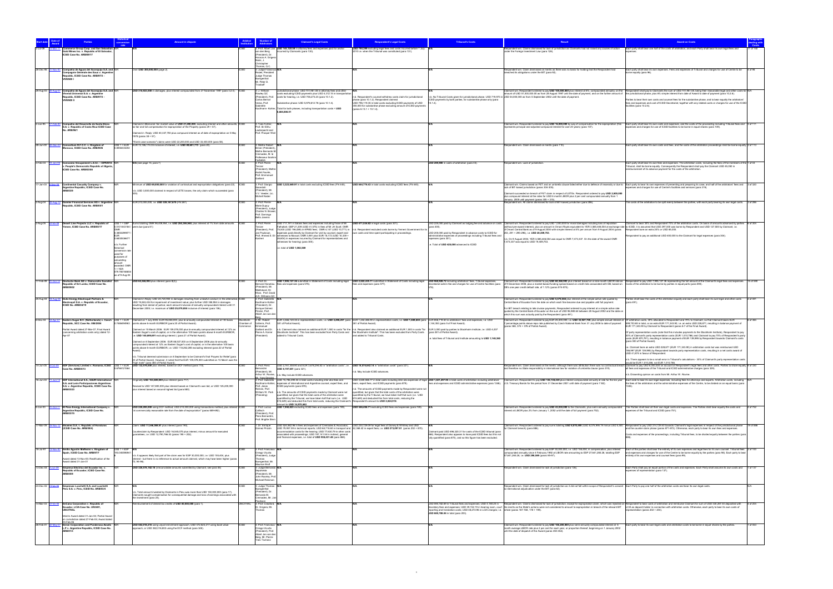|           |            |                                                                                                                            |                                           |                                                                                                                                                                                                                                                                                 |                                                              |                                                                                                                                                                                                                                                               |                                                                                                                                                                                                                                                                                                                                                  | <b>Tribunal's Costs</b>                                                                                                                                                                                       |                                                                                                                                                                                                                                                                                                                                                                                                            |                                                                                                                                                                                                                                                                                                                                                    |
|-----------|------------|----------------------------------------------------------------------------------------------------------------------------|-------------------------------------------|---------------------------------------------------------------------------------------------------------------------------------------------------------------------------------------------------------------------------------------------------------------------------------|--------------------------------------------------------------|---------------------------------------------------------------------------------------------------------------------------------------------------------------------------------------------------------------------------------------------------------------|--------------------------------------------------------------------------------------------------------------------------------------------------------------------------------------------------------------------------------------------------------------------------------------------------------------------------------------------------|---------------------------------------------------------------------------------------------------------------------------------------------------------------------------------------------------------------|------------------------------------------------------------------------------------------------------------------------------------------------------------------------------------------------------------------------------------------------------------------------------------------------------------------------------------------------------------------------------------------------------------|----------------------------------------------------------------------------------------------------------------------------------------------------------------------------------------------------------------------------------------------------------------------------------------------------------------------------------------------------|
|           |            | ommerce Group Corp. and San Sebastian<br><b>Gold Mines Inc. v. Republic of El Salvador</b>                                 |                                           |                                                                                                                                                                                                                                                                                 | an den Berg                                                  | 3: Prof. Albert Jan USD 145,120.59 in attorney fees and expenses paid for and/or<br>curred by Claimants (para 130).                                                                                                                                           | USD 790,399 excluding legal fees and costs incurred before 1 July N/A<br>2010 i.e. when the Tribunal was constituted (para 131).                                                                                                                                                                                                                 |                                                                                                                                                                                                               | Respondent win. Claims dismissed for lack of jurisdiction as Claimants had not raised any causes of action<br>under the Foreign Investment Law (para 128).                                                                                                                                                                                                                                                 | Each party shall bear one half of the costs of arbitration, and each Party shall bear its own legal fees and                                                                                                                                                                                                                                       |
|           |            | ICSID Case No. ARB/09/17                                                                                                   |                                           |                                                                                                                                                                                                                                                                                 | President). Dr<br>Horacio A. Grigera                         |                                                                                                                                                                                                                                                               |                                                                                                                                                                                                                                                                                                                                                  |                                                                                                                                                                                                               |                                                                                                                                                                                                                                                                                                                                                                                                            |                                                                                                                                                                                                                                                                                                                                                    |
|           |            |                                                                                                                            |                                           |                                                                                                                                                                                                                                                                                 | Naón, J.<br>Christopher                                      |                                                                                                                                                                                                                                                               |                                                                                                                                                                                                                                                                                                                                                  |                                                                                                                                                                                                               |                                                                                                                                                                                                                                                                                                                                                                                                            |                                                                                                                                                                                                                                                                                                                                                    |
| 26-Dec-96 |            | 1-Nov-00 Compañía de Aguas del Aconquija S.A. and N/<br>Compagnie Générale des Eaux v. Argenti                             |                                           | Ver USD 300,000,000 (page 2).                                                                                                                                                                                                                                                   | Thomas, Q.O<br>3: Judge Francisco<br><b>Rezek, President</b> |                                                                                                                                                                                                                                                               |                                                                                                                                                                                                                                                                                                                                                  |                                                                                                                                                                                                               | Respondent win. Claim dismissed on merits as there was no basis for holding that the Respondent had<br>ched its obligations under the BIT (para 92).                                                                                                                                                                                                                                                       | Each party shall bear its own expenses. Fees and expenses of Tribunal and charges for use of Centre to be 4 of 96<br>orne equally (para 96).                                                                                                                                                                                                       |
|           |            | lepublic, ICSID Case No. ARB/97/3 -<br><b>VIVENDI I</b>                                                                    |                                           |                                                                                                                                                                                                                                                                                 | Judge Thomas<br><b>Buergenthal</b>                           |                                                                                                                                                                                                                                                               |                                                                                                                                                                                                                                                                                                                                                  |                                                                                                                                                                                                               |                                                                                                                                                                                                                                                                                                                                                                                                            |                                                                                                                                                                                                                                                                                                                                                    |
|           |            |                                                                                                                            |                                           |                                                                                                                                                                                                                                                                                 | Mr. Peter D.<br><b>Trooboff</b>                              |                                                                                                                                                                                                                                                               |                                                                                                                                                                                                                                                                                                                                                  |                                                                                                                                                                                                               |                                                                                                                                                                                                                                                                                                                                                                                                            |                                                                                                                                                                                                                                                                                                                                                    |
| 29-Aug-03 |            | 0-Aug-07 Compañía de Aguas del Aconquija S.A. and N/R<br>Vivendi Universal S.A. v. Argentine                               |                                           | USD 316,923,000 in damages, plus interest compounded from 27 November 1997 (para 3.2.4). ICSID                                                                                                                                                                                  | 3: J. William<br>Rowley QC                                   | Jurisdictional phase: USD 701,961.08 in attorney fees and other<br>costs excluding ICSID payments plus USD 4,312.15 in transportation                                                                                                                         |                                                                                                                                                                                                                                                                                                                                                  |                                                                                                                                                                                                               | Claimant win. Respondent ordered to pay USD 105,000,000 plus interest at 6%, compounded annually, on the<br>mount of USD 51,000,000.00 as from 28 August 1997 until the date of payment, and on the further amount of the jurisdictional phase, plus 6% simple interest from date of Award to date of payment (para 10.2.6).                                                                               | Respondent shall pay to Claimants the sum of USD 701,961.08, being their reasonable legal and other costs for N/A                                                                                                                                                                                                                                  |
|           |            | Republic, ICSID Case No. ARB/97/3 -<br><b>VIVENDI II</b>                                                                   |                                           |                                                                                                                                                                                                                                                                                 | President), Prof<br>Carlos Bernal                            | costs for hearing, i.e. USD 706,273.23 (para 10.1.2).                                                                                                                                                                                                         | 1.b. Respondent's counsel withdrew costs claim for jurisdictional<br>phase (para 10.1.2). Respondent claimed                                                                                                                                                                                                                                     | ICSID payments by both parties, for substantive phase only (para                                                                                                                                              | n.b. No Tribunal Costs given for jurisdictional phase. USD 719,973 in USD 54,000,000 as from 5 September 2002 until the date of payment.                                                                                                                                                                                                                                                                   | Parties to bear their own costs and counsel fees for the substantive phase, and to bear equally the arbitrators'                                                                                                                                                                                                                                   |
|           |            |                                                                                                                            |                                           |                                                                                                                                                                                                                                                                                 | Verea, Prof.<br>Gabrielle                                    | Substantive phase: USD 5,978,612.78 (para 10.1.4).<br>Kaufmann- Kohler. Total for both phases, including transportation costs = USD                                                                                                                           | USD 796,119.35 in total costs excluding ICSID payments of USD<br>355,000 for substantive phase excluding amount of ICSID payments<br>(paras 6.13.1 + 10.1.4).                                                                                                                                                                                    | $10.1.4$ ).                                                                                                                                                                                                   |                                                                                                                                                                                                                                                                                                                                                                                                            | fees and expenses and cost of ICSID Secretariat, together with any related costs or charges for use of the ICSID<br>facilities (para 10.2.6).                                                                                                                                                                                                      |
|           |            |                                                                                                                            |                                           |                                                                                                                                                                                                                                                                                 |                                                              | 6.684.886.01                                                                                                                                                                                                                                                  |                                                                                                                                                                                                                                                                                                                                                  |                                                                                                                                                                                                               |                                                                                                                                                                                                                                                                                                                                                                                                            |                                                                                                                                                                                                                                                                                                                                                    |
| 2-Jun-95  |            | 7-Feb-00 Compañía del Desarrollo de Santa Elena                                                                            |                                           | Claimed in Memorial: fair market value of USD 41,200,000, excluding interest and other amounts, ICSID                                                                                                                                                                           | 3: Yves Fortier                                              |                                                                                                                                                                                                                                                               |                                                                                                                                                                                                                                                                                                                                                  |                                                                                                                                                                                                               | Claimant win. Respondent ordered to pay USD 16,000,000 by way of compensation for the expropriation (this                                                                                                                                                                                                                                                                                                  | Each party shall bear its own costs and expenses, and the costs of the proceeding including Tribunal fees and 3 of 111                                                                                                                                                                                                                             |
|           |            | S.A. v. Republic of Costa Rica ICSID Case<br>No. ARB/96/1                                                                  |                                           | s fair and full compensation for expropriation of the Property (paras 29 + 57).                                                                                                                                                                                                 | Prof. Sir Elihu<br>Lauterpacht and                           |                                                                                                                                                                                                                                                               |                                                                                                                                                                                                                                                                                                                                                  |                                                                                                                                                                                                               | presents principal and adjusted compound interest for over 20 years) (para 107).                                                                                                                                                                                                                                                                                                                           | enses and charges for use of ICSID facilities to be borne in equal shares (para 109).                                                                                                                                                                                                                                                              |
|           |            |                                                                                                                            |                                           | Claimed in Reply: USD 40,337,750 plus compound interest as of date of expropriation on 5 May<br>1978 (paras 38 + 57).                                                                                                                                                           | Prof. Prosper Weil                                           |                                                                                                                                                                                                                                                               |                                                                                                                                                                                                                                                                                                                                                  |                                                                                                                                                                                                               |                                                                                                                                                                                                                                                                                                                                                                                                            |                                                                                                                                                                                                                                                                                                                                                    |
| 28-Jun-00 |            | 2-Dec-03 Consortium R.F.C.C. v. Kingdom of                                                                                 | $USS 1 = EUR$                             | Vorst case scenario" claims were USD 22,200,000 and USD 33,400,000 (para 58).<br>EUR 72,186,174.35 inclusive of interest, i.e. USD 89,601,773 (para 20).                                                                                                                        | 3: Maître Robert                                             |                                                                                                                                                                                                                                                               |                                                                                                                                                                                                                                                                                                                                                  |                                                                                                                                                                                                               | Respondent win. Claim dismissed on merits (para 110)                                                                                                                                                                                                                                                                                                                                                       | Each party shall bear its own costs and fees, and the costs of the arbitration proceedings shall be borne equally. 2 of 113                                                                                                                                                                                                                        |
|           |            | occo, ICSID Case No. ARB/00/6                                                                                              | 8056333254                                |                                                                                                                                                                                                                                                                                 | riner (Président),<br>Maître Bernardo M.<br>Cremades, M. le  |                                                                                                                                                                                                                                                               |                                                                                                                                                                                                                                                                                                                                                  |                                                                                                                                                                                                               |                                                                                                                                                                                                                                                                                                                                                                                                            |                                                                                                                                                                                                                                                                                                                                                    |
|           |            |                                                                                                                            |                                           |                                                                                                                                                                                                                                                                                 | Professeur Ibrahim<br>Fadlallah                              |                                                                                                                                                                                                                                                               |                                                                                                                                                                                                                                                                                                                                                  |                                                                                                                                                                                                               |                                                                                                                                                                                                                                                                                                                                                                                                            |                                                                                                                                                                                                                                                                                                                                                    |
| 3-Feb-03  |            | 0-Jan-05 Consorzio Groupement L.E.S.I. - DIPENTA<br>. People's Democratic Republic of Algeria,<br>ICSID Case No. ARB/03/08 |                                           | N/A (see page 15, para 7                                                                                                                                                                                                                                                        | 3: Prof. Pierre<br>Tercier<br>(President), Maître            |                                                                                                                                                                                                                                                               |                                                                                                                                                                                                                                                                                                                                                  | USD 209,900 in costs of arbitration (para 43)                                                                                                                                                                 | Respondent win. Lack of jurisdiction                                                                                                                                                                                                                                                                                                                                                                       | Each party shall bear its own fees and expenses. The arbitration costs, including the fees of the members of the 1 of 43<br>Tribunal, shall be borne equally. Consequently the Respondent shall pay the Claimant USD 45,050 in<br>mbursement of its advance payment for the costs of the arbitration.                                              |
|           |            |                                                                                                                            |                                           |                                                                                                                                                                                                                                                                                 | André Faurès,<br>Prof. Emmanuel                              |                                                                                                                                                                                                                                                               |                                                                                                                                                                                                                                                                                                                                                  |                                                                                                                                                                                                               |                                                                                                                                                                                                                                                                                                                                                                                                            |                                                                                                                                                                                                                                                                                                                                                    |
| 7-Jan-03  |            |                                                                                                                            |                                           |                                                                                                                                                                                                                                                                                 | Gaillard<br>3: Prof. Giorgio                                 | JSD 3,323,849.91 in total costs excluding ICSID fees (FN 445).                                                                                                                                                                                                | USD 844,776.43 in total costs excluding ICSID fees (FN 445).                                                                                                                                                                                                                                                                                     |                                                                                                                                                                                                               |                                                                                                                                                                                                                                                                                                                                                                                                            |                                                                                                                                                                                                                                                                                                                                                    |
|           |            | Continental Casualty Company v.<br>Argentine Republic, ICSID Case No.<br>RB/03/9                                           |                                           | nimum of USD 69,000,000 for violation of contractual and expropriation obligations (para 22).  ICSID<br>b. USD 3.500.000 claimed in respect of LETE losses, the only claim which succeeded (para                                                                                | Sacerdoti<br>(President), Mr.                                |                                                                                                                                                                                                                                                               |                                                                                                                                                                                                                                                                                                                                                  |                                                                                                                                                                                                               | lack of BIT-based jurisdiction (paras 304-305)                                                                                                                                                                                                                                                                                                                                                             | Claimant win. Claims based on FET and on umbrella clause failed either due to defence of necessity or due to Each party to bear its own expenses of presenting and preparing its case, and half of the arbitrators' fees and<br>penses and charges for use of Centre's facilities and services (para 319).                                         |
|           |            |                                                                                                                            |                                           |                                                                                                                                                                                                                                                                                 | V.V. Veeder, Lic<br>Michell Nader                            |                                                                                                                                                                                                                                                               |                                                                                                                                                                                                                                                                                                                                                  |                                                                                                                                                                                                               | Claimant succeeded on breach of FET claim in respect of LETEs. Respondent ordered to pay USD 2,800,000<br>plus compound interest at the rates for USD 6 month LIBOR plus 2 per cent compounded annually from 1                                                                                                                                                                                             |                                                                                                                                                                                                                                                                                                                                                    |
| 2-Aug-04  |            | Daimler Financial Services AG v. Argentine<br>lepublic, ICSID Case No. ARB/05/1                                            |                                           | EUR 272,000,000, i.e. USD 339,147,670 (FN 267)                                                                                                                                                                                                                                  | : Prof. Pierre<br>Marie Dupuy                                |                                                                                                                                                                                                                                                               |                                                                                                                                                                                                                                                                                                                                                  |                                                                                                                                                                                                               | January 2005 until payment (paras 305 + 315).<br>spondent win. All claims dismissed for lack of BIT-based jurisdiction (para 286                                                                                                                                                                                                                                                                           | he costs of the arbitration to be split evenly between the parties, with each party bearing its own legal costs.                                                                                                                                                                                                                                   |
|           |            |                                                                                                                            |                                           |                                                                                                                                                                                                                                                                                 | (President), Judge<br>Charles N. Brower                      |                                                                                                                                                                                                                                                               |                                                                                                                                                                                                                                                                                                                                                  |                                                                                                                                                                                                               |                                                                                                                                                                                                                                                                                                                                                                                                            |                                                                                                                                                                                                                                                                                                                                                    |
|           |            |                                                                                                                            |                                           |                                                                                                                                                                                                                                                                                 | Prof. Domingo<br>Bello Janeiro                               |                                                                                                                                                                                                                                                               |                                                                                                                                                                                                                                                                                                                                                  |                                                                                                                                                                                                               |                                                                                                                                                                                                                                                                                                                                                                                                            |                                                                                                                                                                                                                                                                                                                                                    |
| 2-Aug-05  | $S-Feb-08$ | Desert Line Projects LLC v. Republic of<br>Yemen, ICSID Case No. ARB/05/17                                                 |                                           | US\$ 1 = GBP Sums totalling OMR 96,409,954, i.e. USD 250,395,948, plus interest at 7% from date amounts ICSID<br>0.5101443184 / were due (para 81)                                                                                                                              | : Prof. Pierre                                               | USD 717,191 in Salans fees and expenses including those of Mr.<br>Fathallah; GBP 21,209 (USD 41,575) in fees of Mr JH Scott; OMR                                                                                                                              | USD 471,534.82 in legal costs (para 301).                                                                                                                                                                                                                                                                                                        | (para 300)                                                                                                                                                                                                    | USD 225,000 paid by Claimant as lodging fee and advance on costs Claimant win. Respondent ordered to pay USD 1,000,000 for moral damages including loss of reputation<br>(without pre-award interest), plus an amount in Omani Riyals equivalent to YER 3,585,446,554 at exchange rate to ICSID, it is assumed that USD 297,500 was borne by Respondent and USD 127,500 by Claimant, i.e.                  | Claimant to bear 30% and Respondent 70% of the arbitration costs. On basis of amounts advanced by parties                                                                                                                                                                                                                                          |
|           |            |                                                                                                                            | 0.3850299977                              |                                                                                                                                                                                                                                                                                 | (President), Pro<br>Jan Paulsson<br>Prof. Ahmed S. E.        | 75 500 (USD 196 089) in KPMG fees: OMR 4 147 (USD 10 771) in<br>expenses paid directly by Claimant for visit by counsel, expert and<br>- witnesses to Muscat: OMR 3.981 plus EUR 18.172 (USD 10.339 +                                                         | n.b. Respondent excluded costs borne by Yemeni Government for<br>own costs and time spent participating in proceedings.                                                                                                                                                                                                                          | USD 200,000 naid by Respondent in advance costs to ICSID for<br>dministrative expenses of proceedings including Tribunal fees and                                                                             | of Omani Central Bank as of 9 August 2004 with simple interest at 5% per annum from 9 August 2004 (paras<br>253 291 + 295-296) je USD 20.409.753                                                                                                                                                                                                                                                           | Respondent bore an extra 20% or USD 85,000<br>ondent to pay an additional USD 400,000 to the Claimant for legal expenses (para 304).                                                                                                                                                                                                               |
|           |            |                                                                                                                            | 0.683053667                               |                                                                                                                                                                                                                                                                                 | Kosheri                                                      | 26,604) in expenses incurred by Claimant for representatives and<br>itnesses for hearing) (para 300)                                                                                                                                                          |                                                                                                                                                                                                                                                                                                                                                  | xpenses (para 301).                                                                                                                                                                                           | n.b. On 9 August 2004, YER 3,585,446,554 was equal to OMR 7,473,337. On the date of the award OMR<br>7.473.337 was equal to USD 19.409.753.                                                                                                                                                                                                                                                                |                                                                                                                                                                                                                                                                                                                                                    |
|           |            |                                                                                                                            | n.b. Further<br>historical                |                                                                                                                                                                                                                                                                                 |                                                              | e. total of USD 1,002,569                                                                                                                                                                                                                                     |                                                                                                                                                                                                                                                                                                                                                  | .e. Total of USD 425,000 advanced to ICSID                                                                                                                                                                    |                                                                                                                                                                                                                                                                                                                                                                                                            |                                                                                                                                                                                                                                                                                                                                                    |
|           |            |                                                                                                                            | conversion ra<br>used for<br>purposes of  |                                                                                                                                                                                                                                                                                 |                                                              |                                                                                                                                                                                                                                                               |                                                                                                                                                                                                                                                                                                                                                  |                                                                                                                                                                                                               |                                                                                                                                                                                                                                                                                                                                                                                                            |                                                                                                                                                                                                                                                                                                                                                    |
|           |            |                                                                                                                            | calculating<br>amount                     |                                                                                                                                                                                                                                                                                 |                                                              |                                                                                                                                                                                                                                                               |                                                                                                                                                                                                                                                                                                                                                  |                                                                                                                                                                                                               |                                                                                                                                                                                                                                                                                                                                                                                                            |                                                                                                                                                                                                                                                                                                                                                    |
|           |            |                                                                                                                            | awarded: OMF<br>$1 = YER$<br>479.76516865 |                                                                                                                                                                                                                                                                                 |                                                              |                                                                                                                                                                                                                                                               |                                                                                                                                                                                                                                                                                                                                                  |                                                                                                                                                                                                               |                                                                                                                                                                                                                                                                                                                                                                                                            |                                                                                                                                                                                                                                                                                                                                                    |
|           |            |                                                                                                                            | s of 9-Aug-0                              |                                                                                                                                                                                                                                                                                 |                                                              |                                                                                                                                                                                                                                                               |                                                                                                                                                                                                                                                                                                                                                  |                                                                                                                                                                                                               |                                                                                                                                                                                                                                                                                                                                                                                                            |                                                                                                                                                                                                                                                                                                                                                    |
| 17-Feb-09 |            | Deutsche Bank AG v. Democratic Socialis<br>Republic of Sri Lanka, ICSID Case No.<br>ARRIORIOS                              |                                           | USD 60,368,993 plus interest (para 8(2))                                                                                                                                                                                                                                        | 3: Prof. Dr.<br>(President), Mr.                             | USD 7,995,127.36 submitted in Statement of Costs including legal<br>Bernard Hanotiau fees and expenses (para 576).                                                                                                                                            | USD 2,822,435.11 submitted in Statement of Costs including legal<br>fees and expenses (para 577).                                                                                                                                                                                                                                                | USD 960,928.72 including arbitrators' fees, Tribunal expenses,                                                                                                                                                | Claimant win. Respondent ordered to pay USD 60,368,993 plus interest based on a nine-month LIBOR rate as<br>ecretariat admin fee and charges for use of Centre facilities (para   of 9 December 2008, plus a market-based funding spread based on credit risks associated with DB, based on [Costs of the arbitration to be borne by parti<br>DB's one-year credit default rate, of 1.12% (paras 574-575). | 15 of 590<br>Respondent to pay USD 7,995,127.36 representing the full amount of the Claimant's legal fees and expenses.                                                                                                                                                                                                                            |
|           |            |                                                                                                                            |                                           |                                                                                                                                                                                                                                                                                 | Makhdoom Ali<br>Khan, Prof. David                            |                                                                                                                                                                                                                                                               |                                                                                                                                                                                                                                                                                                                                                  |                                                                                                                                                                                                               |                                                                                                                                                                                                                                                                                                                                                                                                            |                                                                                                                                                                                                                                                                                                                                                    |
| 25-Aug-04 |            | 8-Aug-08 Duke Energy Electroquil Partners &<br>Electroquil S.A. v. Republic of Ecuador,                                    |                                           | laimed in Reply: USD 24,720,904 in damages resulting from unlawful conduct; in the alternative, ICSID<br>USD 19,263,434 for impairment of investment value; plus further USD 358,954 in damages                                                                                 | A.R. Williams QO<br>3: Prof. Gabrielle<br>Kaufmann-Kohler    |                                                                                                                                                                                                                                                               |                                                                                                                                                                                                                                                                                                                                                  |                                                                                                                                                                                                               | Claimant win. Respondent ordered to pay USD 5,578,566 plus interest at the simple active rate quoted by<br>Central Bank of Ecuador from the date on which each fine became due and payable until full payment.                                                                                                                                                                                             | Parties shall bear the costs of the arbitration equally and each party shall bear its own legal and other costs                                                                                                                                                                                                                                    |
|           |            | ICSID No. ARB/04/19                                                                                                        |                                           | resulting from denial of justice; each amount inclusive of annually compounded interest until 31<br>December 2005; i.e. maximum of USD 25,079,858 inclusive of interest (para 106).                                                                                             | President), Dr.<br>Enrique Gómez                             |                                                                                                                                                                                                                                                               |                                                                                                                                                                                                                                                                                                                                                  |                                                                                                                                                                                                               | For BIT breach relating to late invoice payments. Respondent ordered to pay interest at a simple active rate                                                                                                                                                                                                                                                                                               |                                                                                                                                                                                                                                                                                                                                                    |
|           |            |                                                                                                                            |                                           |                                                                                                                                                                                                                                                                                 | Pinzón, Prof.<br>Albert Jan van der                          |                                                                                                                                                                                                                                                               |                                                                                                                                                                                                                                                                                                                                                  |                                                                                                                                                                                                               | quoted by the Central Bank of Ecuador on the sum of USD 96,980.64 between 28 August 2002 and the date or<br>which this sum was actually paid by the Respondent (para 491).                                                                                                                                                                                                                                 |                                                                                                                                                                                                                                                                                                                                                    |
| 6-Dec-04  |            | public, SCC Case No. 008/2004                                                                                              |                                           | 12-Apr-07 Eastern Sugar B.V. (Netherlands) v. Czech US\$ 1 = EUR Claimed on 1 July 2005: EUR 95,858,000, plus bi-annually compounded interest at 100 basis<br>Stockholm<br>points above 6-month EURIBOR (para 20 of Partial Award).<br>hamber of                                | 3: Mr. Rober<br>Volterra, Prof.                              | 381 of Partial Award).                                                                                                                                                                                                                                        | EUR 3,366,120.35 in representation costs, i.e. USD 4,496,257 (para EUR 1,242,486.90 in representation costs, i.e. USD 1,659,638 (para EUR 856,719.50 in arbitrators' fees and expenses, i.e. USD<br>381 of Partial Award).                                                                                                                       | 144,353 (para 5 of Final Award                                                                                                                                                                                | Claimant win. Respondent ordered to pay EUR 25,400,000, i.e. USD 33,927,759, plus simple annual interest at Of arbitration costs, 30% allocated to Respondent and 70% to Claimant, so that Claimant bears EUR<br>7 percentage points above repo rate published by Czech National Bank from 31 July 2006 to date of payment                                                                                 | 599,703.65 in total, or an extra EUR 171,343.90, i.e. an extra USD 228,871; resulting in balance payment of                                                                                                                                                                                                                                        |
|           |            | Partial Award dated 27-Mar-07; Final Award<br>(concerning arbitration costs only) dated 12-                                |                                           | Claimed on 15 March 2006: EUR 109,078,000 plus bi-annually compounded interest at 12% as<br>Eastern Sugar's cost of capital, or in the alternative 100 basis points above 6-month EURIBOR,                                                                                      | mmanuel<br>Gaillard and Dr<br>Pierre A. Karrer               |                                                                                                                                                                                                                                                               | n.b. Claimant also claimed an additional EUR 1,500 in costs "for the n.b. Respondent also claimed an additional EUR 1,500 in costs "for EUR 3,000 paid by parties to Stockholm Institute, i.e. USD 4,007<br>Stockholm Institute". This has been excluded from Party Costs and  the Stockholm Institute". This has been excluded from Party Costs | (para 381 of Partial Award)                                                                                                                                                                                   | paras 368, 374 + 376 of Partial Award).                                                                                                                                                                                                                                                                                                                                                                    | :UR 171,343.90 by Claimant to Respondent (paras 6-7 of the Final Award).<br>Of party representation costs (note that this includes payments to the Stockholm Institute), Respondent to pay                                                                                                                                                         |
|           |            |                                                                                                                            |                                           | e. USD 145,699,691 excluding interest ( (para 21 of Partial Award).                                                                                                                                                                                                             | President)                                                   | added to Tribunal Costs.                                                                                                                                                                                                                                      | and added to Tribunal Costs.                                                                                                                                                                                                                                                                                                                     | i.e. total fees of Tribunal and Institute amounting to USD 1,148,360                                                                                                                                          |                                                                                                                                                                                                                                                                                                                                                                                                            | 30% of Claimant's party representation costs (EUR 1,010,786) and Claimant to pay 70% of Respondent's party<br>costs (EUR 870,791), resulting in balance payment of EUR 139,995 by Respondent towards Claimant's costs                                                                                                                              |
|           |            |                                                                                                                            |                                           | Claimed on 8 September 2006: EUR 88,537,000 on 8 September 2006 plus bi-annually<br>compounded interest at 12% as Eastern Sugar's cost of capital, or in the alternative 100 basis<br>points above 6-month EURIBOR, i.e. USD 118,262,285 excluding interest (para 22 of Partial |                                                              |                                                                                                                                                                                                                                                               |                                                                                                                                                                                                                                                                                                                                                  |                                                                                                                                                                                                               |                                                                                                                                                                                                                                                                                                                                                                                                            | (para 383 of Partial Award).<br>i.e. Claimant bore an extra USD 228,871 (EUR 171,343.90) in arbitration costs but was reimbursed USD                                                                                                                                                                                                               |
|           |            |                                                                                                                            |                                           |                                                                                                                                                                                                                                                                                 |                                                              |                                                                                                                                                                                                                                                               |                                                                                                                                                                                                                                                                                                                                                  |                                                                                                                                                                                                               |                                                                                                                                                                                                                                                                                                                                                                                                            | 186,997 (EUR 139,995) by Respondent towards party representation costs, resulting in a net costs award of<br>USD 41,874 in favour of Respondent.                                                                                                                                                                                                   |
|           |            |                                                                                                                            |                                           | b. Tribunal deemed submission on 8 September to be Claimant's final Prayers for Relief (para<br>23 of Partial Award). However, it noted that the EUR 109,078,000 submitted on 15 March was the<br>high mark" (para 380 of Partial Award).                                       |                                                              |                                                                                                                                                                                                                                                               |                                                                                                                                                                                                                                                                                                                                                  |                                                                                                                                                                                                               |                                                                                                                                                                                                                                                                                                                                                                                                            | b. There appears to be a small error in Tribunal's calculations - 30% of Claimant's party representation costs.<br>puld be EUR 1.010.286, not EUR 1.010.786                                                                                                                                                                                        |
| 14-Jun-05 |            | <b>Case No. ARB/05/13</b>                                                                                                  | 0.6766121564                              | 8-Oct-09 EDF (Services) Limited v. Romania, ICSID USS 1 = EUR USD 132.576.000 plus interest, based on DCF method (para 110)                                                                                                                                                     | 3: Prof. Piero<br>Bernardini                                 | USD 2,761,308.90 and EUR 3,678,294.82 in "arbitration costs", i.e.  USD 18,574,642.14 in "arbitration costs" (para 321)<br>USD 8,197,651 (para 321).                                                                                                          |                                                                                                                                                                                                                                                                                                                                                  |                                                                                                                                                                                                               | and therefore no State responsibility in international law for violation of umbrella clause (para 319).                                                                                                                                                                                                                                                                                                    | Respondent win. Claim dismissed on the merits: although there was attribution there was no contractual breach Claimant to pay USD 6,000,000 on account of Respondent's legal fees and other costs. Parties to share equally 9<br>all fees and expenses of the Tribunal and ICSID administrative charges (para 329).                                |
|           |            |                                                                                                                            |                                           |                                                                                                                                                                                                                                                                                 | (President), Mr.                                             | Arthur W. Rovine, n.b. May include ICSID advances.                                                                                                                                                                                                            | .b. May include ICSID advances                                                                                                                                                                                                                                                                                                                   |                                                                                                                                                                                                               |                                                                                                                                                                                                                                                                                                                                                                                                            | b. Dissenting opinion on costs from Mr. Arthur W. Rovine.                                                                                                                                                                                                                                                                                          |
|           |            | 16-Jun-03 11-Jun-12 EDF International S.A., SAUR International<br>S.A. and León Participaciones Argentinas                 |                                           | Originally USD 153,600,000 plus interest (para 717)                                                                                                                                                                                                                             |                                                              | Mr. Yves Derains<br>3: Prof. Gabrielle    USD 15,786,490.54 in total costs including inter alia fees and<br>Kaufmann-Kohler, expenses of international and Argentine counsel, expert fees, and                                                                | team, expert fees, and ICSID payments (para 879).                                                                                                                                                                                                                                                                                                |                                                                                                                                                                                                               | ees and expenses and ICSID administrative expenses (para 1346). U.S. Treasury Bonds for the period from 31 December 2001 until date of payment (para 1182).                                                                                                                                                                                                                                                | USD 3,640,566.77 in total costs including inter alia expenses of legal USD 1,631,297.95 in total costs of arbitration including arbitrators' Claimant win. Respondent to pay USD 136,138,430 plus interest compounded annually<br>the fees of the arbitrators and the administrative expenses of the Centre, to be divided on an equal basis (para |
|           |            | S.A. v. Argentine Republic, ICSID Case No<br>ARB/03/23                                                                     |                                           | Revised to USD 147,800,000 plus interest based on Claimant's own bid, or USD 125,200,000<br>lus interest based on second highest bid (para 880)                                                                                                                                 | Prof. Jesús<br>Remón, Prof.<br>William W. Park               | ICSID payments (para 878).<br>n.b. The amounts of ICSID payments made by Claimant were not                                                                                                                                                                    | 1.b. The amounts of ICSID payments made by Respondent were not<br>quantified, but given that the total costs of the arbitration were                                                                                                                                                                                                             |                                                                                                                                                                                                               |                                                                                                                                                                                                                                                                                                                                                                                                            |                                                                                                                                                                                                                                                                                                                                                    |
|           |            |                                                                                                                            |                                           |                                                                                                                                                                                                                                                                                 | Presiding)                                                   | quantified, but given that the total costs of the arbitration were<br>quantified by the Tribunal, we have taken half that sum (i.e. USD                                                                                                                       | quantified by the Tribunal, we have taken half that sum (i.e. USD<br>815,649) and deducted this from total costs, reducing the                                                                                                                                                                                                                   |                                                                                                                                                                                                               |                                                                                                                                                                                                                                                                                                                                                                                                            |                                                                                                                                                                                                                                                                                                                                                    |
| 6-Jun-03  |            | El Paso Energy International Company v                                                                                     |                                           | USD 228,200,000 using DCF method; USD 210,000,000 using transactions method; plus interest IC                                                                                                                                                                                   | 3: Prof. Lucius                                              | 816,649) and deducted this from total costs, reducing the Claimant's Respondent's amount to USD 2,824,918.<br>ount to USD 14,970,842.<br>USD 7,950,823 excluding ICSID fees and expenses (para 749).                                                          | USD 546,456.71 excluding ICSID fees and expenses (para 749).                                                                                                                                                                                                                                                                                     |                                                                                                                                                                                                               | Claimant win. Respondent ordered to pay USD 43,030,000 to the Claimants, plus semi-annually compounded                                                                                                                                                                                                                                                                                                     | The Parties shall bear all their own legal costs and expenses. The Parties shall bear equally the costs and<br>4 of 752                                                                                                                                                                                                                            |
|           |            | Argentine Republic, ICSID Case No.<br>RB/03/15                                                                             |                                           | "at commercially reasonable rate from the date of expropriation" (paras 689-692).                                                                                                                                                                                               | Caflisch<br>(President), Prof                                |                                                                                                                                                                                                                                                               |                                                                                                                                                                                                                                                                                                                                                  |                                                                                                                                                                                                               | interest at LIBOR plus 2% from January 1, 2002 until the date of full payment (para 752).                                                                                                                                                                                                                                                                                                                  | enses of the Tribunal and ICSID (para 751)                                                                                                                                                                                                                                                                                                         |
|           |            |                                                                                                                            |                                           |                                                                                                                                                                                                                                                                                 | Piero Bernardini<br>Prof. Brigitte Stern                     |                                                                                                                                                                                                                                                               |                                                                                                                                                                                                                                                                                                                                                  |                                                                                                                                                                                                               |                                                                                                                                                                                                                                                                                                                                                                                                            |                                                                                                                                                                                                                                                                                                                                                    |
|           |            | 7-Mar-09 16-Nov-12 Elsamex S.A. v. Republic of Honduras<br>(ICSID Case No. ARB/09/4)                                       |                                           | laim: USD 11,546,088.81 plus interest (para 190).                                                                                                                                                                                                                               | 1: Dr. Enrique<br>Sómez Pinzón                               | USD 524,982.96 in fees and expenses of Cremades & Asociados; USD 230,729.09 for legal fees of Dorsey & Whitney and USD<br>USD 79,957.59 in technical reports; USD 68,718.60 in transport and 42,368.42 in expert fees, i.e. USD 273,097.51 (paras 202 + 870). |                                                                                                                                                                                                                                                                                                                                                  |                                                                                                                                                                                                               | Claimant win. Respondent ordered to pay sums totalling USD 8,070,495 (USD 8,075,995.19 minus USD 5,500<br>or Claimant breach) (para 886).                                                                                                                                                                                                                                                                  | Respondent to pay USD 214,729.40 towards Claimant's legal expenses in respect of the jurisdictional phase<br>19 of 886<br>nd the counter-claim phase (paras 871-872). Otherwise, each party to bear its own fees and excenses                                                                                                                      |
|           |            |                                                                                                                            |                                           | Counterclaim by Respondent: USD 16,545,075 plus interest, minus amount for executed<br>uarantees, i.e. USD 12,790,766.53 (paras 195 + 202).                                                                                                                                     |                                                              | odation costs for the hearing; USD 77,630.79 in other costs<br>ssociated with proceedings; USD 187,141.54 in indirect, general<br>and financial expenses, i.e. total of USD 938,431.48 (para 868).                                                            |                                                                                                                                                                                                                                                                                                                                                  | laimant paid USD 496,320.31 for costs of the ICSID tribunal (para<br>868). Respondent also appears to have paid ICSID fees but this not<br>fully quantified (para 870), and so this figure has been excluded. |                                                                                                                                                                                                                                                                                                                                                                                                            | Costs and expenses of the proceedings, including Tribunal fees, to be divided equally between the parties (para                                                                                                                                                                                                                                    |
|           |            |                                                                                                                            |                                           |                                                                                                                                                                                                                                                                                 |                                                              |                                                                                                                                                                                                                                                               |                                                                                                                                                                                                                                                                                                                                                  |                                                                                                                                                                                                               |                                                                                                                                                                                                                                                                                                                                                                                                            |                                                                                                                                                                                                                                                                                                                                                    |
| 18-Jul-97 |            | Emilio Agustin Maffezini v. Kingdom of<br>pain, ICSID Case No. ARB/97/7                                                    | $USS 1 = ESP$<br>193.045596941            |                                                                                                                                                                                                                                                                                 | 3: Prof. Francisco N<br>Orrego Vicuña                        |                                                                                                                                                                                                                                                               |                                                                                                                                                                                                                                                                                                                                                  |                                                                                                                                                                                                               | Claimant win. Respondent ordered to pay ESP 30,000,000, i.e. USD 155,404, in compensation, plus interest<br>compounded annually since 4 February 1992 at LIBOR rate amounting to ESP 27,641,265.28, totalling ESP                                                                                                                                                                                          | Each of the parties shall bear the entirety of its own expenses and legal fees for its own counsel. Tribunal fees 2 of 100<br>and expenses and charges for use of the Centre to be borne equally by the parties (para 98). Each party to bear                                                                                                      |
|           |            | Award dated 13-Nov-00; Rectification of the                                                                                |                                           | n.b. It appears likely that part of the claim was for ESP 30,000,000, i.e. USD 155,404, plus<br>interest - but there is no reference to actual amount claimed, which may have been higher (paras                                                                                | President), Judge<br>Thomas                                  |                                                                                                                                                                                                                                                               |                                                                                                                                                                                                                                                                                                                                                  |                                                                                                                                                                                                               | 57,641,265.28, i.e. USD 298,589 (paras 95-97).                                                                                                                                                                                                                                                                                                                                                             | ntirety of its own expenses and counsel fees (para 99)                                                                                                                                                                                                                                                                                             |
| 13-Dec-04 |            | Award dated 31-Jan-01<br>Empresa Eléctrica del Ecuador Inc. v.                                                             |                                           | 72.94-96).<br>USD 326,578,182.18 (irreconcilable amounts submitted by Claimant, see para 46)                                                                                                                                                                                    | Buergenthal, Mr.<br>aurice Wolf                              |                                                                                                                                                                                                                                                               |                                                                                                                                                                                                                                                                                                                                                  |                                                                                                                                                                                                               | Respondent win. Claim dismissed for lack of jurisdiction (para 136).                                                                                                                                                                                                                                                                                                                                       |                                                                                                                                                                                                                                                                                                                                                    |
|           |            | lepublic of Ecuador, ICSID Case No.                                                                                        |                                           |                                                                                                                                                                                                                                                                                 | : Judge Bernardo<br>Sepúlveda<br>(President), Mr.            |                                                                                                                                                                                                                                                               |                                                                                                                                                                                                                                                                                                                                                  |                                                                                                                                                                                                               |                                                                                                                                                                                                                                                                                                                                                                                                            | Each Party shall pay an equal portion of the costs and expenses. Each Party shall assume its own costs and<br>penses of representation (para 137).                                                                                                                                                                                                 |
|           |            |                                                                                                                            |                                           |                                                                                                                                                                                                                                                                                 | John Rooney, Prof.<br>Michael Reisman                        |                                                                                                                                                                                                                                                               |                                                                                                                                                                                                                                                                                                                                                  |                                                                                                                                                                                                               |                                                                                                                                                                                                                                                                                                                                                                                                            |                                                                                                                                                                                                                                                                                                                                                    |
|           |            | 24-Dec-02 7-Feb-05 Empresas Lucchetti S.A. and Lucchett<br>Peru S.A. v. Peru, ICSID No. ARB/03/4                           |                                           |                                                                                                                                                                                                                                                                                 | 3: Judge Thomas<br><b>Buergenthal</b>                        |                                                                                                                                                                                                                                                               |                                                                                                                                                                                                                                                                                                                                                  |                                                                                                                                                                                                               | Respondent win. Claim dismissed for lack of jurisdiction as it did not fall within scope of Respondent's consent Each Party to pay one half of the arbitration costs and bear its own legal costs.<br>to international adjudication under the BIT (para 62).                                                                                                                                               |                                                                                                                                                                                                                                                                                                                                                    |
|           |            |                                                                                                                            |                                           | b. Total amount invested by Claimants in Peru was more than USD 150,000,000 (para 17).<br>Claimants sought compensation for consequential damage and loss of earnings associated with                                                                                           | resident), Dr.<br>Bernardo M.                                |                                                                                                                                                                                                                                                               |                                                                                                                                                                                                                                                                                                                                                  |                                                                                                                                                                                                               |                                                                                                                                                                                                                                                                                                                                                                                                            |                                                                                                                                                                                                                                                                                                                                                    |
| 14-Mar-03 |            | EnCana Corporation v. Republic of                                                                                          |                                           | e investment (para 24)<br>nbursement of denied tax credits of USD 80,000,000 (para 1).<br><b>INCITRAL</b>                                                                                                                                                                       | Cremades, Mr. Ja<br>ulsson<br>3: Prof. Crawford,             |                                                                                                                                                                                                                                                               |                                                                                                                                                                                                                                                                                                                                                  |                                                                                                                                                                                                               | USD 594.182.69 in Tribunal fees and expenses: USD 4.180.20 in Respondent win. Claims dismissed for lack of iurisdiction, except for expropriation claim, which was rejected on Respondent to bear costs of arbitration and rei                                                                                                                                                                             | 4 of 204                                                                                                                                                                                                                                                                                                                                           |
|           |            | Ecuador, LCIA Case No. UN3481,<br><b>UNCITRAL</b>                                                                          |                                           |                                                                                                                                                                                                                                                                                 | Dr. Grigera, Mr.<br>homas                                    |                                                                                                                                                                                                                                                               |                                                                                                                                                                                                                                                                                                                                                  | reporting and translation costs; USD 48,272.96 in LCIA charges; i.e. article (paras 167-168, 178 + 199).                                                                                                      | Secretary fees and expenses; USD 39,152.19 in hearing room, court the merits as the State's actions were not considered to amount to expropriation in breach of the relevant BIT                                                                                                                                                                                                                           | LCIA as deposit-holder in connection with arbitration costs. Otherwise, each party to bear its own costs of<br>resentation (paras 202 + 204).                                                                                                                                                                                                      |
|           |            | nterim Award dated 31-Jan-04: Partial Award<br>on Jurisdiction dated 27-Feb-04; Award date                                 |                                           |                                                                                                                                                                                                                                                                                 |                                                              |                                                                                                                                                                                                                                                               |                                                                                                                                                                                                                                                                                                                                                  | USD 685,788.04 in total (para 203).                                                                                                                                                                           |                                                                                                                                                                                                                                                                                                                                                                                                            |                                                                                                                                                                                                                                                                                                                                                    |
| 26-Feh-0  |            | 03-Feb-06<br><b>Enron Corporation and Ponderosa Assets</b>                                                                 |                                           | JSD 582,018,216 using unjust enrichment approach, USD 472,823,217 using book value                                                                                                                                                                                              | : Prof. Francisco                                            |                                                                                                                                                                                                                                                               |                                                                                                                                                                                                                                                                                                                                                  |                                                                                                                                                                                                               | Claimant win. Respondent ordered to pay USD 106,200,000 plus semi-annually compounded interest at 6                                                                                                                                                                                                                                                                                                        | Each party to bear its own legal costs and arbitration costs to be borne in equal shares by the parties.                                                                                                                                                                                                                                           |
|           |            | L.P v. Argentine Republic, ICSID Case No.<br>ARB/01/3                                                                      |                                           | approach, or USD 382,016,802 using the DCF method (para 348).                                                                                                                                                                                                                   | Orrego-Vicuña<br>President), Prof<br>Albert Jan van den      |                                                                                                                                                                                                                                                               |                                                                                                                                                                                                                                                                                                                                                  |                                                                                                                                                                                                               | month average LIBOR rate plus 2 per cent for each year, or proportion thereof, beginning on 1 January 2002<br>until the date of dispatch of the Award (paras 450-452).                                                                                                                                                                                                                                     |                                                                                                                                                                                                                                                                                                                                                    |
|           |            |                                                                                                                            |                                           |                                                                                                                                                                                                                                                                                 | Berg, Mr. Pierre-<br>Yves Tschanz                            |                                                                                                                                                                                                                                                               |                                                                                                                                                                                                                                                                                                                                                  |                                                                                                                                                                                                               |                                                                                                                                                                                                                                                                                                                                                                                                            |                                                                                                                                                                                                                                                                                                                                                    |
|           |            |                                                                                                                            |                                           |                                                                                                                                                                                                                                                                                 |                                                              |                                                                                                                                                                                                                                                               |                                                                                                                                                                                                                                                                                                                                                  |                                                                                                                                                                                                               |                                                                                                                                                                                                                                                                                                                                                                                                            |                                                                                                                                                                                                                                                                                                                                                    |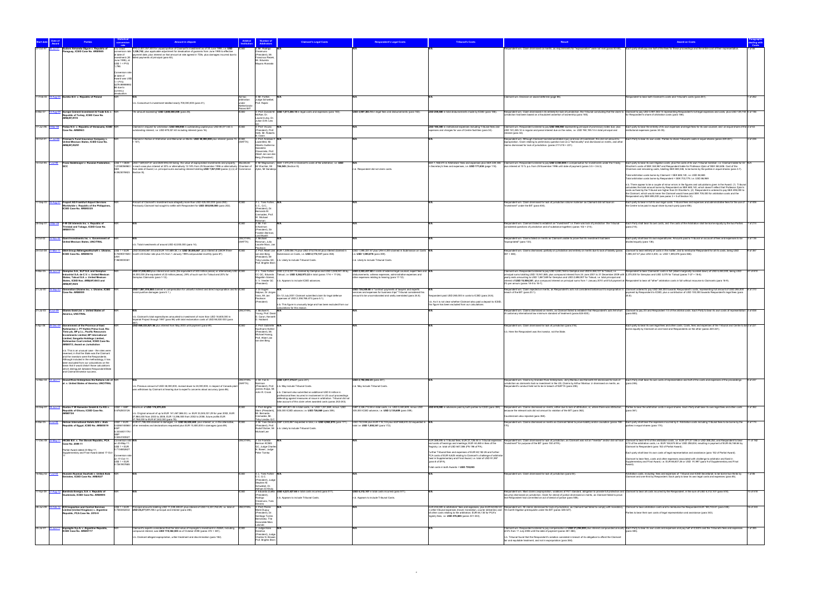|              |                    |                                                                                                                                                                                      |                                                                    |                                                                                                                                                                                                                                                                                                                                                                                                                                                                    |                                                                         | laimant's Legal Costs                                                                                                                                                                                     | spondent's Legal Costs                                                                                                                                                                       | <b>Tribunal's Costs</b>                                                                                                                                                                                                                                           |                                                                                                                                                                                                                                                                                                                                                                                                               |                                                                                                                                                                                                                                                                                                                                                                                                                                                                                                                          |
|--------------|--------------------|--------------------------------------------------------------------------------------------------------------------------------------------------------------------------------------|--------------------------------------------------------------------|--------------------------------------------------------------------------------------------------------------------------------------------------------------------------------------------------------------------------------------------------------------------------------------------------------------------------------------------------------------------------------------------------------------------------------------------------------------------|-------------------------------------------------------------------------|-----------------------------------------------------------------------------------------------------------------------------------------------------------------------------------------------------------|----------------------------------------------------------------------------------------------------------------------------------------------------------------------------------------------|-------------------------------------------------------------------------------------------------------------------------------------------------------------------------------------------------------------------------------------------------------------------|---------------------------------------------------------------------------------------------------------------------------------------------------------------------------------------------------------------------------------------------------------------------------------------------------------------------------------------------------------------------------------------------------------------|--------------------------------------------------------------------------------------------------------------------------------------------------------------------------------------------------------------------------------------------------------------------------------------------------------------------------------------------------------------------------------------------------------------------------------------------------------------------------------------------------------------------------|
|              |                    | udoro Armanda Olguín v. Republic of<br>araguay, ICSID Case No. ARB/98/5                                                                                                              | n.b. Used<br>at date of                                            | YG 2,407,057,500 for unpaid portion of Claimant's investment as of 30 June 1995, i.e. USD<br>conversion rate 1,338,742, plus applicable adjustment for devaluation of guaranis from June 1995 to effective<br>payment date, plus interest on that amount at rate agreed in TDIs, plus damages incurred due to                                                                                                                                                      | : Mr. Rodrigo<br>reamuno<br>President), Mr.<br>Francisco Rezel          |                                                                                                                                                                                                           |                                                                                                                                                                                              |                                                                                                                                                                                                                                                                   | spondent win. Claim dismissed on merits, as requirements for "expropriation" were not met (paras 83-84). Each party shall pay one half of the fees for these proceedings and the entire cost of their representation.                                                                                                                                                                                         |                                                                                                                                                                                                                                                                                                                                                                                                                                                                                                                          |
|              |                    |                                                                                                                                                                                      | June 1995), at<br>$USS 1 = PYG$<br>1.798.                          | investment (30 failed payments of principal (para 63).                                                                                                                                                                                                                                                                                                                                                                                                             | Mr. Eduardo<br>Mayora Alvarado                                          |                                                                                                                                                                                                           |                                                                                                                                                                                              |                                                                                                                                                                                                                                                                   |                                                                                                                                                                                                                                                                                                                                                                                                               |                                                                                                                                                                                                                                                                                                                                                                                                                                                                                                                          |
|              |                    |                                                                                                                                                                                      | Conversion ra<br>at date of                                        |                                                                                                                                                                                                                                                                                                                                                                                                                                                                    |                                                                         |                                                                                                                                                                                                           |                                                                                                                                                                                              |                                                                                                                                                                                                                                                                   |                                                                                                                                                                                                                                                                                                                                                                                                               |                                                                                                                                                                                                                                                                                                                                                                                                                                                                                                                          |
|              |                    |                                                                                                                                                                                      | Award was US<br>$1 = PYG$<br>4279 9999999<br>66 due to             |                                                                                                                                                                                                                                                                                                                                                                                                                                                                    |                                                                         |                                                                                                                                                                                                           |                                                                                                                                                                                              |                                                                                                                                                                                                                                                                   |                                                                                                                                                                                                                                                                                                                                                                                                               |                                                                                                                                                                                                                                                                                                                                                                                                                                                                                                                          |
|              |                    | 11-Feb-03 19-Aug-05 Eureko B.V. v. Republic of Poland                                                                                                                                | currency<br>tevaluation                                            | Ad hoc                                                                                                                                                                                                                                                                                                                                                                                                                                                             | 3: Mr. Fortier,                                                         |                                                                                                                                                                                                           |                                                                                                                                                                                              |                                                                                                                                                                                                                                                                   | Claimant win. Decision on award deferred (page 86).                                                                                                                                                                                                                                                                                                                                                           | espondent to bear both Claimant's costs and Tribunal's costs (para 261).<br>1 of 262                                                                                                                                                                                                                                                                                                                                                                                                                                     |
|              |                    |                                                                                                                                                                                      |                                                                    | arbitration<br>b. Consortium's investment totalled nearly 700,000,000 (para 41).<br>under<br>Netherlands                                                                                                                                                                                                                                                                                                                                                           | Judge Schwebel,<br>Prof. Rajski                                         |                                                                                                                                                                                                           |                                                                                                                                                                                              |                                                                                                                                                                                                                                                                   |                                                                                                                                                                                                                                                                                                                                                                                                               |                                                                                                                                                                                                                                                                                                                                                                                                                                                                                                                          |
| 6-Mar-07     |                    | Europe Cement Investment & Trade S.A. v. N/R<br>Republic of Turkey, ICSID Case No.<br><b>ARB(AF)/07/2</b>                                                                            |                                                                    | oland BIT<br>An amount exceeding" USD 3,800,000,000 (para 26).                                                                                                                                                                                                                                                                                                                                                                                                     | 3: Prof. Donald M.<br>McRae. Dr.<br>Laurent Lévy. Dr<br>Julian D.M. Lew | USD 1,011,204.18 in legal costs and expenses (para 183).                                                                                                                                                  | USD 3,907,383.14 in legal fees and disbursements (para 182).                                                                                                                                 | USD 259,480 in total disbursements made by ICSID (para 186).                                                                                                                                                                                                      | urisdiction had been based on a fraudulent assertion of ownership (para 185)                                                                                                                                                                                                                                                                                                                                  | Respondent win. Claim dismissed in its entirety for lack of jurisdiction, the Tribunal concluding that the claim to Claimant to pay USD 3,907,383.14 representing Respondent's full legal expenses and costs, plus USD 129,740<br>Respondent's share of arbitration costs (para 186)                                                                                                                                                                                                                                     |
|              |                    | 17-Jun-96 9-Mar-98 Fedax N.V. v. Republic of Venezuela, ICSID N/F<br>Case No. ARB/96/3                                                                                               |                                                                    | laimed in request for arbitration: USD 598,950 in outstanding capital plus USD 80,071.63 in<br>utstanding interest, i.e. USD 679,021.63 including interest (para 16).                                                                                                                                                                                                                                                                                              | 3: Prof. Vicuna<br>resident), Prof.                                     |                                                                                                                                                                                                           |                                                                                                                                                                                              | USD 100,300 in institutional expenses including Tribunal fees and<br>penses and charges for use of Centre facilities (para 34).                                                                                                                                   | Claimant win. Respondent ordered to pay USD 598,950 representing principal of promissory notes due, plus<br>USD 161,245.14 in regular and penal interest due on the notes, i.e. USD 760,195.14 in total principal and                                                                                                                                                                                         | Each party to bear the entirety of its own expenses and legal fees for its own counsel, and an equal share of the 2 of 63<br>nstitutional expenses (paras 34-35).                                                                                                                                                                                                                                                                                                                                                        |
| 30-Oct-01    |                    | Fireman's Fund Insurance Company v.<br>United Mexican States, ICSID Case No.                                                                                                         |                                                                    | Ilaimed in Notice of Arbitration and Memorial on Merits: USD 50,000,000 plus interest (paras 15 ICSID<br>NAFTA)                                                                                                                                                                                                                                                                                                                                                    | Heth, Mr. Roberts<br>: Prof. Andreas<br>Lowenfeld, Mr.                  |                                                                                                                                                                                                           |                                                                                                                                                                                              |                                                                                                                                                                                                                                                                   | interest (para 32).<br>espondent win. Although Claimant had demonstrated injury and loss of investment, this did not amount to<br>expropriation. Claim relating to preliminary question lost on a "technicality" and dismissed on merits. and othe                                                                                                                                                            | Each Party to bear its own costs. Parties to share Tribunal's costs in equal shares (paras 220-221)<br>of 226                                                                                                                                                                                                                                                                                                                                                                                                            |
|              |                    | ARB(AF)/02/01                                                                                                                                                                        |                                                                    |                                                                                                                                                                                                                                                                                                                                                                                                                                                                    | Alberto Guillermo<br>Saavedra<br>Olavarrieta, Prof.                     |                                                                                                                                                                                                           |                                                                                                                                                                                              |                                                                                                                                                                                                                                                                   | claims dismissed for lack of jurisdiction. (paras 217-218 + 221).                                                                                                                                                                                                                                                                                                                                             |                                                                                                                                                                                                                                                                                                                                                                                                                                                                                                                          |
|              |                    |                                                                                                                                                                                      |                                                                    |                                                                                                                                                                                                                                                                                                                                                                                                                                                                    | Albert Jan van der<br>Berg (President)                                  |                                                                                                                                                                                                           |                                                                                                                                                                                              |                                                                                                                                                                                                                                                                   |                                                                                                                                                                                                                                                                                                                                                                                                               |                                                                                                                                                                                                                                                                                                                                                                                                                                                                                                                          |
|              |                    |                                                                                                                                                                                      | <b>SFK</b><br>8.0923076923 Section III).                           | 10-Oct-95 7-Jul-98 Franz Sedelmayer v. Russian Federation, US\$ 1 = DEM USD 7,649,637.61 and DEM 494,430 being the value of expropriated investments and property, Stockholm<br>1.8158056960 / in each case plus interest at 30% or alternatively 12.18% from 25 November 1996 or alternatively Chamber of Mr Wachler, Mr 194,045 (Section III).<br>from date of Award; i.e. principal sums excluding interest totalling USD 7,921,930 (paras (i)-(ii) of Commerce | Zykin, Mr Sandesio                                                      | 4: Mr Magnusson, SEK 1,570,275 in Claimant's costs of the arbitration, i.e. USD                                                                                                                           | .b. Respondent did not claim costs.                                                                                                                                                          | in Secretary's fees and expenses, i.e. USD 171,634 (page 118).                                                                                                                                                                                                    | SEK 1,168,573 in Arbitrators' fees and expenses plus SEK 220,346 Claimant win. Respondent ordered to pay USD 2,350,000 in compensation for investments under the Treaty,<br>plus interest at 10 % p.a. from 25 November 1996 until date of payment (paras 3.5 + 3.6.3).                                                                                                                                       | Each party to bear its own litigation costs, plus the costs of its own Tribunal member, i.e. Claimant liable for Dr N/A<br>Vachler's costs of SEK 344.967 and Respondent liable for Professor Zykin of SEK 363.606. Cost of the<br>>hairman and remaining costs, totalling SEK 680,346, to be borne by the parties in equal shares (para 3.7).                                                                                                                                                                           |
|              |                    |                                                                                                                                                                                      |                                                                    |                                                                                                                                                                                                                                                                                                                                                                                                                                                                    |                                                                         |                                                                                                                                                                                                           |                                                                                                                                                                                              |                                                                                                                                                                                                                                                                   |                                                                                                                                                                                                                                                                                                                                                                                                               | Total arbitration costs borne by Claimant = SEK 685,140, i.e. USD 84,665<br>otal arbitration costs borne by Respondent = SEK 703,779, i.e. USD 86,969                                                                                                                                                                                                                                                                                                                                                                    |
|              |                    |                                                                                                                                                                                      |                                                                    |                                                                                                                                                                                                                                                                                                                                                                                                                                                                    |                                                                         |                                                                                                                                                                                                           |                                                                                                                                                                                              |                                                                                                                                                                                                                                                                   |                                                                                                                                                                                                                                                                                                                                                                                                               | n.b. There appear to be a couple of minor errors in the figures and calculations given in the Award: (1) Tribunal<br>calculates the total amount borne by Respondent as SEK 685 140, which doesn't reflect that Professor Zykin's<br>costs as fixed by the Tribunal are higher than Dr Wachler's: (2) Respondent is ordered to pay SEK 495,000 to<br>the Claimant, which would mean the Claimant would have paid SEK 705,000 for arbitration costs and the<br>espondent only SEK 695,000 (see paras 3 + 5 of Section VI) |
| 7-Sep-03     |                    | <b>Fraport AG Frankfurt Airport Services</b><br>vridwide v. Republic of the Philippines,                                                                                             |                                                                    | Amount of Claimant's investment was allegedly more than USD 425,000,000 (para 292).<br>wiously Claimant had sought to settle with Respondent for USD 300,000,000 (para 202).                                                                                                                                                                                                                                                                                       | 3: L. Yves Fortier<br>C., Q.C.,                                         |                                                                                                                                                                                                           |                                                                                                                                                                                              |                                                                                                                                                                                                                                                                   | Respondent win. Claim dismissed for lack of jurisdiction ratione materiae as Claimant did not have an<br>vestment" under the BIT (para 404).                                                                                                                                                                                                                                                                  | Each party to bear in full its own legal costs. Tribunal fees and expenses and administrative fees for the use of 1 of 406<br>the Centre to be paid in equal share by each party (para 406).                                                                                                                                                                                                                                                                                                                             |
|              |                    | ICSID Case No. ARB/03/25                                                                                                                                                             |                                                                    |                                                                                                                                                                                                                                                                                                                                                                                                                                                                    | President), Dr.<br>Bernardo M.<br>Cremades, Prof.<br>W. Michael         |                                                                                                                                                                                                           |                                                                                                                                                                                              |                                                                                                                                                                                                                                                                   |                                                                                                                                                                                                                                                                                                                                                                                                               |                                                                                                                                                                                                                                                                                                                                                                                                                                                                                                                          |
|              |                    | 28-Sep-01 3-Mar-06 F-W Oil Interests Inc. v. Republic of<br>rinidad and Tobago, ICSID Case No.                                                                                       |                                                                    |                                                                                                                                                                                                                                                                                                                                                                                                                                                                    | Reisman<br>3: Mr. Fali<br>S.Nariman                                     |                                                                                                                                                                                                           |                                                                                                                                                                                              |                                                                                                                                                                                                                                                                   | Respondent win. Claimant failed to establish an "investment" i.e. there was lack of jurisdiction the Tribunal<br>onsidered questions of jurisdiction and of substance together) (paras 102 + 214).                                                                                                                                                                                                            | Each Party shall bear its own costs, and the costs of the Arbitration shall be borne equally by the two Parties 1 of 214<br>(para 214).                                                                                                                                                                                                                                                                                                                                                                                  |
| 2-Oct-02     |                    | RB/01/14                                                                                                                                                                             |                                                                    | UNCITRAL                                                                                                                                                                                                                                                                                                                                                                                                                                                           | President), Si<br>Franklin Berman,<br>Lord Mustill                      |                                                                                                                                                                                                           |                                                                                                                                                                                              |                                                                                                                                                                                                                                                                   |                                                                                                                                                                                                                                                                                                                                                                                                               | 3 of 136                                                                                                                                                                                                                                                                                                                                                                                                                                                                                                                 |
|              |                    | Gami Investments Inc. v. Government of<br><b>Jnited Mexican States, UNCITRAL</b>                                                                                                     |                                                                    | (NAFTA)<br>b. Total investments of around USD 42,000,000 (para 14).                                                                                                                                                                                                                                                                                                                                                                                                | 3: Michael<br>Reisman, Julio<br>Lacarte Muro, Jan                       |                                                                                                                                                                                                           |                                                                                                                                                                                              |                                                                                                                                                                                                                                                                   | Respondent win. Claims failed on merits as Claimant unable to prove that its investment had been<br>"expropriated" (para 133).                                                                                                                                                                                                                                                                                | Each party shall bear its own expenditures. Amounts paid to Tribunal on account of fees and expenses to be<br>ivided equally (para 136)                                                                                                                                                                                                                                                                                                                                                                                  |
| 24-Oct-08    |                    | ICSID Case No. ARB/08/16                                                                                                                                                             |                                                                    | 81-Mar-11 GEA Group Aktiengesellschaft v. Ukraine, US\$ 1 = EUR USD 30,654,661.44 and EUR 141,689.38, i.e. USD 30,855,667, plus interest at LIBOR three-<br>.7049001928 / month US Dollar rate plus 5% from 1 January 1999 compounded monthly (para 87).                                                                                                                                                                                                           | van den Berg<br>President), Mr                                          | 3: Prof. Albert Jan EUR 1,309,084.74 plus USD 315,016.44 plus interest claimed in<br>ission on Costs, i.e. USD 2,172,137 (para 358).                                                                      | USD 1,595,337.47 plus UAH 4,300 claimed in Submission on Costs N/A<br>e. USD 1,595,878 (para 359)                                                                                            |                                                                                                                                                                                                                                                                   | Respondent win. Claims dismissed, partially on jurisdiction and entirely on merits due to lack of liability (paras Claimant to bear entirety of costs in the matter, and to reimburse Respondent for all its costs, being USD<br>$357 + 365$ ).                                                                                                                                                               | 9 of 367<br>,595,337.47 plus UAH 4,300, i.e. USD 1,595,878 (para 366)                                                                                                                                                                                                                                                                                                                                                                                                                                                    |
|              |                    |                                                                                                                                                                                      | 79600000381                                                        |                                                                                                                                                                                                                                                                                                                                                                                                                                                                    | Toby Landau QC.<br>Prof. Brigitte Stern                                 | b. Likely to include Tribunal Costs.                                                                                                                                                                      | .b. Likely to include Tribunal Costs.                                                                                                                                                        |                                                                                                                                                                                                                                                                   |                                                                                                                                                                                                                                                                                                                                                                                                               |                                                                                                                                                                                                                                                                                                                                                                                                                                                                                                                          |
| $9-Mar-05$   |                    | Gemplus S.A., SLP S.A. and Gemplus<br>dustrial S.A. de C.V. v. United Mexican<br>States: Talsud S.A. v. United Mexican                                                               |                                                                    | USD 37,000,000 plus interest and costs (the equivalent of 340 million pesos) or alternatively USD ICSID<br>24,000,000 (the equivalent of 22 million pesos), 29% of such sum for Talsud and 20% for<br>Gemplus Claimants (para 1-12).                                                                                                                                                                                                                               | Magallón Gómez                                                          | : L. Yves Fortier USD 2.314.031.74 claimed by Gemplus and USD 3.048.941.48 by<br>CC QC, Eduardo Talsud, i.e. USD 5,362,973.22 in total (paras 17-6 + 17-26).                                              | USD 2,553,437.68 in costs of external legal counsel, expert fees and N/A<br>disbursements, witness expenses, administrative expenses and<br>other expenses relating to hearing (para 17-12). |                                                                                                                                                                                                                                                                   | Claimant win. Respondent ordered to pay USD 4.483.164 to Gemplus and USD 6.458.721 to Talsud, i.e.<br>principal sums totalling USD 10,941,885, plus compound interest from 24 June 2001 to 31 December 2009 with 2,375,000 for Gemplus and USD 3,075 for Talsud (paras 7-27 + 18-8).<br>yearly rests amounting to USD 1.867.589 for Gemplus and USD 2.698.907 for Talsud, i.e. total principal and            | Respondent to bear Claimants' costs in full (albeit marginally rounded down) of USD 5,450,000, being USD<br>27 of 810                                                                                                                                                                                                                                                                                                                                                                                                    |
|              |                    | States, ICSID Nos. ARB(AF)/04/3 and<br>ARB(AF)/04/4<br>21-Jul-00 16-Sep-03 Generation Ukraine Inc. v. Ukraine, ICSID N/R                                                             |                                                                    | USD 7,087,518,868 claimed in compensation for unlawful indirect and direct expropriation and for ICSID                                                                                                                                                                                                                                                                                                                                                             | President)<br>3: Dr Eugen                                               | V. V. Veeder QC n.b. Appears to include ICSID advances.                                                                                                                                                   | USD 739,309.80 in "contract payments of lawyers and experts                                                                                                                                  |                                                                                                                                                                                                                                                                   | interest of USD 15,508,381, plus compound interest on principal sums from 1 January 2010 until full payment at Respondent to bear all "other" arbitration costs in full without recourse to Claimants (para 18-9).<br>2% per annum (paras 18-5 to 18-7).                                                                                                                                                      | Respondent win. Claim rejected on merits, as Respondent's acts not considered tantamount to expropriation in Claimant ordered to pay USD 365,000 towards Respondent's costs, representing full amount of USD 265,000 and St 31                                                                                                                                                                                                                                                                                           |
|              |                    | Case No. ARB/00/9                                                                                                                                                                    |                                                                    | noral punitive damages (para 5.1).                                                                                                                                                                                                                                                                                                                                                                                                                                 | Salpius, Dr Jürgen<br>Voss, Mr Jan<br>Paulsson                          | On 12 July 2001 Claimant submitted claim for legal defence<br>expenses of USD 2,358,768,473 (para 5.1).                                                                                                   | ervices and expenses for business trips" Tribunal considered this<br>mount to be uncorroborated and vastly overstated (para 24.8).                                                           | spondent paid USD 265,000 in costs to ICSID (para 24.8).                                                                                                                                                                                                          | breach of the BIT (para 23.1).                                                                                                                                                                                                                                                                                                                                                                                | payment by Respondent to ICSID, plus a contribution of USD 100,000 towards Respondent's legal fees (para                                                                                                                                                                                                                                                                                                                                                                                                                 |
| 21-Jul-03    | 3-Jun-09           | Glamis Gold Ltd. v. United States of                                                                                                                                                 |                                                                    | <b>JNCITRAL</b>                                                                                                                                                                                                                                                                                                                                                                                                                                                    | President)<br>3: Michael K.                                             | b. This figure is unusually large and has been excluded from our<br>culations for this reason.                                                                                                            |                                                                                                                                                                                              | n.b. As it is not clear whether Claimant also paid a deposit to ICSID<br>this figure has been excluded from our calculations                                                                                                                                      | Respondent win. Claims dismissed on merits, as Claimant failed to establish that Respondent's acts fell short                                                                                                                                                                                                                                                                                                 | Claimant to pay 2/3 and Respondent 1/3 of the arbitral costs. Each Party to bear its own costs of representation 3 of 838                                                                                                                                                                                                                                                                                                                                                                                                |
|              |                    | merica, UNCITRAL                                                                                                                                                                     |                                                                    | n.b. Claimant's total expenditures amounted to investment of more than USD 18,600,000 in<br>mperial Project through 1997 (para 98) with total reclamation costs of USD 98,500 000 (para                                                                                                                                                                                                                                                                            | Young, Prof. David<br>. Caron, Kenneth<br>. Hubbard                     |                                                                                                                                                                                                           |                                                                                                                                                                                              |                                                                                                                                                                                                                                                                   | of customary international law minimum standard of treatment (paras 824-830).                                                                                                                                                                                                                                                                                                                                 | (para 883).                                                                                                                                                                                                                                                                                                                                                                                                                                                                                                              |
| 5-Apr-06     |                    | Government of the Province of East<br>Kalimantan v. PT Kaltim Prima Coal, Rio<br>Tinto plc, BP p.l.c., Pacific Resources                                                             |                                                                    | JSD 469,333,921.56 plus interest from May 2003 until payment (para 69).                                                                                                                                                                                                                                                                                                                                                                                            | 3: Prof. Gabrielle<br>Kaufmann-Kohler<br>(President), Mr.               |                                                                                                                                                                                                           |                                                                                                                                                                                              |                                                                                                                                                                                                                                                                   | Respondent win. Claim dismissed for lack of jurisdiction (para 218).<br>n.b. Here the Respondent was the investor, not the State                                                                                                                                                                                                                                                                              | Each party to bear its own legal fees and other costs. Costs, fees and expenses of the Tribunal and Centre to be 2 of 221<br>orne equally by Claimant on one hand and Respondents on the other (paras 220-221)                                                                                                                                                                                                                                                                                                           |
|              |                    | vestments Limited, BP International<br>Limited. Sangatta Holdings Limited.<br>Kalimantan Coal Limited, ICSID Case No.                                                                |                                                                    |                                                                                                                                                                                                                                                                                                                                                                                                                                                                    | Michael Hwang,<br>Prof. Albert Jan<br>van den Berg                      |                                                                                                                                                                                                           |                                                                                                                                                                                              |                                                                                                                                                                                                                                                                   |                                                                                                                                                                                                                                                                                                                                                                                                               |                                                                                                                                                                                                                                                                                                                                                                                                                                                                                                                          |
|              |                    | ARB/07/3, Award on Jurisdiction<br>n b This is an unusual case - the roles were                                                                                                      |                                                                    |                                                                                                                                                                                                                                                                                                                                                                                                                                                                    |                                                                         |                                                                                                                                                                                                           |                                                                                                                                                                                              |                                                                                                                                                                                                                                                                   |                                                                                                                                                                                                                                                                                                                                                                                                               |                                                                                                                                                                                                                                                                                                                                                                                                                                                                                                                          |
|              |                    | reversed, in that the State was the Claimant<br>and the investors were the Respondents.<br>Although included in the methodology, it has<br>een excluded from our calculations on the |                                                                    |                                                                                                                                                                                                                                                                                                                                                                                                                                                                    |                                                                         |                                                                                                                                                                                                           |                                                                                                                                                                                              |                                                                                                                                                                                                                                                                   |                                                                                                                                                                                                                                                                                                                                                                                                               |                                                                                                                                                                                                                                                                                                                                                                                                                                                                                                                          |
|              |                    | basis that it would distort those calculations<br>which distinguish between Respondent/State<br>and Claimant/investor success.                                                       |                                                                    |                                                                                                                                                                                                                                                                                                                                                                                                                                                                    |                                                                         |                                                                                                                                                                                                           |                                                                                                                                                                                              |                                                                                                                                                                                                                                                                   |                                                                                                                                                                                                                                                                                                                                                                                                               |                                                                                                                                                                                                                                                                                                                                                                                                                                                                                                                          |
|              |                    | 12-Mar-04 12-Jan-11 Grand River Enterprises Six Nations Ltd. et N/R<br>al. v. United States of America, UNCITRAL                                                                     |                                                                    | <b>UNCITRAL</b><br>(NAFTA)                                                                                                                                                                                                                                                                                                                                                                                                                                         | 3: Mr. Fali S.<br>Variman                                               | USD 3,917,376.57 (para 241).                                                                                                                                                                              | USD 2,792,592.23 (para 241).                                                                                                                                                                 |                                                                                                                                                                                                                                                                   | jurisdiction as claimants had no investment in the US. Claims by Arthur Montour Jr dismissed on merits, as                                                                                                                                                                                                                                                                                                    | 9 of 247<br>Respondent win. Claims by Grander River Enterprises, Jerry Montour and Kenneth Hill dismissed for lack of Each Party shall bear its own costs of representation and half of the costs and expenses of the proceedings<br>(para 246).                                                                                                                                                                                                                                                                         |
|              |                    |                                                                                                                                                                                      |                                                                    | n.b. Previous amount of USD 38.000.000, revised down to 24.000.000, in respect of Canada plan<br>was withdrawn by Claimant at hearing due to expert's concerns about accuracy (para 86)                                                                                                                                                                                                                                                                            | James Anaya, Mr.<br>John R. Crook                                       | (President), Prof. n.b. May include Tribunal Costs.<br>n.b. Claimant also submitted an additional USD 8 million in                                                                                        | n.b. Mav include Tribunal Costs.                                                                                                                                                             |                                                                                                                                                                                                                                                                   | Respondent's conduct held not to be in breach of NAFTA (para 238).                                                                                                                                                                                                                                                                                                                                            |                                                                                                                                                                                                                                                                                                                                                                                                                                                                                                                          |
|              |                    |                                                                                                                                                                                      |                                                                    |                                                                                                                                                                                                                                                                                                                                                                                                                                                                    |                                                                         | rofessional fees incurred in involvement in US court proceedings<br>efending against measures at issue in arbitration. Tribunal did not<br>take account of this claim when awarded costs (paras 242-243). |                                                                                                                                                                                              |                                                                                                                                                                                                                                                                   |                                                                                                                                                                                                                                                                                                                                                                                                               |                                                                                                                                                                                                                                                                                                                                                                                                                                                                                                                          |
| 24-Sep-07    |                    | 8-Jun-10 Gustav F W Hamester GmbH & Co KG v. US\$1 = GBP<br>Republic of Ghana, ICSID Case No.<br><b>RB07/24</b>                                                                      | 0.6762503126                                                       | Maximum of USD 174,870,435<br>n.b. Original amount of up to EUR 141,467,586.30, i.e. EUR 33,045,031.29 for year 2002, EUR<br>7,984,000 from 2003 to 2008, EUR 13,396,555 from 2002 to 2008, future profits EUR                                                                                                                                                                                                                                                     | : Prof. Brigitte<br>Mr. Bernardo<br>Cremades, Mr                        | GBP 697,801.45 in total costs, i.e. USD 1,031,869, minus USD<br>Stern (President), 305,000 ICSID advance, i.e. USD 726,869 (para 359).                                                                    | 305,000 ICSID advance, i.e. USD 3,135,609 (para 359).                                                                                                                                        |                                                                                                                                                                                                                                                                   | GBP 2.326.712.84 in total costs. i.e. USD 3.440.609, minus USD USD 610.000 in advances paid by both parties to ICSID (para 359). Respondent win. Claims dismissed on merits, either due to lack of attribution, or, where ther<br>because the relevant acts did not amount to violation of the BIT (para 362).<br>Counterclaim also rejected (para 358)                                                       | Parties to bear the arbitration costs in equal shares. Each Party shall bear its own legal fees and other costs<br>3 of 362<br>(para 361)                                                                                                                                                                                                                                                                                                                                                                                |
| 8-Mar-05     | 3-Jul-08           | Helnan International Hotels A/S v. Arab<br>epublic of Egypt, ICSID No. ARB/05/19                                                                                                     | $USS1 = EUR$                                                       | ,768,000 to EUR 67,042,000 (para 78).<br>EUR 41,786,406 claimed in damages, i.e. USD 65,638,440, plus interest; or, in the alternative, ICSID<br>0.6366148568 / other remedies and declarations requested plus EUR 10,800,000 in damages (para 89).                                                                                                                                                                                                                | oby Landau Q.<br>President), Prof.                                      | 3: Mr Yves Derains GBP 2,503,867 requested in total, i.e. USD 4,963,870 (para 171).                                                                                                                       | USD 742,556 plus EUR 116,133 plus EGP 668,610.32 requested in N/A<br>otal i.e. USD 1,050,341 (para 172).                                                                                     |                                                                                                                                                                                                                                                                   |                                                                                                                                                                                                                                                                                                                                                                                                               | Respondent win. Claims dismissed on merits as Claimant failed to prove liability and/or causation (paras 168- Each party shall bear the expenses incurred by it. Arbitration costs including Tribunal fees to be borne by the<br>4 of 174<br>arties in equal shares (para 174                                                                                                                                                                                                                                            |
|              |                    |                                                                                                                                                                                      | 5.3334401176                                                       |                                                                                                                                                                                                                                                                                                                                                                                                                                                                    | Michael Lee                                                             | Rudolf Dolzer, Mr n.b. Likely to include Tribunal Costs.                                                                                                                                                  |                                                                                                                                                                                              |                                                                                                                                                                                                                                                                   |                                                                                                                                                                                                                                                                                                                                                                                                               |                                                                                                                                                                                                                                                                                                                                                                                                                                                                                                                          |
| 17-Dec-08 23 |                    | HICEE B.V. v. The Slovak Republic, PCA<br>Case No. 2009-11                                                                                                                           | 0.5044183527<br>Conversion rate N/<br>n 23-May-11<br>$USS 1 = EUR$ | UNCITRAL                                                                                                                                                                                                                                                                                                                                                                                                                                                           | 3: Sir Franklin<br>rman KCMG<br>วC, Judge Charles                       |                                                                                                                                                                                                           |                                                                                                                                                                                              | and costs of hearings and meetings; EUR 44,465 in fees of the<br>Registry; i.e. total of USD 647,086 (FN 196 of PA).                                                                                                                                              | EUR 389,495 in Tribunal fees; EUR 27,726.44 in Tribunal expenses Respondent win. Claim dismissed for lack of jurisdiction, as Claimant was not an "investor" and/or did not have Claimant to bear 6/10 of the arbitration cost<br>"investment" for purpose of the BIT (para 150 of PA).                                                                                                                       | 11 of 162<br>10 of the arbitration costs, i.e. EUR 184,674.58 or USD 258,834, resulting in payment of EUR 46,168.64 by<br>laimant to Respondent (para 152 of Partial Award).                                                                                                                                                                                                                                                                                                                                             |
|              |                    | Partial Award dated 23-May-11;<br>upplementary and Final Award dated 17-Oct-                                                                                                         | 17134852627<br>Conversion rat                                      |                                                                                                                                                                                                                                                                                                                                                                                                                                                                    | V. Bower, Judge<br>Peter Tomka                                          |                                                                                                                                                                                                           |                                                                                                                                                                                              | Further Tribunal fees and expenses of EUR 60,182.26 and further<br>PCA costs of EUR 6,625 relating to Claimant's challenge of arbitrator                                                                                                                          |                                                                                                                                                                                                                                                                                                                                                                                                               | Each party shall bear its own costs of legal representation and assistance (para 152 of Partial Award).                                                                                                                                                                                                                                                                                                                                                                                                                  |
|              |                    |                                                                                                                                                                                      | on 17-Oct-11:<br>$USS 1 = EUR$<br>0.7261907885                     |                                                                                                                                                                                                                                                                                                                                                                                                                                                                    |                                                                         |                                                                                                                                                                                                           |                                                                                                                                                                                              | fixed in Supplementary and Final Award, i.e. total of USD 91,997<br>(para 8 of SFA).<br>Total costs in both Awards = USD 739,083                                                                                                                                  |                                                                                                                                                                                                                                                                                                                                                                                                               | Claimant to bear fees, costs and other expenses associated with challenge to arbitrator and fixed in<br>Supplementary and Final Award, i.e. EUR 66,807.26 or USD 91,997 (para 9 of Supplementary and Final                                                                                                                                                                                                                                                                                                               |
|              | 16-May-02 7-Jul-04 | Hussein Nuaman Soufraki v. United Arab<br>Emirates, ICSID Case No. ARB/02/7                                                                                                          |                                                                    |                                                                                                                                                                                                                                                                                                                                                                                                                                                                    | L. Yves Fortier<br>C.C. Q.C.                                            |                                                                                                                                                                                                           |                                                                                                                                                                                              |                                                                                                                                                                                                                                                                   | lespondent win. Claim dismissed for lack of jurisdiction (para 84).                                                                                                                                                                                                                                                                                                                                           | voltration costs, including fees and expenses of Tribunal and ICSID Secretariat, to be borne two-thirds by<br>1 <sub>of</sub> 86<br>Claimant and one-third by Respondent. Each party to bear its own legal costs and expenses (para 85).                                                                                                                                                                                                                                                                                 |
|              |                    |                                                                                                                                                                                      |                                                                    |                                                                                                                                                                                                                                                                                                                                                                                                                                                                    | (President), Judge<br>Stephen M.<br>Schwebel, Dr.                       |                                                                                                                                                                                                           |                                                                                                                                                                                              |                                                                                                                                                                                                                                                                   |                                                                                                                                                                                                                                                                                                                                                                                                               |                                                                                                                                                                                                                                                                                                                                                                                                                                                                                                                          |
| 17-Apr-09    |                    | Iberdrola Energía, S.A. v. Republic of<br>atemala, ICSID Case No. ARB/09/5                                                                                                           |                                                                    |                                                                                                                                                                                                                                                                                                                                                                                                                                                                    | Aktham El Kholy<br>resident),<br>Rodrigo                                | 3: Eduardo Zuleta USD 4,221,427.66 in total costs incurred (para 511).<br>Appears to include Tribunal Costs.                                                                                              | USD 5,312,107 in total costs incurred (para 511).<br>n.b. Appears to include Tribunal Costs.                                                                                                 |                                                                                                                                                                                                                                                                   | Respondent win. Most claims (expropriation, violations of FET standard, obligation to provide full protection and Claimant to bear all costs incurred by the Respondent, in the sum of USD 5,312,107 (para 518).<br>ecurity) dismissed on jurisdiction. Claim for denial of justice dismissed on merits, as Claimant failed to prove<br>that Respondent had committed an act of denial of justice (para 508). | 10 of 518                                                                                                                                                                                                                                                                                                                                                                                                                                                                                                                |
| 26-Jun-09    |                    | -Feb-12 ICS Inspection and Control Services                                                                                                                                          |                                                                    | US\$ 1 = EUR Principal amounts totalling USD 11,039,248.81 plus interest of USD 14,237,762.29, i.e. total of UNCITRAL                                                                                                                                                                                                                                                                                                                                              | Oreamuno, Yves<br>Derains<br>3: Prof. Pierre-                           |                                                                                                                                                                                                           |                                                                                                                                                                                              |                                                                                                                                                                                                                                                                   | EUR 234,500 in arbitrators' fees and expenses, plus EUR 62,852.22 Respondent win. All claims dismissed for lack of jurisdiction, as Claimant had failed to comply with mandatory Claimant to bear arbitration costs and to rei                                                                                                                                                                                | 16 of 343                                                                                                                                                                                                                                                                                                                                                                                                                                                                                                                |
|              |                    | Limited (United Kinadom) v. Argentine<br>Republic, PCA Case No. 2010-9                                                                                                               |                                                                    | 0.7583352432 USD 25,277,011.10 in principal and interest (para 248).                                                                                                                                                                                                                                                                                                                                                                                               | Marie Dupuv<br>President), Dr<br>Santiago Torres<br>Bernárdez, The      |                                                                                                                                                                                                           |                                                                                                                                                                                              | in other tribunal expenses (travel, translation, courier deliveries) and 18-month litigation prerequisite under the BIT (paras 326-327).<br>all other costs relating to the arbitration; EUR 64,135 for PCA's<br>registry fees, i.e. USD 476,685 (paras 331-333). |                                                                                                                                                                                                                                                                                                                                                                                                               | arties to bear their own costs of legal representation and assistance (para 343).                                                                                                                                                                                                                                                                                                                                                                                                                                        |
| 25-Jul-07    |                    | -Jun-11 Impregilo S.p.A. v. Argentine Republic,                                                                                                                                      |                                                                    | laimant's experts considered that the total value of Impregilo's investment in AGBA, including                                                                                                                                                                                                                                                                                                                                                                     | Ionorable Marc<br>alonde.<br>Judge Hans                                 |                                                                                                                                                                                                           |                                                                                                                                                                                              |                                                                                                                                                                                                                                                                   |                                                                                                                                                                                                                                                                                                                                                                                                               | Claimant win. Respondent ordered to pay compensation of USD 21,294,000 plus interest compounded annually Each Party to bear its own costs and expenses and pay half of ICSID's and the Tribunal's fees and expenses<br>1 of 385                                                                                                                                                                                                                                                                                          |
|              |                    | ICSID Case No. ARB/07/17                                                                                                                                                             |                                                                    | mpound interest, was USD 119,362,503 as of October 2008 (paras 372 + 381).<br>.b. Claimant alleged expropriation, unfair treatment and discrimination (para 182).                                                                                                                                                                                                                                                                                                  | Danelius<br>(President), Judge<br>Charles N. Brower,                    |                                                                                                                                                                                                           |                                                                                                                                                                                              |                                                                                                                                                                                                                                                                   | at 6% from 11 July 2006 until the date of payment (paras 381-384)<br>n.b. Tribunal found that the Respondent's violation consisted in breach of its obligation to afford the Claimant<br>fair and equitable treatment, and not in expropriation (para 384).                                                                                                                                                   | (para 385).                                                                                                                                                                                                                                                                                                                                                                                                                                                                                                              |
|              |                    |                                                                                                                                                                                      |                                                                    |                                                                                                                                                                                                                                                                                                                                                                                                                                                                    | Prof. Brigitte Stern                                                    |                                                                                                                                                                                                           |                                                                                                                                                                                              |                                                                                                                                                                                                                                                                   |                                                                                                                                                                                                                                                                                                                                                                                                               |                                                                                                                                                                                                                                                                                                                                                                                                                                                                                                                          |

 $\mathcal{A}=\mathcal{A}^{\text{max}}$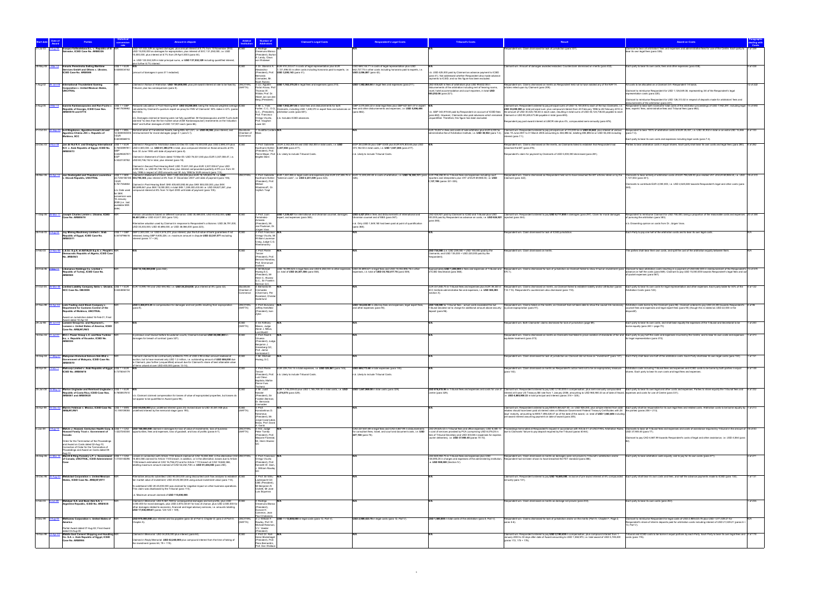|                    |                                                                                                                                   |                              |                                                                                                                                                                                                                                                                                                                                            |                        |                                                            | laimant's Legal Costs                                                                                                                                                                                             | pondent's Legal Costs                                                                                                                                                                              | <b>Tribunal's Costs</b>                                                                                                            |                                                                                                                                                                                                                                                                                                     |                                                                                                                                                                                                                                                                                                       |
|--------------------|-----------------------------------------------------------------------------------------------------------------------------------|------------------------------|--------------------------------------------------------------------------------------------------------------------------------------------------------------------------------------------------------------------------------------------------------------------------------------------------------------------------------------------|------------------------|------------------------------------------------------------|-------------------------------------------------------------------------------------------------------------------------------------------------------------------------------------------------------------------|----------------------------------------------------------------------------------------------------------------------------------------------------------------------------------------------------|------------------------------------------------------------------------------------------------------------------------------------|-----------------------------------------------------------------------------------------------------------------------------------------------------------------------------------------------------------------------------------------------------------------------------------------------------|-------------------------------------------------------------------------------------------------------------------------------------------------------------------------------------------------------------------------------------------------------------------------------------------------------|
|                    | nceysa Vallisoletana S.L. v. Republic of El                                                                                       |                              | SD 107,532,329 as agreed damages, plus annual interest at 8.7% from 10 November 2002;                                                                                                                                                                                                                                                      |                        | Rodrigo                                                    |                                                                                                                                                                                                                   |                                                                                                                                                                                                    |                                                                                                                                    | spondent win. Claim dismissed for lack of jurisdiction (para 337)                                                                                                                                                                                                                                   | Claimant to bear all arbitrators' fees and expenses and administrative fees for use of the Centre. Each party to                                                                                                                                                                                      |
|                    | alvador, ICSID Case No. ARB03/26                                                                                                  |                              | USD 15,000,000 as damages for expropriation, plus interest of SVC 131,250,000, i.e. USD<br>5,000,000, plus interest at 8.7% from 29 April 2003 (para 44).                                                                                                                                                                                  |                        | eamuno Blanco<br>President), Burton                        |                                                                                                                                                                                                                   |                                                                                                                                                                                                    |                                                                                                                                    |                                                                                                                                                                                                                                                                                                     | ear its own legal fees (para 338).                                                                                                                                                                                                                                                                    |
|                    |                                                                                                                                   |                              | e. USD 122,532,329 in total principal sums, or USD 137,532,329 including quantified interest,                                                                                                                                                                                                                                              |                        | A. Landy, Claus<br>on Wobeser                              |                                                                                                                                                                                                                   |                                                                                                                                                                                                    |                                                                                                                                    |                                                                                                                                                                                                                                                                                                     |                                                                                                                                                                                                                                                                                                       |
|                    | 28-May-08 1-Mar-12 Inmaris Perestroika Sailing Maritime                                                                           | $USS 1 = EUR$                | plus further 8.7% interest.                                                                                                                                                                                                                                                                                                                |                        |                                                            | 3: Dr. Stanimir A. EUR 910,333.47 in costs of legal representation plus EUR                                                                                                                                       | USD 669,144.71 in costs of legal representation plus USD                                                                                                                                           |                                                                                                                                    | Claimant win. Amount of damages awarded redacted. Counterclaim dismissed on merits (para 432).                                                                                                                                                                                                      | 5 of 438<br>Each party to bear its own costs, fees and other expenses (para 438)                                                                                                                                                                                                                      |
|                    | Services GmbH and Others v. Ukraine,<br>ICSID Case No. ARB/08/8                                                                   | 0.6380434162                 | amount of damages in para 311 redacted)                                                                                                                                                                                                                                                                                                    |                        | Alexandrov<br>(President), Prof                            | 1,131,496.53 in other costs including honoraria paid to experts, i.e.<br>USD 3,200,143 (para 41).                                                                                                                 | 642,727.75 in other costs including honoraria paid to experts, i.e.<br>USD 2,056,087 (para 42).                                                                                                    | n.b. USD 425,000 paid by Claimant as advance payment to ICSID                                                                      |                                                                                                                                                                                                                                                                                                     |                                                                                                                                                                                                                                                                                                       |
|                    |                                                                                                                                   |                              |                                                                                                                                                                                                                                                                                                                                            |                        | Bernardo<br>Cremades, Mr                                   |                                                                                                                                                                                                                   |                                                                                                                                                                                                    | (para 41). Not addressed whether Respondent also made advance<br>ayments to ICSID, and so this figure has been excluded.           |                                                                                                                                                                                                                                                                                                     |                                                                                                                                                                                                                                                                                                       |
| 1-Aug-02           | <b>International Thunderbird Gaming</b>                                                                                           |                              | Iaimed in Notice of Arbitration: USD 100,000,000, plus pre-award interest at rate to be fixed by UNCITRAL                                                                                                                                                                                                                                  |                        | <b>Voah Rubins</b><br>3: Lic. Agustín                      | USD 1,163,375.20 in legal fees and expenses (para 210).                                                                                                                                                           | USD 1,502,065.84 in legal fees and expenses (para 211).                                                                                                                                            | USD 405,620 in fees of arbitrators plus USD 99,632.08 in                                                                           | spondent win. Claims dismissed on merits as Respondent held not to have violated any of the NAFTA                                                                                                                                                                                                   | 12 of 222<br>All costs to be allocated on a Claimant 3/4 -Respondent 1/4 basis                                                                                                                                                                                                                        |
|                    | <b>Corporation v. United Mexican States</b><br><b>UNCITRAL</b>                                                                    |                              | ribunal, plus tax consequences (para 8).                                                                                                                                                                                                                                                                                                   | <b>NAFTAI</b>          | Portal Ariosa, Prof.<br>Thomas W.                          |                                                                                                                                                                                                                   |                                                                                                                                                                                                    | disbursements of the arbitration including rent of hearing rooms,<br>travel, hotel accommodation and court reporters, in total USD | rticles relied upon by Claimant (para 209).                                                                                                                                                                                                                                                         | Claimant to reimburse Respondent for USD 1,126,549.38, representing 3/4 of the Respondent's legal                                                                                                                                                                                                     |
|                    |                                                                                                                                   |                              |                                                                                                                                                                                                                                                                                                                                            |                        | Walde, Prof. Dr.<br>Albert Jan van der                     |                                                                                                                                                                                                                   |                                                                                                                                                                                                    | 505.252.08 (para 221).                                                                                                             |                                                                                                                                                                                                                                                                                                     | oresentation costs (para 220).                                                                                                                                                                                                                                                                        |
|                    |                                                                                                                                   |                              |                                                                                                                                                                                                                                                                                                                                            |                        | Berg (President)                                           |                                                                                                                                                                                                                   |                                                                                                                                                                                                    |                                                                                                                                    |                                                                                                                                                                                                                                                                                                     | Claimant to reimburse Respondent for USD 126,313.02 in respect of deposits made for arbitrators' fees and<br>sbursements of the arbitration (para 221).                                                                                                                                               |
| 2-Aug-05           | Ioannis Kardassopoulos and Ron Fuchs v. US\$ 1 = GBF<br>Republic of Georgia, ICSID Case Nos.                                      |                              | Reduced calculation in Post-Hearing Brief: USD 30,200,000, being the reduced weighted average ICSII<br>0.6617509992 calculated by Claimant's quantum expert as proxy for FMV of Claimants' 50% stake in GTL (paras                                                                                                                         |                        | 3: Mr. L. Yves                                             | USD 7,942,297.56 in total fees and disbursements for both<br>Fortier, C.C., O.Q., Claimants, including USD 1,449,070 in expert fees and advances on fees and other disbursements and expenses, i.e. USD 5,596,494 | GBP 3,075,844.22 in total legal fees plus GBP 627,641.07 in exper                                                                                                                                  |                                                                                                                                    | Claimant win. Respondent ordered to pay principal sums of USD 15.100.000 to each of the two Claimants, i.e.<br>USD 30,200,000 as total principal sum; plus compound interest from 20 February 1996 to 28 February 2010 in fees, experts' fees, administrative fees and Tribunal fees (para 692).    | Respondent to bear both Claimants' total costs of the arbitration proceedings of USD 7,942,297, including legal 14 of 693                                                                                                                                                                             |
|                    | ARB/05/18 and 07/15                                                                                                               |                              | 542-543)                                                                                                                                                                                                                                                                                                                                   |                        | Prof. Francisco                                            | Q.C., (President), arbitration costs (para 681).                                                                                                                                                                  | (para 682).                                                                                                                                                                                        | (para 682). However, Claimants also paid advances which remained Claimant or USD 90.249.473.66 payable in total (para 693).        | b. GBP 343,919.84 paid by Respondent on account of ICSID fees the amount of USD 30,024,736.83 in each case, resulting in total sums of USD 45,124,736.83 payable to each                                                                                                                            |                                                                                                                                                                                                                                                                                                       |
|                    |                                                                                                                                   |                              | n b. Damages claimed at bearing were not fully quantified. Mr Kardassopoulos and Mr Euchs both<br>claimed "no less than the fair market value of IMr Kardassonoulos" investments on the Valuation                                                                                                                                          |                        | Orrego Vicuña.<br>Prof. Vaughan                            | n.b. Includes ICSID advances.                                                                                                                                                                                     |                                                                                                                                                                                                    | unquantified. Therefore, this figure has been excluded.                                                                            | Respondent pay post-award interest at LIBOR rate plus 4%, compounded semi-annually (para 678).                                                                                                                                                                                                      |                                                                                                                                                                                                                                                                                                       |
|                    |                                                                                                                                   |                              | late" and further damages of USD 137,901 each (para 66).                                                                                                                                                                                                                                                                                   |                        | Lowe QC                                                    |                                                                                                                                                                                                                   |                                                                                                                                                                                                    |                                                                                                                                    |                                                                                                                                                                                                                                                                                                     |                                                                                                                                                                                                                                                                                                       |
| 21-Oct-04          | Iurii Bogdanov, Agurdino-Invest Ltd and<br>Agurdino-Chimia JSC v. Republic of                                                     | $USS 1 = MDL$                | Nominal value of Transferred Assets, being MDL 621,021, i.e. USD 49,366, plus interest, and<br>12.5800004005 reimbursement for moral damages (page 4 + para 5.1).                                                                                                                                                                          | Chamber of             | Guiditta Corder                                            |                                                                                                                                                                                                                   |                                                                                                                                                                                                    | EUR 19,457 in fees and costs of sole arbitrator plus EUR 6,000 for                                                                 | Claimant win. Respondent ordered to pay principal sum of 310,000 lei or USD 24,642, plus interest at various<br>Iministrative fee of Arbitration Institute, i.e. USD 30,932 (para 7.2). rates 19 June 2001 to 31 March 2005 amounting to 384,896 lei, totalling 694,896 lei or USD 55,238 including | pondent to bear 100% of arbitration costs at EUR 25,457, i.e. USD 30,932 in total or an extra USD 15,466 2 of 100<br>(para 7.3)                                                                                                                                                                       |
|                    | Moldova, SCC                                                                                                                      | 0.8230066915                 |                                                                                                                                                                                                                                                                                                                                            | ommerce                |                                                            |                                                                                                                                                                                                                   |                                                                                                                                                                                                    |                                                                                                                                    | nterest (para 7.1).                                                                                                                                                                                                                                                                                 | ach party to bear its own costs and expenses including legal costs (para 7.4).                                                                                                                                                                                                                        |
| 23-Dec-03          |                                                                                                                                   |                              | Jan de Nul N.V. and Dredging International US\$ 1 = EUR Claimed in Request for Arbitration dated 23-Dec-03: USD 74,000,000 plus USD 2,890,370 plus CSID                                                                                                                                                                                    |                        |                                                            | 3: Prof. Gabrielle EUR 2,342,305.40 and USD 352,000 in total costs, i.e. USD                                                                                                                                      | EGP 253,089.05 plus GBP 8,500 plus EUR 874,803.65 plus USD                                                                                                                                         |                                                                                                                                    | Respondent win. Claims dismissed on the merits, as Claimants failed to establish that Respondent had                                                                                                                                                                                                | Parties to bear arbitration costs in equal shares. Each party shall bear its own costs and legal fees (para 280). 5 of 282                                                                                                                                                                            |
|                    | N.V. v. Arab Republic of Egypt, ICSID No.<br>ARB/04/13                                                                            |                              | 0.7845599781 / USD 4,500,000, i.e. USD 81,390,370 in total, plus compound interest on those amounts at 9%<br>om 30 June 1993 until date of payment (para 8).                                                                                                                                                                               |                        | resident), Pro                                             | Kaufmann-Kohler 3,337,502 (para 277).                                                                                                                                                                             | 373,182.50 in total costs, i.e. USD 1,547,385 (para 277).                                                                                                                                          |                                                                                                                                    | breached the BIT (para 276).                                                                                                                                                                                                                                                                        |                                                                                                                                                                                                                                                                                                       |
|                    |                                                                                                                                   | 0.6329535757<br><b>FGP</b>   | Claimed in Statement of Claim dated 15-Mar-05: USD 76,531,040 plus EUR 3,307,008.47, i.e.                                                                                                                                                                                                                                                  |                        | <b>Brigitte Stern</b>                                      | Pierre Mayer, Prof. n.b. Likely to include Tribunal Costs.                                                                                                                                                        | n.b. Likely to include Tribunal Costs.                                                                                                                                                             |                                                                                                                                    | Respondent's claim for payment by Claimants of USD 5,000,000 dismissed (para 281).                                                                                                                                                                                                                  |                                                                                                                                                                                                                                                                                                       |
|                    |                                                                                                                                   |                              | 5.5322130782 USD 80,746,152 in total, plus interest (para 18).<br>Iaimed in Second Post-Hearing Brief: USD 73,631,040 plus EUR 3,307,008.47 plus USD                                                                                                                                                                                       |                        |                                                            |                                                                                                                                                                                                                   |                                                                                                                                                                                                    |                                                                                                                                    |                                                                                                                                                                                                                                                                                                     |                                                                                                                                                                                                                                                                                                       |
|                    |                                                                                                                                   |                              | 2,900,000, i.e. USD 80,746,152 in total, plus interest compounded quarterly at 9% p.a. from 30<br>uly 1998 in respect of USD amounts and 30 July 1998 for EUR amount (para 115).                                                                                                                                                           |                        |                                                            |                                                                                                                                                                                                                   |                                                                                                                                                                                                    |                                                                                                                                    |                                                                                                                                                                                                                                                                                                     |                                                                                                                                                                                                                                                                                                       |
| 28-Mar-06          | 23-Apr-12 Jan Oostergetel and Theodora Laurentius<br>. Slovak Republic, UNCITRAL                                                  | $USS 1 = SKK$                | Claimed in Statement of Claim: SKK 7,520,335,505 plus EUR 18,129,833.79, i.e. USD<br>22.7204166185 354,795,308, plus interest at 8% from 31 December 2007 until date of payment (para 106)                                                                                                                                                 | UNCITRA                | 3: Prof. Gabrielle                                         | Caufmann-Kohler "external costs", i.e. USD 2,231,039 (para 324).                                                                                                                                                  | EUR 1,461,855 in legal costs and expenses plus EUR 237,606.76 in EUR 12,439,240.48 in costs of arbitration, i.e. USD 16,330,131 (para EUR 796,258.93 in Tribunal fees and expenses including court | reporters and interpreters plus VAT of EUR 69,985.50, i.e. USD                                                                     | Respondent win. Claims dismissed as Respondent held not to have breached the BIT articles relied on by the<br>Claimant (para 322).                                                                                                                                                                  | Claimants to bear entirety of arbitration costs of EUR 796,528.93 plus related VAT of EUR 69,985.50, i.e. USD 18 of 372<br>137,553 (para 341)                                                                                                                                                         |
|                    |                                                                                                                                   |                              | 0.7617354854 Claimed in Post-Hearing Brief: SKK 405,600,592.84 plus SKK 555,000,000, plus SKK                                                                                                                                                                                                                                              |                        | (President), Prof.<br>Mikhail                              |                                                                                                                                                                                                                   |                                                                                                                                                                                                    | 1,137,198 (paras 331-335).                                                                                                         |                                                                                                                                                                                                                                                                                                     | Claimants to contribute EUR 2,000,000, i.e. USD 2,625,583 towards Respondent's legal and other costs (para                                                                                                                                                                                            |
|                    |                                                                                                                                   | n.b. Date used               | 383,699,841 plus SKK 15,000,000, in total SKK 1,359,300,433.84 i.e. USD 59,827,267, plus<br>ompound interest at 8% from 14 April 2003 until date of payment (para 105).                                                                                                                                                                    |                        | Wladimiroff, Dr.<br>Voitěch Trapl                          |                                                                                                                                                                                                                   |                                                                                                                                                                                                    |                                                                                                                                    |                                                                                                                                                                                                                                                                                                     |                                                                                                                                                                                                                                                                                                       |
|                    |                                                                                                                                   | for SKK<br>conversion wa     |                                                                                                                                                                                                                                                                                                                                            |                        |                                                            |                                                                                                                                                                                                                   |                                                                                                                                                                                                    |                                                                                                                                    |                                                                                                                                                                                                                                                                                                     |                                                                                                                                                                                                                                                                                                       |
|                    |                                                                                                                                   | 16 January<br>2009 (i.e. las |                                                                                                                                                                                                                                                                                                                                            |                        |                                                            |                                                                                                                                                                                                                   |                                                                                                                                                                                                    |                                                                                                                                    |                                                                                                                                                                                                                                                                                                     |                                                                                                                                                                                                                                                                                                       |
|                    |                                                                                                                                   | available SKK                |                                                                                                                                                                                                                                                                                                                                            |                        |                                                            |                                                                                                                                                                                                                   |                                                                                                                                                                                                    |                                                                                                                                    |                                                                                                                                                                                                                                                                                                     |                                                                                                                                                                                                                                                                                                       |
| 11-Sep-06 28-Mar-1 | Joseph Charles Lemire v. Ukraine, ICSID                                                                                           |                              | Various calculations based on different scenarios: USD 30.469.000, USD 40.402.000, USD<br><b>IICSID</b>                                                                                                                                                                                                                                    |                        | 3: Prof. Juan                                              | USD 1,339,427 for international and Ukrainian counsel, damages                                                                                                                                                    | USD 4,427,814 in fees and disbursements of international and                                                                                                                                       |                                                                                                                                    | USD 424,921 paid by Claimant to ICSID and Tribunal plus USD Claimant win. Respondent ordered to pay USD 8,717,850 in damages (para 297). Claim for moral damages                                                                                                                                    | Respondent to reimburse Claimant for USD 750,000, being a proportion of the reasonable costs and expenses 20 of 384                                                                                                                                                                                   |
|                    | Case No. ARB/06/18                                                                                                                |                              | 46,651,000 or USD 43,617,000 (para 124).                                                                                                                                                                                                                                                                                                   |                        | Fernández-<br>Armesto                                      | expert, and expenses (para 365)                                                                                                                                                                                   | Ukrainian counsel and of EBS (para 367).                                                                                                                                                           | 400.000 paid by Respondent as advance on costs, i.e. USD 824.921 rejected (para 344)<br>(para 365).                                |                                                                                                                                                                                                                                                                                                     | f nursuing the arbitration (para 383)                                                                                                                                                                                                                                                                 |
|                    |                                                                                                                                   |                              | Alternative valuation used by Claimant in response to Respondent's criticisms: USD 26,791,000,<br>JSD 35,303,000, USD 40,696,000, or USD 38,066,000 (para 223).                                                                                                                                                                            |                        | (President), Mr.<br>Jan Paulsson, D                        |                                                                                                                                                                                                                   | n.b. Only USD 1,549,180 had been paid at point of quantification<br>(para 368).                                                                                                                    |                                                                                                                                    |                                                                                                                                                                                                                                                                                                     | b. Dissenting opinion on costs from Dr. Jürgen Voss.                                                                                                                                                                                                                                                  |
| 26-Feb-03          | Joy Mining Machinery Limited v. Arab                                                                                              | $USS 1 = GBP$                | GBP 2,500,000, i.e. USD 4,615,274, plus interest, plus the full value of bank guarantees if not                                                                                                                                                                                                                                            |                        | Jürgen Voss<br>: Prof. Francisco                           |                                                                                                                                                                                                                   |                                                                                                                                                                                                    |                                                                                                                                    | ondent win. Claim dismissed for lack of ICSID jurisdiction                                                                                                                                                                                                                                          | ach Party to pay one half of the arbitration costs and to bear its own legal costs                                                                                                                                                                                                                    |
|                    | Republic of Egypt, ICSID Case No.<br>ARB/03/11                                                                                    |                              | 0,5416796616 released, being GBP 9,605,228, i.e. maximum amount in dispute USD 22,347,577 excluding<br>terest (paras 17 + 24).                                                                                                                                                                                                             |                        | Orrego Vicuña, Mr.<br>William Laurence                     |                                                                                                                                                                                                                   |                                                                                                                                                                                                    |                                                                                                                                    |                                                                                                                                                                                                                                                                                                     |                                                                                                                                                                                                                                                                                                       |
|                    |                                                                                                                                   |                              |                                                                                                                                                                                                                                                                                                                                            |                        | Craig, Judge C.G.<br>Veeramantry                           |                                                                                                                                                                                                                   |                                                                                                                                                                                                    |                                                                                                                                    |                                                                                                                                                                                                                                                                                                     |                                                                                                                                                                                                                                                                                                       |
| 3-Feb-03           | 2-Nov-08 L.E.S.I. S.p.A. et ASTALDI S.p.A. v. People's N/F                                                                        |                              |                                                                                                                                                                                                                                                                                                                                            |                        | 3: Prof. Pierre                                            |                                                                                                                                                                                                                   |                                                                                                                                                                                                    | USD 734,000 (i.e. USD 239,000 + USD 140,000 paid by the                                                                            | Respondent win. Claim dismissed on merits                                                                                                                                                                                                                                                           | he parties shall bear their own costs, and split the cost of the arbitration equally between them.                                                                                                                                                                                                    |
|                    | emocratic Republic of Algeria, ICSID Case<br>No. ARB/05/3                                                                         |                              |                                                                                                                                                                                                                                                                                                                                            |                        | <b><i><u>Fercier</u></i></b><br>(President), Prof          |                                                                                                                                                                                                                   |                                                                                                                                                                                                    | Claimants; and USD 135,000 + USD 220,000 paid by the                                                                               |                                                                                                                                                                                                                                                                                                     |                                                                                                                                                                                                                                                                                                       |
|                    |                                                                                                                                   |                              |                                                                                                                                                                                                                                                                                                                                            |                        | <b>Bernard Hanotiau</b><br>Prof. Emmanuel                  |                                                                                                                                                                                                                   |                                                                                                                                                                                                    |                                                                                                                                    |                                                                                                                                                                                                                                                                                                     |                                                                                                                                                                                                                                                                                                       |
|                    | 23-Feb-06 2-Sep-11 Libananco Holdings Co. Limited v.                                                                              |                              | USD 10,100,000,000 (para 562)                                                                                                                                                                                                                                                                                                              |                        | aillard<br>: Mr Michae                                     | JSD 18,099,523 in legal fees and USD 6,282,033 in other expenses, USD 25,699,521 in legal fees and USD 10,002,896.76 in other                                                                                     |                                                                                                                                                                                                    |                                                                                                                                    |                                                                                                                                                                                                                                                                                                     | Approximately USD 1,205,000 in fees and expenses of Tribunal and Respondent win. Claims dismissed for lack of jurisdiction as Claimant failed to show it had an investment (para Claimant to bear arbitration costs resulting                                                                         |
|                    | Republic of Turkey, ICSID Case No.<br>ARB/06/8                                                                                    |                              |                                                                                                                                                                                                                                                                                                                                            |                        | Hwang S.C.<br>(President), Mr                              | i.e. total of USD 24,381,556 (para 558).                                                                                                                                                                          | expenses, i.e. total of USD 35,702,417.76 (para 559).                                                                                                                                              | of ICSID Secretariat (para 568).                                                                                                   | 570.1).                                                                                                                                                                                                                                                                                             | advance on half the costs (para 569). Claimant to pay USD 15,000,000 towards Respondent's legal fees and out-<br>f-pocket expenses (para 567)                                                                                                                                                         |
|                    |                                                                                                                                   |                              |                                                                                                                                                                                                                                                                                                                                            |                        | Henri C. Alvarez<br>Q.C., Sir Franklin                     |                                                                                                                                                                                                                   |                                                                                                                                                                                                    |                                                                                                                                    |                                                                                                                                                                                                                                                                                                     |                                                                                                                                                                                                                                                                                                       |
| 31-Oct-05          |                                                                                                                                   |                              | Mar-08 Limited Liability Company Amto v. Ukraine, US\$ 1 = EUR EUR 14,999,194 and USD 594,902, i.e. USD 24,234,830, plus interest at 8% (para 32).                                                                                                                                                                                         | Stockholm              | Berman Q.C<br>3: Bernardo M.                               |                                                                                                                                                                                                                   |                                                                                                                                                                                                    |                                                                                                                                    |                                                                                                                                                                                                                                                                                                     | Each party to bear its own costs for legal representation and other expenses. Each party liable for 50% of the 4 of 122                                                                                                                                                                               |
|                    | <b>SCC Case No. 080/2005</b>                                                                                                      | 0.6344856154                 |                                                                                                                                                                                                                                                                                                                                            | Chamber of<br>Commerce | Cremades<br>(Chairman), Per                                |                                                                                                                                                                                                                   |                                                                                                                                                                                                    | (section X).                                                                                                                       | EUR 331,845.75 in Tribunal fees and expenses plus EUR 39,330 in Respondent win. Claims dismissed on merits, as Claimant failed to establish liability and/or attribution (paras<br>SCC Institute administrative fee and expenses,                                                                   | Arbitration Costs (para 122)                                                                                                                                                                                                                                                                          |
|                    |                                                                                                                                   |                              |                                                                                                                                                                                                                                                                                                                                            |                        | Runeland, Christer<br>Soderlund                            |                                                                                                                                                                                                                   |                                                                                                                                                                                                    |                                                                                                                                    |                                                                                                                                                                                                                                                                                                     |                                                                                                                                                                                                                                                                                                       |
|                    | 7-Nov-99 18-Apr-02 Link-Trading Joint Stock Company v.                                                                            |                              | JSD 3,458,813.25 in compensation for damages and lost profits resulting from expropriation                                                                                                                                                                                                                                                 | UNCITRA                | 3: Prof. Buruiana                                          |                                                                                                                                                                                                                   | USD 144,422.80 in attorney fees and expenses, legal expert fees,                                                                                                                                   | USD 120,000 for Tribunal fees - actual costs exceeded this but                                                                     | Respondent win. Claims failed on the merits, as Claimant had not been able to show the causal link necessary Arbitration costs borne by the Claimant (para 96). Claimant ordered to pay USD 22,200 towards Respondent's                                                                             | 4 of 96                                                                                                                                                                                                                                                                                               |
|                    | Department for Customs Control of the<br>Republic of Moldova, UNCITRAL                                                            |                              | para 9).                                                                                                                                                                                                                                                                                                                                   | (NAFTA)                | Jeffrey Hertzfeld<br>(President), Ivar                     |                                                                                                                                                                                                                   | and other expenses (para 94).                                                                                                                                                                      | Tribunal decided not to charge for additional amount above security to prove expropriation (para 91).<br>leposit (para 96)         |                                                                                                                                                                                                                                                                                                     | ounsel fees and expenses and legal expert fees (para 95) (though this is stated as USD 22,500 in the                                                                                                                                                                                                  |
|                    | ward on Jurisdiction dated 16-Feb-01; Fina                                                                                        |                              |                                                                                                                                                                                                                                                                                                                                            |                        | 7 vkin                                                     |                                                                                                                                                                                                                   |                                                                                                                                                                                                    |                                                                                                                                    |                                                                                                                                                                                                                                                                                                     |                                                                                                                                                                                                                                                                                                       |
| 29-Jul-98          | Award dated 18-Apr-02<br>Loewen Group Inc. and Raymond L.                                                                         |                              |                                                                                                                                                                                                                                                                                                                                            |                        | : Sir Anthony                                              |                                                                                                                                                                                                                   |                                                                                                                                                                                                    |                                                                                                                                    | lespondent win. Both Claimants' claims dismissed for lack of jurisdiction (page 69).                                                                                                                                                                                                                | ach party to bear its own costs, and shall bear equally the expenses of the Tribunal and Secretariat to be<br>1 of 240                                                                                                                                                                                |
|                    | Loewen v. United States of America, ICSID<br>Case No. ARB(AF)/98/3                                                                |                              |                                                                                                                                                                                                                                                                                                                                            | (NAFTA)                | Mason, Judge<br>Abner J. Mikva                             |                                                                                                                                                                                                                   |                                                                                                                                                                                                    |                                                                                                                                    |                                                                                                                                                                                                                                                                                                     | orne equally (para 240 + page 70).                                                                                                                                                                                                                                                                    |
| 16-Dec-02          | M.C.I. Power Group L.C. and New Turbine                                                                                           |                              | previous court lawsuit before Ecuadorian courts, Claimant claimed USD 25,000,000 in<br><b>ICSID</b>                                                                                                                                                                                                                                        |                        | liteuM har<br>3: Prof. Raúl E.                             |                                                                                                                                                                                                                   |                                                                                                                                                                                                    |                                                                                                                                    |                                                                                                                                                                                                                                                                                                     | Respondent win. Claims dismissed on merits as Claimants had failed to prove violation of standards of fair and Each party to pay half the costs and expenses incurred by the Centre, and to bear its own costs and expenses 1                                                                         |
|                    | Inc. v. Republic of Ecuador, ICSID No.<br>ARB/03/6                                                                                |                              | mages for breach of contract (para 327).                                                                                                                                                                                                                                                                                                   |                        | /inuesa<br>(President), Judge                              |                                                                                                                                                                                                                   |                                                                                                                                                                                                    |                                                                                                                                    | equitable treatment (para 373)                                                                                                                                                                                                                                                                      | or legal representation (para 372).                                                                                                                                                                                                                                                                   |
|                    |                                                                                                                                   |                              |                                                                                                                                                                                                                                                                                                                                            |                        | Beniamin J.<br>Greenberg QC,                               |                                                                                                                                                                                                                   |                                                                                                                                                                                                    |                                                                                                                                    |                                                                                                                                                                                                                                                                                                     |                                                                                                                                                                                                                                                                                                       |
|                    |                                                                                                                                   |                              |                                                                                                                                                                                                                                                                                                                                            |                        | Prof. Jaime<br>Irarrázabal C                               |                                                                                                                                                                                                                   |                                                                                                                                                                                                    |                                                                                                                                    |                                                                                                                                                                                                                                                                                                     |                                                                                                                                                                                                                                                                                                       |
| 30-Sep-04          | Malaysian Historical Salvors Sdn Bhd v.<br>overnment of Malaysia, ICSID Case No.                                                  |                              | Claimant claimed to be contractually entitled to 70% of USD 2.98 million amount realised at<br>uction, but to have received only USD 1.2 million, i.e. outstanding amount of USD 886,000 due                                                                                                                                               |                        | : Mr. Michael<br>Iwang, S.C.                               |                                                                                                                                                                                                                   |                                                                                                                                                                                                    |                                                                                                                                    | Respondent win. Claim dismissed for lack of jurisdiction as Claimant did not have an "investment" (para 147).                                                                                                                                                                                       | Each Party shall bear one half of the arbitration costs. Each Party shall bear its own legal costs (para 150).                                                                                                                                                                                        |
|                    | ARB/05/10                                                                                                                         |                              | to Claimant, plus further (unquantified) amount due for Claimant's share of best attainable value<br>of items valued at over USD 400,000 (paras 13-14).                                                                                                                                                                                    |                        |                                                            |                                                                                                                                                                                                                   |                                                                                                                                                                                                    |                                                                                                                                    |                                                                                                                                                                                                                                                                                                     |                                                                                                                                                                                                                                                                                                       |
| 20-Apr-04          | 7-Feb-11 Malicorp Limited v. Arab Republic of Egypt, US\$ 1 = EUR<br>ICSID No. ARB/08/18                                          | 7375044179                   |                                                                                                                                                                                                                                                                                                                                            |                        | 3: Prof. Pierre                                            | EUR 239,734.14 in total expenses, i.e. USD 325,061 (para 145).                                                                                                                                                    | USD 489,773.60 in total expenses (para 145).                                                                                                                                                       |                                                                                                                                    | (para 143).                                                                                                                                                                                                                                                                                         | Respondent win. Claim dismissed on merits as Respondent's action held not to be an expropriatory measure Arbitration costs including Tribunal fees and expenses and ICSID costs to be borne by both parties in equal 5 of 148<br>hares. Each party to bear its own costs and legal fees and expenses. |
|                    |                                                                                                                                   |                              |                                                                                                                                                                                                                                                                                                                                            |                        | (President), Prof.<br>Luiz Olavo                           | n.b. Likely to include Tribunal Costs.                                                                                                                                                                            | n.b. Likely to include Tribunal Costs.                                                                                                                                                             |                                                                                                                                    |                                                                                                                                                                                                                                                                                                     |                                                                                                                                                                                                                                                                                                       |
|                    |                                                                                                                                   |                              |                                                                                                                                                                                                                                                                                                                                            |                        | Baptista, Maître<br>Pierre-Yves                            |                                                                                                                                                                                                                   |                                                                                                                                                                                                    |                                                                                                                                    |                                                                                                                                                                                                                                                                                                     |                                                                                                                                                                                                                                                                                                       |
| 25-Jan-08          | 6-May-12 Marion Unglaube and Reinhard Unglaube v. US\$ 1 = EUR                                                                    |                              |                                                                                                                                                                                                                                                                                                                                            |                        | Tschanz<br>3: Mr. Judd                                     | EUR 1,735,239.42 plus USD 1,165,749.30 in total costs, i.e. USD USD 1,647,969.08 in total costs (para 329).                                                                                                       |                                                                                                                                                                                                    |                                                                                                                                    |                                                                                                                                                                                                                                                                                                     | USD 876,815.94 in Tribunal fees and expenses and costs for use of Claimant win. Respondent ordered to pay USD 3,100,000 in compensation, plus semi-annually compounded Each party to bear its own legal and other costs and ex                                                                        |
|                    | Republic of Costa Rica, ICSID Case Nos. 0.7855937810<br>ARB/08/1 and ARB/09/20                                                    |                              | n.b. Claimant claimed compensation for losses of value of expropriated properties, but losses do                                                                                                                                                                                                                                           |                        | Kessler<br>(President), Sir                                | 3,374,575 (para 329).                                                                                                                                                                                             |                                                                                                                                                                                                    | Centre (para 329).                                                                                                                 | interest at 5-year US Treasury Bill rate from 1 January 2006, amounting to USD 965,900.33 as of date of Award, expenses and costs for use of Centre (para 331).<br>i.e. USD 4,065,900.33 in total principal and interest (paras 318 + 325).                                                         |                                                                                                                                                                                                                                                                                                       |
|                    |                                                                                                                                   |                              | not appear to be quantified in Award (para 98).                                                                                                                                                                                                                                                                                            |                        | Franklin Berman,<br>Dr. Bernardo                           |                                                                                                                                                                                                                   |                                                                                                                                                                                                    |                                                                                                                                    |                                                                                                                                                                                                                                                                                                     |                                                                                                                                                                                                                                                                                                       |
| 30-Apr-99          |                                                                                                                                   |                              | Marvin Feldman v. Mexico, ICSID Case No. US\$ 1 = MXN USD 50,000,000 plus undefined interest (para 24) revised down to USD 30,381,938 plus                                                                                                                                                                                                 | (NAFTA)                | Cremades<br>3: Prof.                                       |                                                                                                                                                                                                                   |                                                                                                                                                                                                    |                                                                                                                                    |                                                                                                                                                                                                                                                                                                     | Claimant win. Respondent ordered to pay MXN 9,464,627.50, i.e. USD 928,350, plus simple interest from date Each party shall be responsible for its own legal fees and related costs. Arbitration costs to be borne equally by                                                                         |
|                    | ARB(AF)/99/1                                                                                                                      |                              | 0.195109055 undefined interest by the memorial stage (para 190).                                                                                                                                                                                                                                                                           |                        | Konstantinos D<br>Kerameus                                 |                                                                                                                                                                                                                   |                                                                                                                                                                                                    |                                                                                                                                    | rebates should have been paid at interest rates on Mexican Government Federal Treasury Certificates with 28 the parties (paras 208 + 213).<br>days' maturity, amounting to MXN 7,496,428.47 as of the date of the award, i.e. total of USD 1,663,646 including                                      |                                                                                                                                                                                                                                                                                                       |
|                    |                                                                                                                                   |                              |                                                                                                                                                                                                                                                                                                                                            |                        | (President), Mr<br>Jorge Covarrubias<br>Bravo, Prof. David |                                                                                                                                                                                                                   |                                                                                                                                                                                                    |                                                                                                                                    | pre-award interest assuming payment on date of award (para 205).                                                                                                                                                                                                                                    |                                                                                                                                                                                                                                                                                                       |
|                    |                                                                                                                                   |                              |                                                                                                                                                                                                                                                                                                                                            |                        | . Gantz                                                    |                                                                                                                                                                                                                   |                                                                                                                                                                                                    |                                                                                                                                    |                                                                                                                                                                                                                                                                                                     |                                                                                                                                                                                                                                                                                                       |
| 5-Jan-09           | Howard Family Trust v. Government of                                                                                              |                              | Welvin J. Howard, Centurion Health Corp. & US\$ 1 = CAD USD 160,000,000 claimed in damages for loss of value of investments, loss of business<br>1.0227240304 opportunities, fees and expenses, loss of goodwill, and loss of profits (paras 6-7).                                                                                         | UNCITRA<br>(NAFTA)     | 3: H.E. Judge<br>Peter Tomka<br>(President), Prof          |                                                                                                                                                                                                                   | CAD 227,651.69 in legal fees and CAD 4,667.99 in disbursements                                                                                                                                     |                                                                                                                                    | or consultant fees, travel, and court and document costs, i.e. USD in cost of services provided by PCA (comprising USD 8,076.25 in due to Claimants' failure to pay deposit required by the Tribunal (paras 63-64).                                                                                 | USD 29,525.32 in Tribunal fees and office expenses; USD 8,380.13 Proceedings terminated at Respondent's request in accordance with Article 41 of UNCITRAL Arbitration Rules, Claimants to bear all Tribunal fees and expenses<br>JSD 37,905.45 (para 77).                                             |
|                    |                                                                                                                                   |                              |                                                                                                                                                                                                                                                                                                                                            |                        | Marjorie Florestal                                         |                                                                                                                                                                                                                   | 227,158 (para 78).                                                                                                                                                                                 | fees of Tribunal Secretary and USD 303.88 in expenses for express<br>courier deliveries), i.e. USD 37,905.45 (paras 70-72).        |                                                                                                                                                                                                                                                                                                     | Claimant to pay CAD 4,667.99 towards Respondent's costs of legal and other assistance, i.e. USD 4,564 (para                                                                                                                                                                                           |
|                    | Order for the Termination of the Proceedings<br>and Award on Costs dated 02-Aug-10:<br>Correction of Order for the Termination of |                              |                                                                                                                                                                                                                                                                                                                                            |                        | Mr. Henri Alvarez                                          |                                                                                                                                                                                                                   |                                                                                                                                                                                                    |                                                                                                                                    |                                                                                                                                                                                                                                                                                                     |                                                                                                                                                                                                                                                                                                       |
|                    | roceedings and Award on Costs dated 09-                                                                                           |                              |                                                                                                                                                                                                                                                                                                                                            |                        |                                                            |                                                                                                                                                                                                                   |                                                                                                                                                                                                    |                                                                                                                                    |                                                                                                                                                                                                                                                                                                     |                                                                                                                                                                                                                                                                                                       |
| 25-Sep-06          | 81-Mar-10 Merrill & Ring Forestry L.P. v. Government US\$ 1 = CAD                                                                 |                              | Losses in connection with Article 1102 breach claimed at CAD 16,804,068; in the alternative CAD UNCITRAL                                                                                                                                                                                                                                   |                        | 3: Prof. Francisco                                         |                                                                                                                                                                                                                   |                                                                                                                                                                                                    | JSD 820,904.75 in Tribunal fees and expenses plus USD                                                                              | Respondent win. Claim dismissed on merits as damages were not proven to Tribunal's satisfaction and/or                                                                                                                                                                                              | Each party to bear arbitration costs equally, and to pay for its own costs (para 271).<br>2 of 271                                                                                                                                                                                                    |
|                    |                                                                                                                                   |                              | of Canada, UNCITRAL, ICSID Administered 1.0155148296 16,804,068 claimed for Article 1105 breach; in addition, or in the alternative, losses due to Article<br>1106 breach estimated at CAD 16.756.272 and for Article 1110 breach at CAD 18.682.368.<br>totalling maximum amount claimed of CAD 52.242.708 i.e. USD 51.444.555 (para 250). |                        | Orrego Vicuña<br>(President), Prof.<br>Kenneth W. Dam.     |                                                                                                                                                                                                                   |                                                                                                                                                                                                    | i.e. USD 959,500 (Section IV).                                                                                                     | 138,595.25 in charges and expenses of the administering institution, Respondent had not been shown to have breached the FET standard (para 266).                                                                                                                                                    |                                                                                                                                                                                                                                                                                                       |
|                    |                                                                                                                                   |                              |                                                                                                                                                                                                                                                                                                                                            |                        | J. William Rowley                                          |                                                                                                                                                                                                                   |                                                                                                                                                                                                    |                                                                                                                                    |                                                                                                                                                                                                                                                                                                     |                                                                                                                                                                                                                                                                                                       |
| 30-Dec-96          | Metalclad Corporation v. United Mexican                                                                                           |                              | Alternative amounts submitted: USD 90,000,000 using discounted cash flow analysis to establish ICSID                                                                                                                                                                                                                                       |                        | 3: Prof. Sir Elihu                                         |                                                                                                                                                                                                                   |                                                                                                                                                                                                    |                                                                                                                                    | Claimant win. Respondent ordered to pay USD 16,685,000, inclusive of pre-award interest at 6% compounded Each party shall bear its own costs and fees, and half the advance payments made to ICSID (para 130).                                                                                      | 1 of 131                                                                                                                                                                                                                                                                                              |
|                    | States, ICSID Case No. ARB(AF)/97/1                                                                                               |                              | air market value of investment; USD 20-25,000,000 using actual investment value (para 114).                                                                                                                                                                                                                                                |                        | Lauterpacht QC<br>CBE (President).                         |                                                                                                                                                                                                                   |                                                                                                                                                                                                    |                                                                                                                                    | annually (para 131).                                                                                                                                                                                                                                                                                |                                                                                                                                                                                                                                                                                                       |
|                    |                                                                                                                                   |                              | An additional USD 20-25,000,000 was claimed for negative impact on other business operations.<br>his claim was disallowed by the Tribunal (para 115).                                                                                                                                                                                      |                        | Mr Beniamin R.<br>Civiletti, Mr José                       |                                                                                                                                                                                                                   |                                                                                                                                                                                                    |                                                                                                                                    |                                                                                                                                                                                                                                                                                                     |                                                                                                                                                                                                                                                                                                       |
|                    |                                                                                                                                   |                              | e. Maximum amount claimed of USD 115,000,000.                                                                                                                                                                                                                                                                                              |                        | Luis Siqueiros                                             |                                                                                                                                                                                                                   |                                                                                                                                                                                                    |                                                                                                                                    |                                                                                                                                                                                                                                                                                                     |                                                                                                                                                                                                                                                                                                       |
| 3-Feb-03           | Metalpar S.A. and Buen Aire S.A. v.                                                                                               |                              | Iaimed in Memorial: USD 9,567,769 for consequential damages and lost profits, plus USD                                                                                                                                                                                                                                                     |                        | 3: Rodriga                                                 |                                                                                                                                                                                                                   |                                                                                                                                                                                                    |                                                                                                                                    | Respondent win. Claim dismissed on merits as damage not proven (para 233).                                                                                                                                                                                                                          | Each party to bear its own costs (para 253)<br>1 of 235                                                                                                                                                                                                                                               |
|                    | gentine Republic, ICSID No. ARB/03/5                                                                                              |                              | 3,000,000 for moral damages, plus USD 2,870,330.81 for loss of chance, plus USD 2,500,000 for<br>other damages related to economic, financial and legal advisory services, i.e. amounts totalling                                                                                                                                          |                        | Oreamuno Blanco<br>(President).                            |                                                                                                                                                                                                                   |                                                                                                                                                                                                    |                                                                                                                                    |                                                                                                                                                                                                                                                                                                     |                                                                                                                                                                                                                                                                                                       |
|                    |                                                                                                                                   |                              | USD 17.938.099.81 (paras 124-125 + 149).                                                                                                                                                                                                                                                                                                   |                        | Duncan H.<br>Cameron, Jean                                 |                                                                                                                                                                                                                   |                                                                                                                                                                                                    |                                                                                                                                    |                                                                                                                                                                                                                                                                                                     |                                                                                                                                                                                                                                                                                                       |
| 3-Dec-99           | Methanex Corporation v. United States of                                                                                          |                              | USD 970,000,000 plus interest and tax payable (para 32 of Part II, Chapter D; para 2 of Part IV, UNCITRAL                                                                                                                                                                                                                                  |                        | Paul Chabaneix<br>3: J. William F                          | USD 11-12,000,000 in legal costs (para 12, Part V).                                                                                                                                                               | USD 2,989,423.76 in legal costs (para 12, Part V).                                                                                                                                                 | USD 1,500,000 in total costs of the arbitration (para 8, Part V).                                                                  | Respondent win. Claims dismissed for lack of jurisdiction and/or on the merits (Part IV, Chapter F, Page 2,                                                                                                                                                                                         | Claimant to reimburse Respondent for legal costs of USD 2,989,423.76 plus USD 1,071,539.21 fo                                                                                                                                                                                                         |
|                    |                                                                                                                                   |                              | Chapter A).                                                                                                                                                                                                                                                                                                                                | NAFTA)                 | Rowley, Prof. W.<br>Michael Reisman                        |                                                                                                                                                                                                                   |                                                                                                                                                                                                    |                                                                                                                                    | paras 5-6).                                                                                                                                                                                                                                                                                         | ondent's share of interim deposits paid for arbitration costs including interest of USD 21,539.21 (paras 6<br>13 Part V)                                                                                                                                                                              |
|                    | Partial Award dated 07-Aug-02; Final Award<br>dated 03-Aug-05                                                                     |                              |                                                                                                                                                                                                                                                                                                                                            |                        | V.V. Veeder<br>esident)                                    |                                                                                                                                                                                                                   |                                                                                                                                                                                                    |                                                                                                                                    |                                                                                                                                                                                                                                                                                                     |                                                                                                                                                                                                                                                                                                       |
| 19-Nov-99          | Middle East Cement Shipping and Handlin<br>Co. S.A. v. Arab Republic of Egypt, ICSID                                              |                              | laimed in Memorial: USD 34.000.000 plus interest (para 64).                                                                                                                                                                                                                                                                                |                        | 3: Prof. Dr. Karl-<br>Heinz Böckstiegel                    |                                                                                                                                                                                                                   |                                                                                                                                                                                                    |                                                                                                                                    | Claimant win. Respondent ordered to pay USD 2,190,430 in compensation, plus compound interest from 1<br>January 2000 to 30 days after date of Award amounting to USD 1,558,970, i.e. total award of USD 3,749,400                                                                                   | Tribunal and ICSID costs to be borne in equal portions by each Party. Each Party to bear its own legal fees and 2 of 178<br>costs (para 176).                                                                                                                                                         |
|                    | Case No. ARB/99/6                                                                                                                 |                              | Claimed in Reply Memorial: USD 42,240,000 plus compound interest from the time of taking of<br>investment (paras 64, 79 + 119).                                                                                                                                                                                                            |                        | President), Prof<br>Piero Bernardini                       |                                                                                                                                                                                                                   |                                                                                                                                                                                                    |                                                                                                                                    | (paras 172, 175 + 178).                                                                                                                                                                                                                                                                             |                                                                                                                                                                                                                                                                                                       |
|                    |                                                                                                                                   |                              |                                                                                                                                                                                                                                                                                                                                            |                        | Prof. Don Wallace                                          |                                                                                                                                                                                                                   |                                                                                                                                                                                                    |                                                                                                                                    |                                                                                                                                                                                                                                                                                                     |                                                                                                                                                                                                                                                                                                       |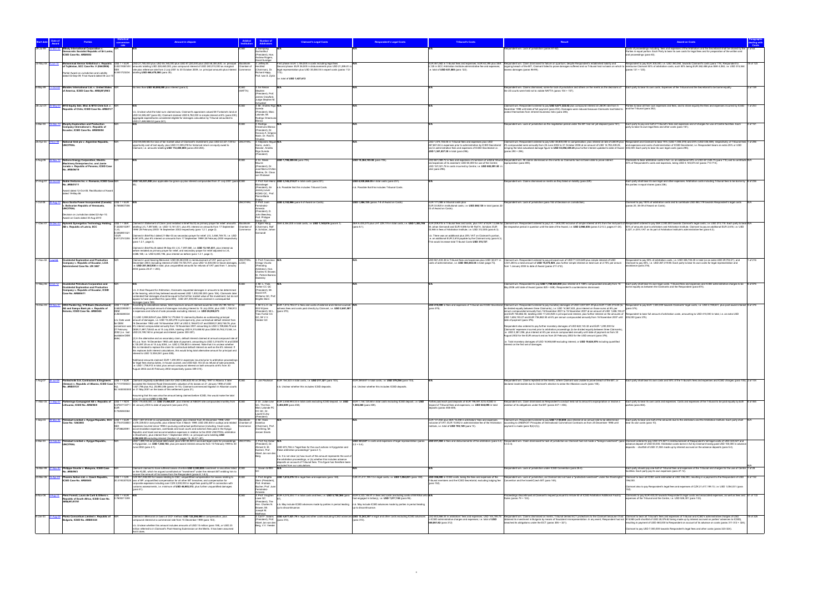|            |                                                                                                                                                                                                                |                                                                                                             | <b>Amount in dispute</b>                                                                                                                                                                                                                                                                                                                                                                                                                                                                                                                                                                                                                                                                                                                                                                                                                                                                                                                                                                                                                                                                                                                                                                                                                                                      |                                                                                                             | <b>Claimant's Legal Costs</b>                                                                                                                                                                                                                                                                                                                                     | <b>Respondent's Legal Costs</b>                                                                                                                     | <b>Tribunal's Costs</b>                                                                                                                                                                                                                                                                                                                  | Result                                                                                                                                                                                                                                                                                                                                                                                                                                                                                                                                                                                                                                                                                                                                                                                                                                                                                                                                                                                                                                                                                                                                                                                   | <b>Award on Costs</b>                                                                                                                                                                                                                                                                                                                                                                                                                                                                                                                                      |           |
|------------|----------------------------------------------------------------------------------------------------------------------------------------------------------------------------------------------------------------|-------------------------------------------------------------------------------------------------------------|-------------------------------------------------------------------------------------------------------------------------------------------------------------------------------------------------------------------------------------------------------------------------------------------------------------------------------------------------------------------------------------------------------------------------------------------------------------------------------------------------------------------------------------------------------------------------------------------------------------------------------------------------------------------------------------------------------------------------------------------------------------------------------------------------------------------------------------------------------------------------------------------------------------------------------------------------------------------------------------------------------------------------------------------------------------------------------------------------------------------------------------------------------------------------------------------------------------------------------------------------------------------------------|-------------------------------------------------------------------------------------------------------------|-------------------------------------------------------------------------------------------------------------------------------------------------------------------------------------------------------------------------------------------------------------------------------------------------------------------------------------------------------------------|-----------------------------------------------------------------------------------------------------------------------------------------------------|------------------------------------------------------------------------------------------------------------------------------------------------------------------------------------------------------------------------------------------------------------------------------------------------------------------------------------------|------------------------------------------------------------------------------------------------------------------------------------------------------------------------------------------------------------------------------------------------------------------------------------------------------------------------------------------------------------------------------------------------------------------------------------------------------------------------------------------------------------------------------------------------------------------------------------------------------------------------------------------------------------------------------------------------------------------------------------------------------------------------------------------------------------------------------------------------------------------------------------------------------------------------------------------------------------------------------------------------------------------------------------------------------------------------------------------------------------------------------------------------------------------------------------------|------------------------------------------------------------------------------------------------------------------------------------------------------------------------------------------------------------------------------------------------------------------------------------------------------------------------------------------------------------------------------------------------------------------------------------------------------------------------------------------------------------------------------------------------------------|-----------|
|            | ihaly International Corporation y<br>ocratic Socialist Republic of Sri Lanka<br>CSID Case No. ARB/00/2                                                                                                         |                                                                                                             |                                                                                                                                                                                                                                                                                                                                                                                                                                                                                                                                                                                                                                                                                                                                                                                                                                                                                                                                                                                                                                                                                                                                                                                                                                                                               | Sucharitkul<br>(President), Ho<br><b>Andrew Rogers,</b>                                                     |                                                                                                                                                                                                                                                                                                                                                                   |                                                                                                                                                     |                                                                                                                                                                                                                                                                                                                                          | lespondent win. Lack of jurisdiction (paras 61-62).                                                                                                                                                                                                                                                                                                                                                                                                                                                                                                                                                                                                                                                                                                                                                                                                                                                                                                                                                                                                                                                                                                                                      | Costs of proceedings including, fees and expenses of the Arbitrators and the Secretariat shall be shared by the<br>Parties in equal portion. Each Party to bear its own costs for legal fees and for preparation of the written and<br>oral proceedings (para 63).                                                                                                                                                                                                                                                                                         |           |
|            | 30-May-08 8-Jun-10                                                                                                                                                                                             |                                                                                                             | Mohammad Ammar Al-Bahloul v. Republic US\$ 1 = EUR USD 27,780,000 plus USD 55,160,000 plus USD 87,220,000 plus USD 58,300,000, i.e. principal Stockholm                                                                                                                                                                                                                                                                                                                                                                                                                                                                                                                                                                                                                                                                                                                                                                                                                                                                                                                                                                                                                                                                                                                       | Javid Suratgar<br>3: Jeffrey M.                                                                             | First phase: EUR 1,106,000 in costs including legal fee                                                                                                                                                                                                                                                                                                           |                                                                                                                                                     |                                                                                                                                                                                                                                                                                                                                          | :UR 461,582 in Tribunal fees and expenses; EUR 63,395 plus SEK Respondent win. Claim dismissed for failure on quantum; despite Respondent's established liability and                                                                                                                                                                                                                                                                                                                                                                                                                                                                                                                                                                                                                                                                                                                                                                                                                                                                                                                                                                                                                    | Respondent to pay EUR 300,000, i.e. USD 360,060, towards Claimant's costs (para 119). Respondent to                                                                                                                                                                                                                                                                                                                                                                                                                                                        | 18 of 123 |
|            | of Tajikistan, SCC Case No. V (064/2008)<br>Partial Award on Jurisdiction and Liability<br>dated 02-Sep-09; Final Award dated 08-Jun-1                                                                         |                                                                                                             | 0.8331938149 / amounts totalling USD 228,460,000, plus compound interest of USD 240,010,000 as marginal Chamber of Herzfeld<br>rate plus reference rate from 2 July 2001 to 30 October 2009, i.e. principal amounts plus interest Commerce<br>8.0451723234 totalling USD 468,470,000 (para 35).                                                                                                                                                                                                                                                                                                                                                                                                                                                                                                                                                                                                                                                                                                                                                                                                                                                                                                                                                                               | (Chairman), Dr.<br>Richard Happ.<br>Prof. Ivan S. Zykin                                                     | Second phase: EUR 36,500 in disbursements plus USD 21,299.81 in<br>legal representation plus USD 35,084.04 in expert costs (paras 112<br>total of USD 1,427,613                                                                                                                                                                                                   |                                                                                                                                                     | e. total of USD 631,088 (para 122).                                                                                                                                                                                                                                                                                                      | ss damages (paras 98-99).                                                                                                                                                                                                                                                                                                                                                                                                                                                                                                                                                                                                                                                                                                                                                                                                                                                                                                                                                                                                                                                                                                                                                                | 3,125 in SCC Arbitration Institute administrative fee and expenses; congoing breach of the BIT, Claimant failed to prove damages suffered and so Tribunal had no basis on which to reimburse Claimant 50% of arbitration costs<br>paras 121 + 123).                                                                                                                                                                                                                                                                                                        |           |
| 3-May-99   | Mondev International Ltd. v. United States<br>11-Oct-02<br>f America, ICSID Case No. ARB(AF)/99/2                                                                                                              |                                                                                                             | No less than USD 50,000,000 plus interest (para 2).<br><b>ICSID</b><br>(NAFTA)                                                                                                                                                                                                                                                                                                                                                                                                                                                                                                                                                                                                                                                                                                                                                                                                                                                                                                                                                                                                                                                                                                                                                                                                | 3: Sir Ninian<br>Stephen<br>(President), Prof<br>James Crawford<br>Judge Stephen M                          |                                                                                                                                                                                                                                                                                                                                                                   |                                                                                                                                                     |                                                                                                                                                                                                                                                                                                                                          | Respondent win. Claims dismissed, some for lack of jurisdiction and others on the merits as the decisions of Each party to bear its own costs. Expenses of the Tribunal and the Secretariat to be borne equally.<br>the US courts were held not to violate NAFTA (paras 154 + 157)                                                                                                                                                                                                                                                                                                                                                                                                                                                                                                                                                                                                                                                                                                                                                                                                                                                                                                       |                                                                                                                                                                                                                                                                                                                                                                                                                                                                                                                                                            | 2 of 159  |
| 26-Jun-01  | MTD Equity Sdn. Bhd. & MTD Chile S.A. v.<br>epublic of Chile, ICSID Case No. ARB/01/7                                                                                                                          |                                                                                                             | b. Unclear what the total sum claimed was. Claimant's appraisers valued Mr Fontaine's land at<br>USD 34,385,487 (para 45); Claimant claimed USD 8,782,000 in simple interest at 8% (para 230);<br>aggregate expenditures considered eligible for damages calculation by Tribunal amounted to<br>JSD 21,469,588.32 (para 241).                                                                                                                                                                                                                                                                                                                                                                                                                                                                                                                                                                                                                                                                                                                                                                                                                                                                                                                                                 | chwebel<br>I: Mr. Andrés Rigo<br>(President), Marc<br>Lalonde, Mr.<br>Rodrigo Oreamu                        |                                                                                                                                                                                                                                                                                                                                                                   |                                                                                                                                                     |                                                                                                                                                                                                                                                                                                                                          | Claimant win. Respondent ordered to pay USD 5,871,322.42 plus compound interest at LIBOR rate from 5<br>November 1998 until date of full payment (para 253). Damages were reduced because Claimants had failed to<br>rotect themselves from inherent business risks (para 246).                                                                                                                                                                                                                                                                                                                                                                                                                                                                                                                                                                                                                                                                                                                                                                                                                                                                                                          | Parties to bear all their own expenses and fees, and to share equally the fees and expenses incurred by ICSID 1 of 253<br>and the Tribunal (para 252).                                                                                                                                                                                                                                                                                                                                                                                                     |           |
| 3-Mar-08   | Murphy Exploration and Production<br>5-Dec-1<br>ompany International v. Republic of<br>cuador, ICSID Case No. ARB/08/04                                                                                        |                                                                                                             |                                                                                                                                                                                                                                                                                                                                                                                                                                                                                                                                                                                                                                                                                                                                                                                                                                                                                                                                                                                                                                                                                                                                                                                                                                                                               | 3: Rodrigo<br>Oreamuno Blanco<br>(President), Dr<br>Horacio A. Griger<br>Naón, Dr. Raúl E<br>inuesa         |                                                                                                                                                                                                                                                                                                                                                                   |                                                                                                                                                     |                                                                                                                                                                                                                                                                                                                                          | Respondent win. Lack of jurisdiction as the negotiation period under the BIT had not yet elapsed (para 161).                                                                                                                                                                                                                                                                                                                                                                                                                                                                                                                                                                                                                                                                                                                                                                                                                                                                                                                                                                                                                                                                             | Each party to pay one half of Tribunal's fees and expenses and of charges for use of Centre facilities. Each<br>party to bear its own legal fees and other costs (para 161).                                                                                                                                                                                                                                                                                                                                                                               | 2 of 161  |
|            | 25-Apr-03 3-Nov-08<br>National Grid plc v. Argentine Republic,<br><b>NCITRAL</b>                                                                                                                               |                                                                                                             | USD 59,069,583 for loss of fair market value of Claimant's investment, plus USD 22,321,139 for UNCITRAL<br>pportunity cost of lost equity, plus USD 31,009,278 for historical return on equity owed to<br>Claimant, i.e. amounts totalling USD 112,400,000 (paras 263-265).                                                                                                                                                                                                                                                                                                                                                                                                                                                                                                                                                                                                                                                                                                                                                                                                                                                                                                                                                                                                   | 3: Alejandro Miguel N/<br>Garro, Judd L.<br>Kessler, Andrés<br>Rigo Sureda<br>President)                    |                                                                                                                                                                                                                                                                                                                                                                   |                                                                                                                                                     | JSD 1,074,155.46 in Tribunal fees and expenses plus USD<br>267,681.84 in expenses prior to administration by ICSID Secretariat<br>and in administration fees and expenses of ICSID Secretariat i.e.<br>USD 1.341.837.30 in total (para 296).                                                                                             | 2% compounded semi-annually from 25 June 2002 to 31 October 2008 at an amount of USD 14,792,439.25,<br>bringing the total actualised damage figure to USD 53,592,439.25 plus further interest updated to date of Award 335,459. Each party to bear its own legal costs (para 295).<br>(paras 290 + 294).                                                                                                                                                                                                                                                                                                                                                                                                                                                                                                                                                                                                                                                                                                                                                                                                                                                                                 | Claimant win. Respondent ordered to pay USD 38,800,000 in compensation, plus interest at rate of LIBOR plus Respondent and Claimant to bear 75% (USD 1,006,378) and 25% (USD 335,459), respectively, of Tribunal fees 1 of 296<br>and expenses and costs of administration of ICSID Secretariat, i.e. Respondent bears an extra 25% or USD                                                                                                                                                                                                                 |           |
| 3-Aug-06   | Nov-10 Nations Energy Corporation, Electric<br>chinery Enterprises Inc. and Jamie<br>Jurado v. Republic of Panama, ICSID Case<br>No. ARB/06/19                                                                 |                                                                                                             |                                                                                                                                                                                                                                                                                                                                                                                                                                                                                                                                                                                                                                                                                                                                                                                                                                                                                                                                                                                                                                                                                                                                                                                                                                                                               | 3: Sr. Alexis<br>fourre<br>(President), Dr.<br>José María Chillór<br>Medina, Dr. Claus<br>von Wobeser       | USD 1,798,289.56 (para 705).                                                                                                                                                                                                                                                                                                                                      | USD 10,364,183.56 (para 706)                                                                                                                        | and expenses of its assistant; USD 65,000 for use of the Centre;<br>USD 157,021.78 in costs incurred by Centre; i.e. USD 883,091.50 i<br>total (para 296).                                                                                                                                                                               | USD 661,069.72 in fees and expenses of members of arbitral tribunal Respondent win. All claims dismissed on the merits as Claimants had not been able to prove indirect<br>expropriation (para 693)                                                                                                                                                                                                                                                                                                                                                                                                                                                                                                                                                                                                                                                                                                                                                                                                                                                                                                                                                                                      | Claimants to bear arbitration costs in full, i.e. an additional 50% or USD 441,545.75 (para 710) and to contribute N/A<br>10% of Respondent's costs and expenses, being USD 4,145,673.42 (paras 713-714).                                                                                                                                                                                                                                                                                                                                                  |           |
| 1-Aug-01   | 2-Oct-05 Noble Ventures Inc. v. Romania, ICSID Case N/R<br><b>Io. ARB/01/11</b><br>ward dated 12-Oct-05; Rectification of Award<br>dated 19-May-06                                                             |                                                                                                             | USD 143,531,000 plus applicable tax gross-up plus interest compounded from 31 July 2001 (para ICSID                                                                                                                                                                                                                                                                                                                                                                                                                                                                                                                                                                                                                                                                                                                                                                                                                                                                                                                                                                                                                                                                                                                                                                           | : Prof. Karl-Heinz<br>öckstiegel<br>(President), Sir<br>Jeremy Lever<br>KCMG QC. Prof<br>Pierre-Marie       | USD 3,145,210.27 in total costs (para 231).<br>Possible that this includes Tribunal Costs                                                                                                                                                                                                                                                                         | ISD 8,930,868.05 in total costs (para 231).<br>b. Possible that this includes Tribunal Costs.                                                       |                                                                                                                                                                                                                                                                                                                                          | pondent win. Claims dismissed on merits as they failed on liability (para 229)                                                                                                                                                                                                                                                                                                                                                                                                                                                                                                                                                                                                                                                                                                                                                                                                                                                                                                                                                                                                                                                                                                           | Each party shall bear its own legal and other expenses. Arbitration costs including Tribunal fees to be borne by 6 of 236<br>he parties in equal shares (para 236).                                                                                                                                                                                                                                                                                                                                                                                        |           |
| 1-Oct-08   | Nova Scotia Power Incorporated (Canada) US\$ 1 = EUR N/A<br>$1-A$ ug-1<br>Bolivarian Republic of Venezuela,<br><b>NCITRAL</b><br>Decision on Jurisdiction dated 22-Apr-10;<br>Award on Costs dated 30-Aug-2010 | 0.7880807356                                                                                                | <b>JNCITRAL</b>                                                                                                                                                                                                                                                                                                                                                                                                                                                                                                                                                                                                                                                                                                                                                                                                                                                                                                                                                                                                                                                                                                                                                                                                                                                               | Dupuy<br>3: Prof. Juan<br>Fernández-<br>Armesto<br>(President), D<br>John Beechey,<br>Prof. Philippe        | USD 2,152,966 (para 6 of Award on Costs).                                                                                                                                                                                                                                                                                                                         | USD 1.584.135 (paras 7-8 of Award on Costs)                                                                                                         | EUR 171,088 in tribunal costs plus<br>EUR 33,920 in institutional costs, i.e. USD 260,135 in total (paras 22-<br>3 of Award on Costs).                                                                                                                                                                                                   | Respondent win. Lack of jurisdiction (para 152 of Decision on Jurisdiction)                                                                                                                                                                                                                                                                                                                                                                                                                                                                                                                                                                                                                                                                                                                                                                                                                                                                                                                                                                                                                                                                                                              | Claimant to pay 100% of arbitration costs and to contribute USD 850 179 towards Respondent's legal costs<br>paras 20, 38-39 of Award on Costs).                                                                                                                                                                                                                                                                                                                                                                                                            |           |
| 1-Dec-01   | <b>Nykomb Synergetics Technology Holding</b><br>AB v. Republic of Latvia, SCC                                                                                                                                  | .3228310297<br>'LVL<br>0.5392951321                                                                         | US\$ 1 = SEK Claimed in Statement of Claim (and restated in Brief No.III) as primary prayer for relief: amounts<br>Stockholm<br>totalling LVL 7,097,680, i.e. USD 13,161,031, plus 6% interest on amounts from 17 September<br>1999/28 February 2000/16 September 2002 respectively (para 1.2.1, page 2).<br>Commerce<br>Claimed in Brief No.I dated 21-Mar-03 as secondary prayer for relief: LVL 3,484,749.70, i.e. USD<br>0.8112741255 6,461,675, plus 6% interest on amounts from 17 September 1999/ 28 February 2000 respectively<br>(para 1.2.1, page 2).                                                                                                                                                                                                                                                                                                                                                                                                                                                                                                                                                                                                                                                                                                               | sands QC<br>3: Biørn Haug<br>Chamber of (Chairman), Rol<br>A. Schütze, Johan<br>Gernandt                    | SEK 8.354.000 in total costs, i.e. USD 1.140.816 (para 6.1).                                                                                                                                                                                                                                                                                                      | SEK 6.435.270 plus LAT 229.174 in total costs. i.e. USD 1.303.746<br>(para 6.1).                                                                    | Mr Johan Gernandt and EUR 9,596 for Mr Rolf A. Schütze; EUR<br>20,946 in fees of Arbitration Institute, i.e. USD 312,500 (para 6.3).<br>1.b. There was an additional plus 25% VAT on Claimant's portion,<br>i.e. an additional EUR 2,618 payable by the Claimant only (para 6.3)<br>his would increase total Tribunal Costs USD 315,727. |                                                                                                                                                                                                                                                                                                                                                                                                                                                                                                                                                                                                                                                                                                                                                                                                                                                                                                                                                                                                                                                                                                                                                                                          | EUR 209,915 in Tribunal fees and costs, plus VAT of EUR 13,066 for Claimant win. Respondent ordered to pay LVL 1,600,000 inclusive of simple interest at 6% from the mid-point of Respondent ordered to pay SEK 2,000,000 bowa<br>the respective period in question until the date of the Award, i.e. USD 2,966,836 (paras 5.2-5.3, pages 41-24). 50% of amounts due to arbitrators and Arbitration Institute. Claimant to pay an additional EUR 2,618, i.e. USD<br>,227, in 25% VAT on its part of Arbitration Institute's administrative fee (para 6.3). |           |
|            | 1-Nov-02 1-Jul-04<br><b>Occidental Exploration and Production</b><br>Company v. Republic of Ecuador, LCIA                                                                                                      |                                                                                                             | Claimed in Brief No.III dated 09-Sep-03: LVL 7,097,680, i.e. USD 13,161,031, plus interest as<br>before restated as primary prayer for relief, and secondary prayer for relief adiusted to LVL<br>3.686.188. i.e. USD 6,835,196, plus interest as before (para 1.2.1, page 3).<br>laimed in post-hearing Memorial: USD 80,263,930 in reimbursement of VAT paid up to 31<br><b>UNCITRAL</b><br>December 2003 (including interest of USD 19,725,707), plus USD 12,300,000 in future damages, (LCIA)                                                                                                                                                                                                                                                                                                                                                                                                                                                                                                                                                                                                                                                                                                                                                                             | 3: Prof. Francis<br>Orrego Vicuña                                                                           |                                                                                                                                                                                                                                                                                                                                                                   |                                                                                                                                                     | osts of administration, i.e. USD 594,044.38 in total (page 73).                                                                                                                                                                                                                                                                          | USD 561,433.38 in Tribunal fees and expenses plus USD 32,611 in Claimant win. Respondent ordered to pay principal sum of USD 71,533,649 plus simple interest of USD<br>3,541,280 to a total amount of USD 75,074,929, plus further simple interest on total sum at 2.75% per annum                                                                                                                                                                                                                                                                                                                                                                                                                                                                                                                                                                                                                                                                                                                                                                                                                                                                                                       | Respondent to pay 55% of arbitration costs, i.e. USD 326,724.40 in total (or an extra USD 29,702.21), and<br>Claimant to pay 45%, i.e. USD 267,319.98. Each party to bear its own costs for legal representation and                                                                                                                                                                                                                                                                                                                                       | 1 of 216  |
|            | inistered Case No. UN 3467                                                                                                                                                                                     |                                                                                                             | .e. USD 201,563,930 in total, plus unquantified amounts for refunds of VAT paid from 1 January<br>2004 (paras 20-21 + 203).                                                                                                                                                                                                                                                                                                                                                                                                                                                                                                                                                                                                                                                                                                                                                                                                                                                                                                                                                                                                                                                                                                                                                   | (Presiding<br>Arbitrator), Hon.<br>Charles N Brower<br>Dr. Patrick Barrera<br>Sweenev                       |                                                                                                                                                                                                                                                                                                                                                                   |                                                                                                                                                     |                                                                                                                                                                                                                                                                                                                                          | rom 1 January 2004 to date of Award (paras 211-212).                                                                                                                                                                                                                                                                                                                                                                                                                                                                                                                                                                                                                                                                                                                                                                                                                                                                                                                                                                                                                                                                                                                                     | sistance (para 216).                                                                                                                                                                                                                                                                                                                                                                                                                                                                                                                                       |           |
|            | -May-06 5-Oct-12 Occidental Petroleum Corporation and<br>Occidental Exploration and Production<br>Company v. Republic of Ecuador, ICSID<br>Case No. ARB/06/11                                                  |                                                                                                             | n.b. In their Request for Arbitration, Claimants requested damages in amounts to be determined<br>at the hearing, which they believed would exceed USD 1,000,000,000 (para 106). Claimants later<br>contended that damages should be equal to the full fair market value of the investment, but do not<br>appear to have quantified this (para 594). USD 201,000,000 was claimed in consequential<br>damages (para 789).                                                                                                                                                                                                                                                                                                                                                                                                                                                                                                                                                                                                                                                                                                                                                                                                                                                      | 3: Mr. L. Yves<br>Fortier CC QC<br>President), Mr<br>David A R<br>Williams QC. Pro<br><b>Brigitte Stern</b> |                                                                                                                                                                                                                                                                                                                                                                   |                                                                                                                                                     |                                                                                                                                                                                                                                                                                                                                          | Claimant win. Respondent to pay USD 1,769,625,000 plus interest at 4.188% compounded annually from 16<br>May 2006 until date of Award (paras 825 + 848). Respondent's counterclaims dismissed.                                                                                                                                                                                                                                                                                                                                                                                                                                                                                                                                                                                                                                                                                                                                                                                                                                                                                                                                                                                           | Each party shall bear its own legal costs. Tribunal fees and expenses and ICSID administrative charges to be 6 of 876<br>me equally as between the Claimants and the Respondent (para 874)                                                                                                                                                                                                                                                                                                                                                                 |           |
| 5-Dec-03   | OKO Pankki Oyj, VTB Bank (Deutschland)<br>AG and Sampo Bank plc v. Republic of<br>Estonia, ICSID Case No. ARB/04/6                                                                                             | $USS 1 = EUR$<br>0.6822395557<br>2.2630280334<br>h Date used<br>for DEM<br>2002 (i.e. last<br>available DEM | According to calculations below, total maximum amount claimed would be USD 25,199,160 for ICSID<br>outstanding principal amount of damages including interest to 15 July 2004, plus USD 1,758,913<br>expenses and refund of sale proceeds excluding interest, i.e. USD 26,958,073<br>1) USD 3,959,529.67 plus DEM 14,179,564.12 claimed by Banks as outstanding principal<br>amount of damages, i.e. USD 10,225,278 in principal only, plus contractual default interest from<br>16 December 1992 until 16 November 2001 at USD 2.156.672.47 and DEM 21.583.748.76, plus<br>conversion was 6% interest compounded annually from 16 November 2001 amounting to USD 3 199.656.78 and<br>27 February DEM 21,897,728.82 as at 15 July 2004, totalling USD 9,315,858.92 plus DEM 35,763,312.88, i.e.<br>USD 25,199,160 in principal and interest (paras 300-307).<br>(2) In the alternative and as secondary claim, default interest claimed at annual compound rate of<br>6% p.a. from 16 December 1992 until date of payment, amounting to USD 3,316,678.14 and DEM<br>6,130,097.25 as at 15 July 2004, i.e. USD 2,708,803 in interest. Note that it is unclear whether<br>this is intended to replace the claim for contractual default interest as well as the 6% interest. If | : Mr O.L.O. de<br>Witt Wijnen<br>(President), Mr L<br>Yves Fortier CC<br>QC. Mr V.V.<br>Veeder QC           | EUR 1,815,785.37 in fees and costs of external and internal counsel,<br>tness fees and costs paid directly by Claimant, i.e. USD 2,661,507<br>(para 370).                                                                                                                                                                                                         |                                                                                                                                                     | (para 375).                                                                                                                                                                                                                                                                                                                              | be divided equally between three Claimants), i.e. USD 14,567,633, plus interest on those sums at 6% per<br>annum compounded annually from 16 November 2001 to 15 November 2007 at an amount of USD 1,606,193.27<br>and EUR 736,882.50, totalling USD 17,243,920 in principal and interest, plus further interest on the amounts of Respondent to bear full amount of arbitration costs, amounting to USD 410,000 in total, i.e. an extra USD<br>USD 1,606,193.27 and EUR 736,882.50 at 6% per annum compounded annually from 16 November 2007 until 205,000 (para 375).<br>date of payment (para 376).<br>Respondent also ordered to pay further monetary damages of USD 622.143.32 and EUR 1.200.000 for<br>Claimants' expenses incurred prior to arbitration proceedings (to be divided equally between three Claimants),<br>i.e. USD 2,381,056, plus interest at 6% per annum compounded annually until date of payment as from 30<br>August 2002 for the EUR amount and as from 20 February 2002 for the USD amount (para 376).<br>i.e. Total monetary damages of USD 16,948,689 excluding interest, or USD 19,624,976 including quantified<br>interest on the first set of damages. | USD 410,000 in fees and expenses of Tribunal and ICSID Secretariat Claimant win. Respondent ordered to pay monetary damages of USD 3,837,801.49 plus EUR 7,320,315.80 (to Respondent to pay EUR 1,500,000 towards Claimants' l<br>(para 374).                                                                                                                                                                                                                                                                                                              |           |
|            |                                                                                                                                                                                                                |                                                                                                             | lations, this would bring total alte<br>interest to USD 12.934.081 (para 308).<br>Additional amounts claimed: EUR 1.200.000 in expenses incurred prior to arbitration proceedings<br>for legal fees stamp duties, in-house counsel, and USD 622,143.32 as refund of sale proceeds,<br>i.e. USD 1,758,913 in total, plus annual compound interest on both amounts at 6% from 30<br>ugust 2002 and 20 February 2002 respectively (paras 309-310).                                                                                                                                                                                                                                                                                                                                                                                                                                                                                                                                                                                                                                                                                                                                                                                                                               |                                                                                                             |                                                                                                                                                                                                                                                                                                                                                                   |                                                                                                                                                     |                                                                                                                                                                                                                                                                                                                                          |                                                                                                                                                                                                                                                                                                                                                                                                                                                                                                                                                                                                                                                                                                                                                                                                                                                                                                                                                                                                                                                                                                                                                                                          |                                                                                                                                                                                                                                                                                                                                                                                                                                                                                                                                                            |           |
| $-Auq-07$  | o. ARB/07/2                                                                                                                                                                                                    |                                                                                                             | Pantechniki S.A. Contractors & Engineers US\$ 1 = EUR Claimant originally submitted claim for USD 4,893,623.93 on 29 May 1997 in Albania. It later<br>Greece) v. Republic of Albania, ICSID Case 0.7110150633 / accepted the General Road Directorate's valuation of its losses on 21 January 1998 of USD<br>1,821,796 plus ALL 25,890,356 (paras 14-15). Claimant commenced litigation in Albanian courts<br>92.1400000000 on 31 May 2001 on the basis of this settlement (para 21).<br>ssuming that this was also the amount being claimed before ICSID, this would make the total                                                                                                                                                                                                                                                                                                                                                                                                                                                                                                                                                                                                                                                                                          |                                                                                                             | Jan Paulsson EUR 154,523 in total costs, i.e. USD 217,327 (para 103).<br>.b. Unclear whether this includes ICSID deposits.                                                                                                                                                                                                                                        | EUR 269,657 in total costs, i.e. USD 379,256 (para 103).<br>b. Unclear whether this includes ICSID deposits.                                        |                                                                                                                                                                                                                                                                                                                                          | declared inadmissible due to Claimant's election to seise the Albanian courts (para 105).                                                                                                                                                                                                                                                                                                                                                                                                                                                                                                                                                                                                                                                                                                                                                                                                                                                                                                                                                                                                                                                                                                | lespondent win. Claims rejected on the merits, where Claimant was unable to prove breach of the BIT, or Each party shall bear its own costs and 50% of the Tribunal's fees and expenses and ICSID charges (para 105). 2 of 104                                                                                                                                                                                                                                                                                                                             |           |
|            | .ithuania. ICSID No. ARB/05/8                                                                                                                                                                                  | 0.7226363364                                                                                                | mount claimed USD 2,102,785<br>1-Mar-05 11-Sep-07 Parkerings-Compagniet AS v. Republic of US\$ 1 = NOK NOK 176,400,000, i.e. USD 31,065,027, plus interest at NIBOR rate compounded monthly from CSID<br>5.6784113471 / 22 January 2004 to date of payment (see para 213).                                                                                                                                                                                                                                                                                                                                                                                                                                                                                                                                                                                                                                                                                                                                                                                                                                                                                                                                                                                                    | QC. The Hon.<br>Marc Lalonde PO<br>OC QC, Dr.<br>Laurent Lévy                                               | 3: Dr. Julian Lew EUR 2.458.993.33 in total costs excluding ICSID deposit, i.e. USD<br>3.402.809 (para 458)                                                                                                                                                                                                                                                       | EUR 1.144.124.68 in total costs excluding ICSID deposit, i.e. USD<br>1,583,265 (para 459)                                                           | Parties paid each paid deposits of EUR 196,591.42 to ICSID in<br>espect of Tribunal fees and expenses, i.e. USD 544,095 in total<br>leposits (paras 458-459).                                                                                                                                                                            | Respondent win. Claim dismissed as Respondent's conduct held not to amount to expropriation or involve a<br>iolation of its obligations under the BIT (paras 447 + 456).                                                                                                                                                                                                                                                                                                                                                                                                                                                                                                                                                                                                                                                                                                                                                                                                                                                                                                                                                                                                                 | Each party to bear its own costs and expenses. Costs and expenses of the Tribunal to be paid equally by both 8 of 465<br>arties (para 464).                                                                                                                                                                                                                                                                                                                                                                                                                |           |
| 1-Sep-03   | 9-Mar-05 Petrobart Limited v. Kyrgyz Republic, SCC<br>Case No. 126/2003                                                                                                                                        | $USS 1 = EUR$<br>.0708620991                                                                                | USD 1,507,812.60 in compensatory damages, plus interest from 25 December 1998; USD<br>0.7744103850 / 2.376.339.60 in lost profits, plus interest from 4 March 1999; USD 200.500 in outlays and related Chamber of<br>expenses incurred since 1998 in pursuing contractual performance (including travel costs.<br>ommerce<br>accommodation expenses, overheads and local courts and solicitors fees paid in the Kyrgyz<br>Republic and travel and accommodation expenses in relation to the 2002 UNCITRAL arbitration<br>Stockholm), plus interest from 1 September 2003; i.e. principal sums totalling USD                                                                                                                                                                                                                                                                                                                                                                                                                                                                                                                                                                                                                                                                   | President)<br>: Mr. Hans<br>Danelius<br>(Chairman), Pro<br>Ove Bring, Mr.<br>Jeroen Smets                   |                                                                                                                                                                                                                                                                                                                                                                   |                                                                                                                                                     | EUR 131,832 plus SEK 16,458 in arbitrators' fees and expenses<br>nstitute, i.e. total of USD 193,149 (para 10).                                                                                                                                                                                                                          | Claimant win. Respondent ordered to pay USD 1,130,859, plus interest at an annual rate to be determined<br>nclusive of VAT; EUR 15,942 in administrative fee of the Arbitration according to UNIDROIT Principles of International Commercial Contracts as from 25 December 1998 until<br>ayment is made (para 9(d)+(h)).                                                                                                                                                                                                                                                                                                                                                                                                                                                                                                                                                                                                                                                                                                                                                                                                                                                                 | ach party to bear one half of the amounts due to the arbitrators and the Arbitration Institute. Each party shall<br>bear its own costs (para 10)                                                                                                                                                                                                                                                                                                                                                                                                           |           |
| 2-Mar-00   | Petrobart Limited v. Kyrgyz Republic<br><b>INCITRAL</b>                                                                                                                                                        |                                                                                                             | 4,084,652.20 excluding interest (Section VI, pages 18, 36-37 +87).<br>SD 1,499,143 as principal debt owed, plus USD 83,020 in accrued legal costs for proceedings<br><b>INCITRA</b><br>in Kyrgyzstan, i.e. USD 1,582,163, plus pre-award interest amounts from 15 February 1999 to 30<br>June 2002 (para 2.1).                                                                                                                                                                                                                                                                                                                                                                                                                                                                                                                                                                                                                                                                                                                                                                                                                                                                                                                                                                | l: Prof. Kaj Hobe<br>President), Dr<br>Ahmed S. El-<br>Kosheri, Prof.<br>Albert Jan van de<br>Berg          | USD 672,746 in "legal fees for the court actions in Kyrgyzstan and<br>hese arbitration proceedings" (para 2.1).<br>n.b. It is not clear (a) how much of this amount represents the cost of<br>he arbitration proceedings, or (b) whether this includes advance<br>posits on account of Tribunal fees. This figure has therefore bee<br>ded from our calculations. | USD 323,527 in costs and expenses of legal representation (paras<br>$.2 + 5.4$ ).                                                                   |                                                                                                                                                                                                                                                                                                                                          | USD 231,504 in fees and disbursements of the arbitrators (para 5.4) Respondent win. Claim dismissed for lack of jurisdiction as Claimant had not made a "foreign investment" (para Claimant ordered to pay USD 373,527 in reim<br>5333)                                                                                                                                                                                                                                                                                                                                                                                                                                                                                                                                                                                                                                                                                                                                                                                                                                                                                                                                                  | advance deposit of USD 50,000. Arbitration costs borne in full by Claimant having paid USD 150,000 in advance<br>eposits - shortfall of USD 31,504 made up by interest accrued on the advance deposits (para 5.4).                                                                                                                                                                                                                                                                                                                                         |           |
| 16-Mar-99  | hilippe Gruslin v. Malaysia, ICSID Case<br>o. ARB/99/3                                                                                                                                                         |                                                                                                             | laimant claimed to have suffered losses of entire USD 2,300,000 investment in securities listed CSID<br>on the KLSE, which he argued constituted an "investment" under the relevant BIT entitling him to                                                                                                                                                                                                                                                                                                                                                                                                                                                                                                                                                                                                                                                                                                                                                                                                                                                                                                                                                                                                                                                                      | : Gavan Griffith                                                                                            |                                                                                                                                                                                                                                                                                                                                                                   |                                                                                                                                                     |                                                                                                                                                                                                                                                                                                                                          | ondent win. Lack of jurisdiction under ICSID Convention (para 26.4).                                                                                                                                                                                                                                                                                                                                                                                                                                                                                                                                                                                                                                                                                                                                                                                                                                                                                                                                                                                                                                                                                                                     | ach party should pay one-half of Tribunal fees and expenses of the Tribunal and charges for the use of Centre 1 of 28<br>acilities. Each party pay its own expenses (para 27.12).                                                                                                                                                                                                                                                                                                                                                                          |           |
|            | 23-Mar-06 15-Apr-09 Phoenix Action Ltd. v. Czech Republic,<br>ICSID Case No. ARB/06/5                                                                                                                          |                                                                                                             | cover the amount of his losses from the Respondent (paras 8.1-8.3).<br>US\$ 1 = CZK CZK 951,048,000 for losses relating to C&C unquantified compensation for losses relating to<br>0.3193307025 loss of BP: unquantified compensation for all other BIT breaches: and compensation for<br>corporate expenses including over CZK 2,000,000 in legal fees paid by BP in connection with<br>customs assessments, i.e. minimum of USD 46,903,513, plus further unquantified damages<br>para 51).                                                                                                                                                                                                                                                                                                                                                                                                                                                                                                                                                                                                                                                                                                                                                                                  | 3: Prof. Brigitte<br>tern (President)<br>Prof. Andreas<br>Bucher, Prof. Juan                                | USD 1.612.279.13 in legal fees and expenses (para 148).                                                                                                                                                                                                                                                                                                           | CZK 21.417.199.13 in legal costs, i.e. USD 1.054.031 (para 148).                                                                                    | USD 356,000 in ICSID costs, being the fees and expenses of the<br>ribunal members and the ICSID Secretariat, excluding lodging fee<br>(para 152).                                                                                                                                                                                        | Respondent win. Lack of jurisdiction, as Claimant did not have a "protected investment" under the Washington<br>Convention and the Israeli/Czech BIT (para 145).                                                                                                                                                                                                                                                                                                                                                                                                                                                                                                                                                                                                                                                                                                                                                                                                                                                                                                                                                                                                                         | Claimant to bear all ICISD costs estimated at USD 356,000, resulting in a payment to the Respondent of USD 5 of 152<br>Claimant also to pay Respondent's legal fees and expenses of CZK 21,417,199.13, i.e. USD 1,054,031 (para                                                                                                                                                                                                                                                                                                                            |           |
| $8-Nov-06$ | 4-Aug-10 Piero Foresti, Laura de Carli & Others v.                                                                                                                                                             | $USS = FUR$ $N/A$                                                                                           |                                                                                                                                                                                                                                                                                                                                                                                                                                                                                                                                                                                                                                                                                                                                                                                                                                                                                                                                                                                                                                                                                                                                                                                                                                                                               | Fernández-<br>3: Prof. Vaughan                                                                              |                                                                                                                                                                                                                                                                                                                                                                   | EUR 4,374,200.11 in total costs and fees, i.e. USD 5,755,366 (para EUR 5,333,146.91 in fees and costs (excluding costs of Mr Nthai who N/A          |                                                                                                                                                                                                                                                                                                                                          | roceedings discontinued at Claimant's request pursuant to Article 50 of ICSID Arbitration Additional Facility                                                                                                                                                                                                                                                                                                                                                                                                                                                                                                                                                                                                                                                                                                                                                                                                                                                                                                                                                                                                                                                                            | Claimants to pay EUR 400,00 towards Respondent's legal costs and associated expenses, as well as fees and 51 of 133                                                                                                                                                                                                                                                                                                                                                                                                                                        |           |
|            | epublic of South Africa, ICSID Case No.<br>ARB(AF)/07/01                                                                                                                                                       | 0.7600211259                                                                                                |                                                                                                                                                                                                                                                                                                                                                                                                                                                                                                                                                                                                                                                                                                                                                                                                                                                                                                                                                                                                                                                                                                                                                                                                                                                                               | Lowe QC<br>(President), Th<br>Hon. Charles N.<br>Brower, Mr.<br>Joseph M.                                   | b. May include ICSID advances made by parties in period leading<br>up to discontinuance.                                                                                                                                                                                                                                                                          | ad engaged in bribery), i.e. USD 7,017,104 (para 96).<br>n.b. May include ICSID advances made by parties in period leading<br>up to discontinuance. |                                                                                                                                                                                                                                                                                                                                          | Rules (paras 79 + 133).                                                                                                                                                                                                                                                                                                                                                                                                                                                                                                                                                                                                                                                                                                                                                                                                                                                                                                                                                                                                                                                                                                                                                                  | benses of the Tribunal and the Centre, i.e. USD 526,301 (para 133).                                                                                                                                                                                                                                                                                                                                                                                                                                                                                        |           |
| -Jan-03    | Plama Consortium Limited v. Republic of                                                                                                                                                                        |                                                                                                             | laimed in Memorial on basis of DCF method: USD 122,258,000 in compensation, plus                                                                                                                                                                                                                                                                                                                                                                                                                                                                                                                                                                                                                                                                                                                                                                                                                                                                                                                                                                                                                                                                                                                                                                                              | : Carl F. Salans                                                                                            |                                                                                                                                                                                                                                                                                                                                                                   | USD 4,677,521.79 in legal and other costs excluding ICSID advances USD 13,243,357 in legal and other costs excluding ICSID advances                 | JSD 803,866.04 in arbitrators' fees and expenses; USD 144,195.78                                                                                                                                                                                                                                                                         | ondent win. Claims dismissed on merits; Tribunal denied ECT protections to the Claimant because it had                                                                                                                                                                                                                                                                                                                                                                                                                                                                                                                                                                                                                                                                                                                                                                                                                                                                                                                                                                                                                                                                                   | Iaimant to bear all Tribunal's fees and expenses of Tribunal and ICSID's administrative charges of USD                                                                                                                                                                                                                                                                                                                                                                                                                                                     | 18 of 325 |
|            | Ilgaria, ICSID No. ARB/03/24                                                                                                                                                                                   |                                                                                                             | ompound interest at a commercial rate from 15 December 1999 (para 153).<br>b. Unclear whether this amount includes amounts of USD 10 million (para 159), or USD 23.<br>million referred to in Claimant's Post-Hearing Submission on the Merits. It has been assumed                                                                                                                                                                                                                                                                                                                                                                                                                                                                                                                                                                                                                                                                                                                                                                                                                                                                                                                                                                                                           | (President), Prof.<br>Albert Jan van der<br>Berg, V.V. Veeder                                               | (para 310).                                                                                                                                                                                                                                                                                                                                                       | (para 310).                                                                                                                                         | n ICSID administrative charges and expenses; i.e. total of USD<br>948,061.82 (para 312)                                                                                                                                                                                                                                                  | breached its obligations under the ECT (paras 306 + 321).                                                                                                                                                                                                                                                                                                                                                                                                                                                                                                                                                                                                                                                                                                                                                                                                                                                                                                                                                                                                                                                                                                                                | obtained its investment in Bulgaria by means of fraudulent misrepresentation. In any event, Respondent had not 919,985 (with shortfall of USD 28,076.82 being made up by interest accrued on parties' advances to ICSID),<br>sulting in payment of USD 460,000 to Respondent on account of its advance on costs (paras 311-312 + 324<br>Claimant to pay USD 7,000,000 towards Respondent's legal fees and other costs (paras 323-324).                                                                                                                     |           |

|                              | <b>Award on Costs</b>                                                                                                                                                                                                                                                                                                           | Paragraph:<br>dealing wit |
|------------------------------|---------------------------------------------------------------------------------------------------------------------------------------------------------------------------------------------------------------------------------------------------------------------------------------------------------------------------------|---------------------------|
|                              | Costs of proceedings including fees and expenses of the Arbitrators and the Secretariat shall be shared by the<br>Parties in equal portion. Each Party to bear its own costs for legal fees and for preparation of the written an                                                                                               | $1$ of $63$               |
| d                            | oral proceedings (para 63).<br>Respondent to pay EUR 300,000, i.e. USD 360,060, towards Claimant's costs (para 119). Respondent to                                                                                                                                                                                              | 18 of 123                 |
| which to                     | reimburse Claimant 50% of arbitration costs, such 50% being EUR 262,488 plus SEK 4,063, i.e. USD 315,544<br>(paras 121 + 123).                                                                                                                                                                                                  |                           |
| ons of                       | Each party to bear its own costs. Expenses of the Tribunal and the Secretariat to be borne equally.                                                                                                                                                                                                                             | 2 of 159                  |
| n 5<br>ailed to              | Parties to bear all their own expenses and fees, and to share equally the fees and expenses incurred by ICSID<br>and the Tribunal (para 252).                                                                                                                                                                                   | 1 of 253                  |
| 161).                        | Each party to pay one half of Tribunal's fees and expenses and of charges for use of Centre facilities. Each<br>party to bear its own legal fees and other costs (para 161).                                                                                                                                                    | 2 of 161                  |
| OR plus<br>9.25.<br>of Award | Respondent and Claimant to bear 75% (USD 1,006,378) and 25% (USD 335,459), respectively, of Tribunal fees<br>and expenses and costs of administration of ICSID Secretariat, i.e. Respondent bears an extra 25% or USD<br>335,459. Each party to bear its own legal costs (para 295).                                            | 1 of 296                  |
|                              | Claimants to bear arbitration costs in full, i.e. an additional 50% or USD 441,545.75 (para 710) and to contribute N/A<br>40% of Respondent's costs and expenses, being USD 4,145,673.42 (paras 713-714).                                                                                                                       |                           |
|                              | Each party shall bear its own legal and other expenses. Arbitration costs including Tribunal fees to be borne by<br>the parties in equal shares (para 236).                                                                                                                                                                     | 6 of 236                  |
|                              | Claimant to pay 100% of arbitration costs and to contribute USD 850,179 towards Respondent's legal costs<br>(paras 20, 38-39 of Award on Costs).                                                                                                                                                                                | N/A                       |
| d-point of<br>$11-24$ ).     | Respondent ordered to pay SEK 2,000,000 towards Claimant's legal costs, i.e. USD 273,118. Each party to bear<br>50% of amounts due to arbitrators and Arbitration Institute. Claimant to pay an additional EUR 2,618, i.e. USD<br>3,227, in 25% VAT on its part of Arbitration Institute's administrative fee (para 6.3).       | N/A                       |
|                              |                                                                                                                                                                                                                                                                                                                                 |                           |
| annum                        | Respondent to pay 55% of arbitration costs, i.e. USD 326,724.40 in total (or an extra USD 29,702.21), and<br>Claimant to pay 45%, i.e. USD 267,319.98. Each party to bear its own costs for legal representation and<br>assistance (para 216).                                                                                  | 1 of 216                  |
| m 16                         | Each party shall bear its own legal costs. Tribunal fees and expenses and ICSID administrative charges to be                                                                                                                                                                                                                    | 6 of 876                  |
|                              | borne equally as between the Claimants and the Respondent (para 874).                                                                                                                                                                                                                                                           |                           |
| 5.80 (to<br>er<br>06,193.27  | Respondent to pay EUR 1,500,000 towards Claimants' legal costs, i.e. USD 2,198,641, plus post-award interest 8 of 376<br>(para 374).                                                                                                                                                                                            |                           |
| ounts of<br>07 until         | Respondent to bear full amount of arbitration costs, amounting to USD 410,000 in total, i.e. an extra USD<br>205,000 (para 375).                                                                                                                                                                                                |                           |
| mants).<br>30<br>ified       |                                                                                                                                                                                                                                                                                                                                 |                           |
|                              |                                                                                                                                                                                                                                                                                                                                 |                           |
| , or                         | Each party shall bear its own costs and 50% of the Tribunal's fees and expenses and ICSID charges (para 105). 2 of 104                                                                                                                                                                                                          |                           |
| ive a                        | Each party to bear its own costs and expenses. Costs and expenses of the Tribunal to be paid equally by both                                                                                                                                                                                                                    | 8 of 465                  |
|                              | parties (para 464).                                                                                                                                                                                                                                                                                                             |                           |
| hed<br>ıntil                 | Each party to bear one half of the amounts due to the arbitrators and the Arbitration Institute. Each party shall<br>hear its own costs (para 10)                                                                                                                                                                               | N/A                       |
| int" (para                   | Claimant ordered to pay USD 373,527 in reimbursement of Respondent's full legal costs of USD 323,527 and<br>advance deposit of USD 50,000. Arbitration costs borne in full by Claimant having paid USD 150,000 in advance<br>deposits - shortfall of USD 31,504 made up by interest accrued on the advance deposits (para 5.4). |                           |
|                              | Each party should pay one-half of Tribunal fees and expenses of the Tribunal and charges for the use of Centre<br>facilities. Each party pay its own expenses (para 27.12).                                                                                                                                                     | N/A<br>1 of 28            |
| hington                      | Claimant to bear all ICISD costs estimated at USD 356,000, resulting in a payment to the Respondent of USD<br>196.000                                                                                                                                                                                                           | 5 of 152                  |
| acility                      | Claimant also to pay Respondent's legal fees and expenses of CZK 21,417,199.13, i.e. USD 1,054,031 (para<br>152).<br>Claimants to pay EUR 400,00 towards Respondent's legal costs and associated expenses, as well as fees and<br>expenses of the Tribunal and the Centre, i.e. USD 526,301 (para 133).                         | 51 of 133                 |
| e it had<br>thad not         | Claimant to bear all Tribunal's fees and expenses of Tribunal and ICSID's administrative charges of USD<br>919,985 (with shortfall of USD 28,076.82 being made up by interest accrued on parties' advances to ICSID)                                                                                                            | 18 of 325                 |
|                              | resulting in payment of USD 460,000 to Respondent on account of its advance on costs (paras 311-312 + 324).<br>Claimant to pay USD 7,000,000 towards Respondent's legal fees and other costs (paras 323-324).                                                                                                                   |                           |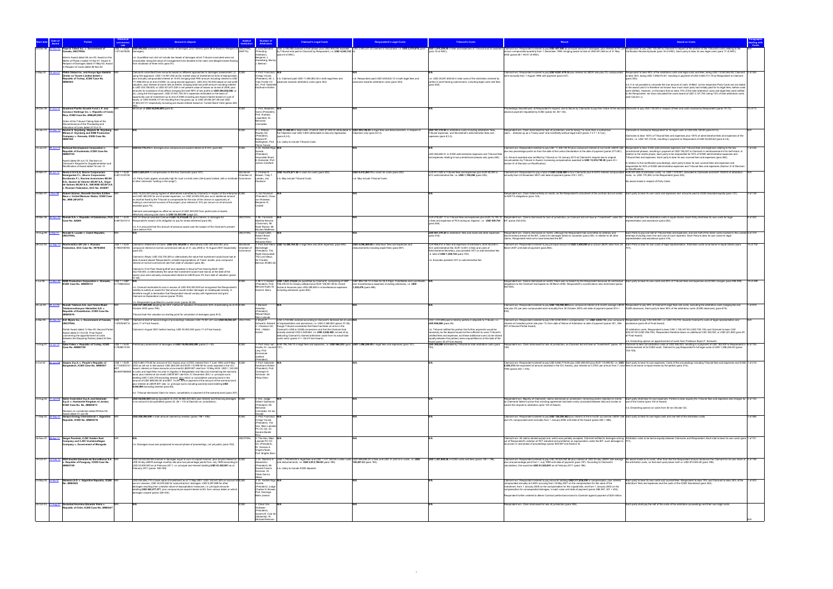|               |                    |                                                                                                                                                                           |                            |                                                                                                                                                                                                                                                                                                                                                                                                                                                                                                          |                 |                                                                                    |                                                                                                                                                                                                                                                        |                                                                                                                                     | <b>ibunal's Costs</b>                                                                                                                                                                                                                                                                 |                                                                                                                                                                                                                                                                                                                                                                                                      |                                                                                                                                                                                                                                                                                                                                                                                                                               |
|---------------|--------------------|---------------------------------------------------------------------------------------------------------------------------------------------------------------------------|----------------------------|----------------------------------------------------------------------------------------------------------------------------------------------------------------------------------------------------------------------------------------------------------------------------------------------------------------------------------------------------------------------------------------------------------------------------------------------------------------------------------------------------------|-----------------|------------------------------------------------------------------------------------|--------------------------------------------------------------------------------------------------------------------------------------------------------------------------------------------------------------------------------------------------------|-------------------------------------------------------------------------------------------------------------------------------------|---------------------------------------------------------------------------------------------------------------------------------------------------------------------------------------------------------------------------------------------------------------------------------------|------------------------------------------------------------------------------------------------------------------------------------------------------------------------------------------------------------------------------------------------------------------------------------------------------------------------------------------------------------------------------------------------------|-------------------------------------------------------------------------------------------------------------------------------------------------------------------------------------------------------------------------------------------------------------------------------------------------------------------------------------------------------------------------------------------------------------------------------|
|               |                    | ope & Talbot Inc. v. Government of<br>anada, UNCITRAL                                                                                                                     | USS 1 = CAI<br>.5714379236 | USD 482,622 claimed in various heads of damages, plus interest (para 86 of Award in Respect of UNCITRAI                                                                                                                                                                                                                                                                                                                                                                                                  | NAFTA)          | Lord Dervaird<br>esiding                                                           |                                                                                                                                                                                                                                                        |                                                                                                                                     |                                                                                                                                                                                                                                                                                       | ISD 3780.088 daimed in final phase, pus USD 485.044 awarded CAD 3,953.21.22 claimed in final phase, i.e. USD 2,515,278 (para 1990 474,358) in fees and expenses of Tribunal antis assistant Claimat inn Respondent of Depublic                                                                                                                                                                       |                                                                                                                                                                                                                                                                                                                                                                                                                               |
|               |                    | terim Award dated 26-Jun-00; Award on the<br>Merits of Phase 2 dated 10-Apr-01; Award in<br>lespect of Damages dated 31-May-02; Award                                     |                            | Damages)<br>b. Quantified sum did not include two heads of damages which Tribunal concluded were not<br>coverable, being the value of management time devoted to the claim and alleged losses flowir<br>rom shutdown of three mills (para 81).                                                                                                                                                                                                                                                           |                 | rbitrator),<br>Benjamin J<br>Greenberg, Murra<br>I. Belman                         | ara 6 of ARC).                                                                                                                                                                                                                                         |                                                                                                                                     |                                                                                                                                                                                                                                                                                       | 2002 (paras 88 + 90-91 of ARD).                                                                                                                                                                                                                                                                                                                                                                      |                                                                                                                                                                                                                                                                                                                                                                                                                               |
|               |                    | Respect of Costs dated 26-Nov-02                                                                                                                                          |                            |                                                                                                                                                                                                                                                                                                                                                                                                                                                                                                          |                 |                                                                                    |                                                                                                                                                                                                                                                        |                                                                                                                                     |                                                                                                                                                                                                                                                                                       |                                                                                                                                                                                                                                                                                                                                                                                                      |                                                                                                                                                                                                                                                                                                                                                                                                                               |
| 2-May-02      |                    | 9-Jan-07 PSEG Global Inc. and Konya Ilgin Elektrik<br>Üretim ve Ticaret Limited Şirketi v.                                                                                |                            | Claimants submitted three amounts based on different approaches to damages assessment: (i)<br>using first approach, USD 114,951,000 as fair market value of investment at time of expropriation,                                                                                                                                                                                                                                                                                                         |                 | 3: Prof. Francisco<br>Orrego Vicuña<br>President), Mr. L.                          |                                                                                                                                                                                                                                                        |                                                                                                                                     | n.b. USD 20,851,636.62 in total costs of the arbitration claimed by                                                                                                                                                                                                                   | Claimant win. Respondent ordered to pay USD 9,061,479.34 plus interest at LIBOR rate plus 2% compounded<br>mi-annually from 1 August 1998 until payment (para 337).                                                                                                                                                                                                                                  | Respondent to bear 65% of the arbitration costs and legal costs and fees, being USD 13,553,563.80; Claimant 3 of 354<br>to bear 35%, being USD 7,298,072.81; resulting in payment of USD 4,602,731.70 by Respondent to Claimant<br>(para 353)                                                                                                                                                                                 |
|               |                    | Republic of Turkey, ICSID Case No.<br>RB/02/5                                                                                                                             |                            | us annually compounded interest at 10.6% bringing total FMV amount including interest to USD<br>171,986,000 as at end of 2006; (ii) using second approach, USD 223,742,000 based on lost profit<br>valuation, plus interest at same rate as before, bringing total lost profit amount including interest                                                                                                                                                                                                 |                 | Yves Fortier CC<br>QC. Prof. Gabriell                                              | n.b. Claimant paid USD 11,900,804.52 in both legal fees and<br>Ivances towards arbitration costs (para 353)                                                                                                                                            | n.b. Respondent paid USD 8,95,832.10 in both legal fees and<br>nces towards arbitration costs (para 353)                            | parties in post-hearing submissions, including legal costs and fees<br>(para 352)                                                                                                                                                                                                     |                                                                                                                                                                                                                                                                                                                                                                                                      | n.b. It is not possible to calculate the true amount of costs 'shifted', as the respective Party Costs are not stated                                                                                                                                                                                                                                                                                                         |
|               |                    |                                                                                                                                                                           |                            | to USD 334.756.000; or USD 301.677.000 in net present value of losses as at end of 2006, plus<br>mounts for avoidance of tax effects bringing the total NPV of lost profits to USD 494,552,000; or<br>iii), using the third approach, USD 27,941,740,30 in expenses estimated on the basis of<br>ppportunity cost of investment up to end of 2006 including pre-Award interest based on cost of<br>equity; or USD 45,806,131.64 resulting from tax gross-up; or USD 29,050,241.68 and USD                |                 | Kaufmann-Kohler                                                                    |                                                                                                                                                                                                                                                        |                                                                                                                                     |                                                                                                                                                                                                                                                                                       |                                                                                                                                                                                                                                                                                                                                                                                                      | in the award (and it is therefore not known how much each party had initially paid for its legal fees, before cost<br>were shifted). However, on the basis that an extra 15% of the total arbitration costs and legal fees were shifted<br>to the Respondent. we have calculated the costs award at USD 3,127,745, being 15% of total arbitration costs<br>(see Column J).                                                    |
| 28-Dec-06     |                    | Quadrant Pacific Growth Fund L.P. and                                                                                                                                     |                            | 7,623,347.01 respectively including pre-Award interest based on Turkish Bond Yield (paras 283<br>finimum of USD 20,000,000 (para 8).                                                                                                                                                                                                                                                                                                                                                                     |                 | 3: Prof. Aleiandn                                                                  |                                                                                                                                                                                                                                                        |                                                                                                                                     |                                                                                                                                                                                                                                                                                       |                                                                                                                                                                                                                                                                                                                                                                                                      |                                                                                                                                                                                                                                                                                                                                                                                                                               |
|               |                    | Canasco Holdings Inc. v. Republic of Costa<br>Rica, ICSID Case No. ARB(AF)/08/1<br>Order of the Tribunal Taking Note of the                                               |                            |                                                                                                                                                                                                                                                                                                                                                                                                                                                                                                          |                 | Garro (President)<br>Prof. Andreas<br>Lowenfeld, Dr.<br>Bernardo                   |                                                                                                                                                                                                                                                        |                                                                                                                                     |                                                                                                                                                                                                                                                                                       | oceedings discontinued, at Respondent's request, due to failure by Claimants to pay their share of the second Claimants to pay USD 730,000 in respect of fees and costs claimed by Respondent (paras 70-72).<br>advance payment requested by ICSID (paras 52, 58 + 62).                                                                                                                              |                                                                                                                                                                                                                                                                                                                                                                                                                               |
| $5 - Jan - 1$ |                    | Discontinuance of the Proceeding and<br>llocation of Costs dated 27-Oct-10<br>Rachel S. Grynberg, Stephen M. Grynberg,                                                    |                            |                                                                                                                                                                                                                                                                                                                                                                                                                                                                                                          |                 | Cremades<br>: J. Willia                                                            | USD 31,092.50 in total costs, of which USD 27,292.50 attributable to USD 205,126.83 in legal fees and disbursements in respect of                                                                                                                      |                                                                                                                                     | USD 187,315.94 in arbitration costs including arbitrators' fees,                                                                                                                                                                                                                      | spondent win. Claim dismissed for lack of jurisdiction, and for being "no more than a contractual                                                                                                                                                                                                                                                                                                    | mants to reimburse Respondent for its legal costs of USD 205,126.83 (para 8.3.5).                                                                                                                                                                                                                                                                                                                                             |
|               |                    | Miriam Z. Grynberg and RSM Production<br>Company v. Grenada, ICSID Case No.                                                                                               |                            |                                                                                                                                                                                                                                                                                                                                                                                                                                                                                                          |                 | Rowley QC<br>President).<br>Edward W.<br>Nottingham, Prof.                         | the Objection and USD 3,800 attributable to Security Application<br>(para 8.2.2)<br>n.b. Likely to include Tribunal Costs.                                                                                                                             | Objection only (para 8.2.3).                                                                                                        | Tribunal expenses, and Secretariat's administration fees and<br>penses (para 8.3.3).                                                                                                                                                                                                  | claimdressed up as a Treaty case" and manifestly without legal merit (paras 7.3.7 + 9.1(a)).                                                                                                                                                                                                                                                                                                         | Claimants to bear 100% of Tribunal fees and expenses plus 100% of administrative fees and expenses of the<br>Centre, i.e. USD 187,314.94, resulting in payment to Respondent of USD 93,605.62 (para 8.3.6).                                                                                                                                                                                                                   |
| 14-Jun-07     |                    | 3-Jun-12 Railroad Development Corporation v.<br>Republic of Guatemala, ICSID Case No.                                                                                     |                            | USD 63,778,212 in damages plus compound pre-award interest at 9.34% (para 68).                                                                                                                                                                                                                                                                                                                                                                                                                           |                 | Pierre Tercier<br>3: Dr. Andrés Rigo<br>Sureda                                     |                                                                                                                                                                                                                                                        |                                                                                                                                     |                                                                                                                                                                                                                                                                                       | Claimant win. Respondent ordered to pay USD 11,306,740.93 plus compound interest at six-month LIBOR rate Respondent to bear ICSID administrative expenses and Tribunal fees and expenses relating to the two<br>olus two percentage points as from the date of the Lesivo Declaration to the date of payment (paras 277-281).                                                                        | 1 of 238<br>jurisdictional phases, resulting in payment of USD 192,427 to Claimant in reimbursement of its half-share. In                                                                                                                                                                                                                                                                                                     |
|               |                    | RB/07/23                                                                                                                                                                  |                            |                                                                                                                                                                                                                                                                                                                                                                                                                                                                                                          |                 | (President).<br>Ionorable Stuar                                                    |                                                                                                                                                                                                                                                        |                                                                                                                                     | USD 384,854.01 in ICSID administrative expenses and Tribunal fees<br>and expenses relating to two jurisdictional phases only (para 283).                                                                                                                                              | n.b. Amount awarded was rectified by Tribunal on 18 January 2013 at Claimant's request due to original                                                                                                                                                                                                                                                                                               | lation to the merits phase, each party to be responsible for 50% of ICSID administrative expenses and<br>ibunal fees and expenses. Each party to bear its own counsel fees and expenses (para 282).                                                                                                                                                                                                                           |
|               |                    | Award dated 29-Jun-12; Decision on<br>Claimant's Request for Supplementation and<br>ectification of Award dated 18-Jan-13                                                 |                            |                                                                                                                                                                                                                                                                                                                                                                                                                                                                                                          |                 | E. Eizenstat, Prof<br>James Crawford                                               |                                                                                                                                                                                                                                                        |                                                                                                                                     |                                                                                                                                                                                                                                                                                       | + 13,518,759.30 (para 43 + 13) nicreasing compensation awarded to USD 13,518,759.30<br>section IV of Decision on Rectification).                                                                                                                                                                                                                                                                     | relation to the rectification proceedings, each party to bear its own counsel fees and expenses and<br>sponsible for 50% of ICSID administrative expenses and Tribunal fees and expenses (Section IV of Decisior                                                                                                                                                                                                              |
| 25-Mar-07     |                    | Renta 4 S.V.S.A, Ahorro Corporación<br>mergentes F.I., Ahorro Corporación                                                                                                 | .8213104736                | US\$ 1 = EUR USD 2,625,810 in compensation to the four Claimants (para 187).<br>1.b. Party Costs appear unusually high for such a small claim (third party funded, with a multitude Commerce                                                                                                                                                                                                                                                                                                             | Chamber of      | : Charles N.<br>Brower, Toby T<br>Landau, Jan                                      | USD 14,572,671.52 in claim for costs (para 220).                                                                                                                                                                                                       | JSD 9,412,260.73 in claim for costs (para 220)                                                                                      | EUR 917,529 in Tribunal fees and expenses plus EUR 60,000 in<br>SCC administrative fee, i.e. USD 1,190,206 (para 225).                                                                                                                                                                | Claimant win. Respondent to pay a total of USD 2,026,480 to four Claimants plus 6.434% interest compoune<br>nnually from 23 November 2007 until date of payment (paras 218 + 227).                                                                                                                                                                                                                   | EUR 837,655 of arbitration costs, i.e. USD 1,019,901, allocated to Claimants and EUR 139,874 of arbitration<br>costs, i.e. USD 170,306, to the Respondent (para 225).                                                                                                                                                                                                                                                         |
|               |                    | urofondo F.I., Rovime Inversiones SICAV<br>S.A., Quasar de Valores SICAV S.A., Orgor<br>de Valores SICAV S.A., GBI 9000 SICAV S.A.<br>Russian Federation, SCC No. 24/2007 |                            | other claimants "waiting in the wings").                                                                                                                                                                                                                                                                                                                                                                                                                                                                 |                 |                                                                                    | b. May include Tribunal Costs.                                                                                                                                                                                                                         | 1.b. May include Tribunal Costs.                                                                                                    |                                                                                                                                                                                                                                                                                       |                                                                                                                                                                                                                                                                                                                                                                                                      | lo award made in respect of Party Costs.                                                                                                                                                                                                                                                                                                                                                                                      |
| 24-Mar-97     | -Nov-99            | Robert Azinian, Kenneth Davitian & Ellen<br>Baca v. United Mexican States, ICSID Case                                                                                     |                            | JSD 19,203,000 (being highest of alternatives submitted by Claimant) in respect of the enterprise IICSI<br>and USD 360,000 for out of pocket expenses, i.e. USD 22,803,000 plus such additional amount                                                                                                                                                                                                                                                                                                   |                 | : Jan Paulsson<br>President), Claus                                                |                                                                                                                                                                                                                                                        |                                                                                                                                     |                                                                                                                                                                                                                                                                                       | spondent win. Claim failed entirely on merits, as the Respondent's annulment of the contract did not violate Each party to bear its own costs and expenses and amounts paid to ICSID allocated equally (para 127).<br>ts NAFTA obligations (para 124)                                                                                                                                                |                                                                                                                                                                                                                                                                                                                                                                                                                               |
|               |                    | No. ARB (AF)/97/2                                                                                                                                                         |                            | as shall be fixed by the Tribunal to compensate for the loss of the chance or opportunity of<br>making a commercial success of the project, plus interest at 10% per annum on all amounts<br>warded (para 75).<br>Claimant acknowledged as offset an amount of USD 500,000 from partial sale of assets,                                                                                                                                                                                                  |                 | von Wobeser,<br>Benjamin R.                                                        |                                                                                                                                                                                                                                                        |                                                                                                                                     |                                                                                                                                                                                                                                                                                       |                                                                                                                                                                                                                                                                                                                                                                                                      |                                                                                                                                                                                                                                                                                                                                                                                                                               |
|               |                    |                                                                                                                                                                           |                            | effectively reducing total claim to USD 22,303,000 (page 22).<br>29-Mar-06 26-Nov-09 Romak S.A. v. Republic of Uzbekistan, PCA US\$ 1 = EUR GAFTA tribunal awarded Claimant USD 10,510,629.12, plus interest, in damages for                                                                                                                                                                                                                                                                             | <b>UNCITRAL</b> | 3: Mr. Fernando                                                                    |                                                                                                                                                                                                                                                        |                                                                                                                                     |                                                                                                                                                                                                                                                                                       | EUR 278,267.17 in Tribunal fees and expenses plus EUR 15,195.10 Respondent win. Claims dismissed for lack of jurisdiction, as Claimant did not have an "investment" under the Parties shall bear the arbitration costs in equa                                                                                                                                                                       | 9 of 252                                                                                                                                                                                                                                                                                                                                                                                                                      |
|               |                    | Case No. AA280                                                                                                                                                            |                            | .6673331213 Respondent's breach of its obligation to pay for wheat delivered (para 58).<br>1.b. It is assumed that this amount of previous award was the subject of the Claimant's present<br>claim before PCA.                                                                                                                                                                                                                                                                                          |                 | Mantilla-Serrano<br>(Chairman), Mr.<br>Noah Rubins, Mr<br><b>Vicolas Molfessis</b> |                                                                                                                                                                                                                                                        |                                                                                                                                     | in fees and expenses of PCA acting as registrar, i.e. USD 439,754 BIT (paras 242-243).<br>(para 246).                                                                                                                                                                                 |                                                                                                                                                                                                                                                                                                                                                                                                      | esentation and assistance (para 252).                                                                                                                                                                                                                                                                                                                                                                                         |
|               |                    | 19-Aug-99 3-Sep-01 Ronald S. Lauder v. Czech Republic,                                                                                                                    |                            |                                                                                                                                                                                                                                                                                                                                                                                                                                                                                                          |                 | : Lloyd Cutler<br>Robert Briner                                                    |                                                                                                                                                                                                                                                        |                                                                                                                                     | USD 501.370.20 in arbitrators' fees and travel and other expenses<br>(para 316)                                                                                                                                                                                                       | Respondent win. Claims dismissed on merits: although the Respondent had committed an arbitrary and<br>minatory breach of the BIT, claims for damages failed on causation (para 235). In relation to all other                                                                                                                                                                                        | Each Party to pay one half of Tribunal fees and expenses, and one half of the direct costs involved in the London 5 of 319<br>hearings including room hire and cost of court reporters. Each Party to bear its own costs for legal                                                                                                                                                                                            |
| 28-Oct-05     |                    | RosinvestCo UK Ltd. v. Russian                                                                                                                                            | $USS 1 = EUR$              | Claimed in Statement of Claim: USD 276.100.000 or alternatively USD 220.400.000, plus                                                                                                                                                                                                                                                                                                                                                                                                                    | ockholm         | Chairman)<br>ohuslav Kleir<br>3: Prof. Karl-Heinz                                  | ISD 13,398,764.82 in legal fees and other expenses (para 694)                                                                                                                                                                                          | USD 4,046,469,86 in attorneys' fees and expenses and                                                                                | EUR 966.814 in fees and expenses of arbitrators: EUR 48.238 in                                                                                                                                                                                                                        | claims, Respondent held not to have breached the BIT.<br>Claimant win. Respondent ordered to pay principal amount of USD 3,500,000 plus actual LIBOR rates from 24 Each Party to bear its own costs of legal representation. Arbitration costs to be borne in equal shares (para                                                                                                                     | esentation and assistance (para 319).                                                                                                                                                                                                                                                                                                                                                                                         |
|               |                    | ederation, SCC Case No. V079/2005                                                                                                                                         |                            | 7864726754 compound interest at normal commercial rate as of 31 July 2008 or 15 August 2007 respectively Chamber of<br>'para 45).                                                                                                                                                                                                                                                                                                                                                                        | nmerce          | Bockstiegel<br>(President), The                                                    |                                                                                                                                                                                                                                                        | lisbursements including expert fees (para 697).                                                                                     | SCC administrative fee; EUR 12,651 in fees and costs of<br>dministrative Secretary, plus possible VAT on administrative fee;                                                                                                                                                          | March 2007 until date of payment (para 692).                                                                                                                                                                                                                                                                                                                                                         |                                                                                                                                                                                                                                                                                                                                                                                                                               |
|               |                    |                                                                                                                                                                           |                            | Claimed in Reply: USD 232,700,000 or alternatively the value that investment would have had at<br>date of award absent Respondent's unlawful expropriations of Yukos' assets, plus compound<br>nterest at normal commercial rate from date of valuation (para 46)                                                                                                                                                                                                                                        |                 | t Honourabl<br>The Lord Steyn<br>Sir Franklin<br>Berman KCMG Q                     |                                                                                                                                                                                                                                                        |                                                                                                                                     | e. total of USD 1,306,724 (para 702).<br>1.b. Excludes possible VAT on administrative fee.                                                                                                                                                                                            |                                                                                                                                                                                                                                                                                                                                                                                                      |                                                                                                                                                                                                                                                                                                                                                                                                                               |
|               |                    |                                                                                                                                                                           |                            | Iaimed in First Post Hearing Brief and repeated in Second Post Hearing Brief: USD<br>232.700.000, or alternatively the value that investment would have had as at the date of the<br>ward, plus semi-annually compounded interest at LIBOR plus 4% from date of valuation (paras                                                                                                                                                                                                                         |                 |                                                                                    |                                                                                                                                                                                                                                                        |                                                                                                                                     |                                                                                                                                                                                                                                                                                       |                                                                                                                                                                                                                                                                                                                                                                                                      |                                                                                                                                                                                                                                                                                                                                                                                                                               |
| 3-Jul-06      |                    | 3-Mar-09 RSM Production Corporation v. Grenada, US\$ 1 = GBP<br>ICSID Case No. ARB/05/14                                                                                  | 7159643242                 |                                                                                                                                                                                                                                                                                                                                                                                                                                                                                                          |                 |                                                                                    | : Mr V.V.Veeder USD 1,881,316.66 (as quantified by Claimant), comprising of GBP<br>resident), Prof. 706,235.03 for Dewey LeBoeuf plus EUR 148,481.08 for Grand                                                                                         | GBP 896,728.14 in fees for DLA Piper, Freshfields and Lord Mustill, N/A<br>and miscellaneous expenses including witnesses, i.e. USD |                                                                                                                                                                                                                                                                                       | bbligations to the Claimant had lapsed on 28 March 2004. Respondent's counterclaims also dismissed (paras                                                                                                                                                                                                                                                                                            | pondent win. Claims dismissed on merits; there was no breach by the Respondent because its contractual Each party to bear its own costs and 50% of Tribunal fees and expenses and ICSID charges (para 498-499).<br>19 of 499                                                                                                                                                                                                  |
|               |                    |                                                                                                                                                                           |                            | 1.b. Claimant estimated its loss in excess of USD 500,000,000 but recognised that Respondent's<br>nability to satisfy an award for that amount would render damages an inadequate remedy. In<br>herefore sought a declaration that Respondent should comply with Agreement and grant<br>Claimant an Exploration Licence (paras 79-83).                                                                                                                                                                   |                 | David S. Berry                                                                     | Bernard Audit, Dr Auzas & Associes plus USD 259,850 in miscellaneous expenses<br>including witnesses (para 484).                                                                                                                                       | 1,252,476 (para 486).                                                                                                               |                                                                                                                                                                                                                                                                                       | $502 - 504$ ).                                                                                                                                                                                                                                                                                                                                                                                       |                                                                                                                                                                                                                                                                                                                                                                                                                               |
| 20-Jul-05     |                    | Rumeli Telekom A.S. and Telsim Mobil                                                                                                                                      |                            | t quantified its counter-claim (paras 28-29)<br>USD 227,000,000 adopting the DCF method of valuation of Claimants' 60% shareholding as at 30 ICSID                                                                                                                                                                                                                                                                                                                                                       |                 | : Bernar                                                                           |                                                                                                                                                                                                                                                        |                                                                                                                                     |                                                                                                                                                                                                                                                                                       |                                                                                                                                                                                                                                                                                                                                                                                                      | Ilaimant win. Respondent ordered to pay USD 125,000,000 plus compound interest at 6-month average LIBOR Respondent to pay 50% of Claimant's legal fees and costs, excluding the arbitration costs (lodging fee and<br>1 of 819                                                                                                                                                                                                |
|               |                    | munikasyon Hizmetleri A.S. v.<br>lepublic of Kazakhstan, ICSID Case No.<br>B/05/16                                                                                        |                            | October 2003 (para 799)<br>ribunal took this valuation as starting point for calculation of damages (para 813).                                                                                                                                                                                                                                                                                                                                                                                          |                 | łanotiau<br>(President)<br>Stewart Boyd<br>farc Lalonde                            |                                                                                                                                                                                                                                                        |                                                                                                                                     |                                                                                                                                                                                                                                                                                       | ate plus 2% per year compounded semi-annually from 30 October 2003 until date of payment (paras 814 +                                                                                                                                                                                                                                                                                                | ICSID advances). Each party to bear 50% of the arbitration costs (ICSID advances) (para 819).                                                                                                                                                                                                                                                                                                                                 |
| 4-Mar-99      |                    | -Dec-02 S.D. Myers Inc. v. Government of Canada,<br>UNCITRAL                                                                                                              | $USS 1 = CAD$              | Claimed at start of second stage of proceedings: between USD 70,921,421 and USD 80,002,421 UNCITRAL<br>5787638714 (para 17 of Final Award).                                                                                                                                                                                                                                                                                                                                                              |                 | . Brvan P<br>Chiasson QC,                                                          | CAD 3.740.964 claimed according to Claimant's itemised list of costs N<br>Schwartz, Edward of representation and assistance, i.e. USD 2,369,553 (paras 37-38);<br>though Tribunal considered that there had been an error in the                       |                                                                                                                                     | CAD 1,510,695 paid in total by parties in deposits to Tribunal, i.e.<br>USD 956,885 (para 29).                                                                                                                                                                                        | Claimant win. Respondent ordered to pay CAD 6,050,000 in compensation, i.e. USD 3,832,112, plus compound Respondent to pay CAD 500,000, i.e. USD 316,703, towards Claimant's costs of legal representation and<br>interest at Canadian prime rate plus 1% from date of Notice of Arbitration to date of payment (paras 301, 306 assistance (para 49 of Final Award).<br>17 of Second Partial Award). |                                                                                                                                                                                                                                                                                                                                                                                                                               |
|               |                    | Partial Award dated 13-Nov-00; Second Partial<br>Award dated 21-Oct-02; Final Award<br>(concerning the apportionment of costs<br>veen the Disputing Parties) dated 30-De  |                            | Claimed in August 2001 before hearing: USD 53,000,000 (para 17 of Final Award).                                                                                                                                                                                                                                                                                                                                                                                                                          |                 | Prof. J Martin                                                                     | Claimant's US\$ to CAN\$ conversions and that the Claimant had<br>ctually claimed CAD 3,549,863, i.e. USD 2,248,508, arrived at by<br>ducting Claimant's claimed arbitration costs from its actual total<br>osts claim (paras 31 + 38 of Final Award). |                                                                                                                                     | n.b. Tribunal notified the parties that further payments would be<br>necessary as the deposit would not be sufficient to cover Tribunal's<br>hilled fees and expenses, but these additional sums (to be shared<br>qually between the parties) were unquantified as at the date of the |                                                                                                                                                                                                                                                                                                                                                                                                      | Of arbitration costs, Respondent to bear CAD 1,105,347.50 (USD 700,135) and Claimant to bear CAD<br>405,347.50 (USD 256,750). Respondent therefore bears an additional CAD 350,000, or USD 221,692 (para 29<br>Final Award                                                                                                                                                                                                    |
| 13-Aug-07     |                    | 14-Jul-10 Saba Fakes v. Republic of Turkey, ICSID USS 1 = FUR<br><b>Case No. ARB/07/20</b>                                                                                | .7839613105                | Preliminary assessment of damages at USD 19,000,000,000 (paras 2 + 43).                                                                                                                                                                                                                                                                                                                                                                                                                                  |                 | Houtte, Dr. Laurent 151).                                                          | 3: Prof. Hans van EUR 756,156.10 in legal fees and expenses, i.e. USD 964,532 (para USD 1,496,248.49 in legal fees and expenses (para 151).                                                                                                            |                                                                                                                                     | Award (para 30 of Final Award).                                                                                                                                                                                                                                                       |                                                                                                                                                                                                                                                                                                                                                                                                      | b. Dissenting opinion on apportionment of costs from Professor Bryan P. Schwartz.<br>USD 365,000 estimated by Tribunal as total arbitration costs (para Respondent win. Claim dismissed for lack of jurisdiction, as Claimant did not have an "investment" (paras 147 + Claimant to bear full arbitration costs of<br>mbursement of its ICSID costs. Claimant to pay Respondent's full legal costs of USD 1,496,248.49 (paras |
|               |                    |                                                                                                                                                                           |                            |                                                                                                                                                                                                                                                                                                                                                                                                                                                                                                          |                 | Levy, Prot<br>Emmanuel<br>Gaillard                                                 |                                                                                                                                                                                                                                                        |                                                                                                                                     |                                                                                                                                                                                                                                                                                       |                                                                                                                                                                                                                                                                                                                                                                                                      | 153-155).                                                                                                                                                                                                                                                                                                                                                                                                                     |
| 5-Oct-04      |                    | Saipem S.p.A. v. People's Republic of<br>Bangladesh, ICSID Case No. ARB/05/7                                                                                              |                            | US\$ 1 = EUR USD 5,883,770.80 for amount of ICC Award, plus 3.375% interest from 7 June 1993 until 9 May<br>0.7133063314 / 2003 as set out in that award: USD 265,000 and EUR 110.995.92 for costs awarded in the ICC<br>Award: interest on those amounts at six-month LIBOR BIT rate from 10 May 2003: USD 1.120.000                                                                                                                                                                                    |                 | Presidenty<br>3: Prof. Gabrielle<br>Kaufmann-Kohler<br>(President), Prof           |                                                                                                                                                                                                                                                        |                                                                                                                                     |                                                                                                                                                                                                                                                                                       | 6,304,378 (the equivalent of amount awarded in the ICC Award), plus interest at 3.375% per annum from 7 June fees to be borne in equal shares by the parties (para 215).                                                                                                                                                                                                                             | aimant win. Respondent ordered to pay USD 5,883,770.80 plus USD 265,000 plus EUR 110,995.92, i.e. USD Each party to bear its own expenses. Costs of the proceedings including Tribunal fees and expenses and ICSID 1 of 216                                                                                                                                                                                                   |
|               |                    |                                                                                                                                                                           |                            | 68.9497569580 in costs and legal fees incurred in litigation in Bangladesh and Italy and maintaining the warranty<br>bond, plus interest at six-month LIBOR BIT rate from 31 December 200; i.e. principal sums<br>otalling USD 7,424,378 excluding interest; plus return or cancellation warranty bond in the<br>amount of USD 869,903.50 and BDT 10,391,605 pr payment of the amount of the warranty bond<br>olus interest at LIBOR BIT rate; i.e. principal sums including warranty bond totalling USD |                 | Christoph H.<br>Schreuer, Sir<br>Philip Otton                                      |                                                                                                                                                                                                                                                        |                                                                                                                                     |                                                                                                                                                                                                                                                                                       | 1993 (paras 202 + 216).                                                                                                                                                                                                                                                                                                                                                                              |                                                                                                                                                                                                                                                                                                                                                                                                                               |
|               |                    |                                                                                                                                                                           |                            | 8,444,994 excluding interest (para 85).<br>b. Tribunal dismissed Claim for return, cancellation or payment of the warranty bond (para 207                                                                                                                                                                                                                                                                                                                                                                |                 |                                                                                    |                                                                                                                                                                                                                                                        |                                                                                                                                     |                                                                                                                                                                                                                                                                                       |                                                                                                                                                                                                                                                                                                                                                                                                      |                                                                                                                                                                                                                                                                                                                                                                                                                               |
|               |                    | 12-Aug-02 31-Jan-06 Salini Costruttori S.p.A. and Italstrade<br>S.p.A. v. Hashemite Kingdom of Jordan,                                                                    |                            | USD 28,000,000 (being equivalent of JOD 20,885,424.823) plus interest and financing damages  ICSID<br>n an amount to be quantified (paras 22, 26 + 172 of Decision on Jurisdiction).                                                                                                                                                                                                                                                                                                                     |                 | 3: H.E. Judge<br>Gilbert Guillaume                                                 |                                                                                                                                                                                                                                                        |                                                                                                                                     |                                                                                                                                                                                                                                                                                       |                                                                                                                                                                                                                                                                                                                                                                                                      | Responderwn. Najorly of Gaimanty clama darmised on jurisdichor, renaining clama rejected on ments. Each party shall beat is own eponses. Parties to bear equally the Tribunal fees and expenses and charges for 4 of 105<br>Is C                                                                                                                                                                                              |
|               |                    | ICSID Case No. No. ARB/02/13<br>Decision on Jurisdiction dated 09-Nov-04;                                                                                                 |                            |                                                                                                                                                                                                                                                                                                                                                                                                                                                                                                          |                 | (President), Mr.<br>Bernardo<br>Cremades, Sir lar                                  |                                                                                                                                                                                                                                                        |                                                                                                                                     |                                                                                                                                                                                                                                                                                       | submit the dispute to arbitration (para 100 of Award).                                                                                                                                                                                                                                                                                                                                               | b. Dissenting opinion on costs from Sir Ian Sinclair QC.                                                                                                                                                                                                                                                                                                                                                                      |
| 1-Sep-02      |                    | Award dated 31-Jan-06<br>Sempra Energy International v. Argentin                                                                                                          |                            | USD 209,380,000 in total amount claimed by investor (paras 198 + 406).                                                                                                                                                                                                                                                                                                                                                                                                                                   |                 | 3 <sup>-</sup> Prof. Francisco                                                     |                                                                                                                                                                                                                                                        |                                                                                                                                     |                                                                                                                                                                                                                                                                                       | Claimant win. Respondent ordered to pay USD 128,250,462 plus interest at the 6-month successive LIBOR rate Each party to bear its own legal costs and one half of the arbitration costs.                                                                                                                                                                                                             | 3 of 486                                                                                                                                                                                                                                                                                                                                                                                                                      |
|               |                    | Republic, ICSID No. ARB/02/16                                                                                                                                             |                            |                                                                                                                                                                                                                                                                                                                                                                                                                                                                                                          |                 | Orrego Vicuña<br>(President), The<br>Hon. Marc Lalonde<br>PC OC QC, Dr.            |                                                                                                                                                                                                                                                        |                                                                                                                                     |                                                                                                                                                                                                                                                                                       | plus 2% compounded semi-annually from 1 January 2002 until date of the Award (paras 483 + 486).                                                                                                                                                                                                                                                                                                      |                                                                                                                                                                                                                                                                                                                                                                                                                               |
| 30-Nov-07     |                    | Sergei Paushok, CJSC Golden East                                                                                                                                          |                            |                                                                                                                                                                                                                                                                                                                                                                                                                                                                                                          |                 | Sandra Morelli<br>· The Hon Marc                                                   |                                                                                                                                                                                                                                                        |                                                                                                                                     |                                                                                                                                                                                                                                                                                       |                                                                                                                                                                                                                                                                                                                                                                                                      | laimant win. All claims denied except one, which was partially accepted. Claimant entitled to damages arising Arbitration costs to be borne equally between Claimants and Respondent. Each side to bear its own costs (para 1                                                                                                                                                                                                 |
|               |                    | Company and CJSC Vostokneftegaz<br>Company v. Government of Mongolia                                                                                                      |                            | n.b. Damages issue was postponed to second phase of proceedings, not yet public (para 700)                                                                                                                                                                                                                                                                                                                                                                                                               |                 | Lalonde PC OC<br>QC (President).<br>Dr. Horacio A.<br>Grigera Naón,                |                                                                                                                                                                                                                                                        |                                                                                                                                     |                                                                                                                                                                                                                                                                                       | out of Respondent's violation of FET standard and prohibition on expropriation under the BIT, such damages to 701).<br>be proven in next phase of proceedings (paras 593-597 and Section 9).                                                                                                                                                                                                         |                                                                                                                                                                                                                                                                                                                                                                                                                               |
| 19-Oct-07     |                    | 0-Feb-12 SGS Société Générale de Surveillance S.A.                                                                                                                        |                            | JSD 39,025,950.86 claimed in damages equal to sum of unpaid invoices, plus simple interest at                                                                                                                                                                                                                                                                                                                                                                                                            |                 | Prof. Brigitte Stern<br>: Dr. Stanimir                                             |                                                                                                                                                                                                                                                        | SD 1,792,605.95 in legal fees and USD 1,121,180.55 in other costs USD 696,985.20 in fees and USD 31,222.03 in costs, i.e. USD       | USD 1,347,846.56 in ICSID costs and fees (paras 192 + 198).                                                                                                                                                                                                                           |                                                                                                                                                                                                                                                                                                                                                                                                      | Naimant win. Respondent ordered to pay USD 39,025,950.86 plus interest at USD 30-day LIBOR rate average No award made as to costs, other than that the Respondent should reimburse the Claimant for its own share of 4 of 198                                                                                                                                                                                                 |
|               |                    | v. Republic of Paraguay, ICSID Case No.<br>ARB/07/29                                                                                                                      |                            | US\$ 30-day LIBOR average monthly rate plus two percentage points from July 1999 amounting to<br>USD 22,500,000 as at February 2011, i.e. principal and interest totalling USD 61,525,951 as at<br>February 2011 (paras 168-169).                                                                                                                                                                                                                                                                        |                 | <b>Nexandrov</b><br>(President), M<br>Donald Francis<br>Donovan, Dr.               | nd disbursements, i.e. USD 2,913,786.50 (para 189).<br>b. Likely to include ICSID deposits.                                                                                                                                                            | 728,207.23 (para 190).                                                                                                              |                                                                                                                                                                                                                                                                                       | olus one percentage point from 1 July 1999 until date of payment (para 197). According to Claimant's<br>alculations, this would be USD 61,525,951 as at February 2011 (para 169).                                                                                                                                                                                                                    | the arbitration costs, so that each party bears half i.e. USD 673,923.28 (para 198).                                                                                                                                                                                                                                                                                                                                          |
|               | 23-May-02 6-Feb-07 | Siemens A.G. v. Argentine Republic, ICSID N/R                                                                                                                             |                            | USD 283,859,710 in book value of investment as at 17 May 2001; USD 124,541,000 on account of ICSID                                                                                                                                                                                                                                                                                                                                                                                                       |                 | Pablo García<br>3: Dr. Andrés Rigo                                                 |                                                                                                                                                                                                                                                        |                                                                                                                                     |                                                                                                                                                                                                                                                                                       |                                                                                                                                                                                                                                                                                                                                                                                                      | Claimant win. Respondent ordered to pay amounts totalling USD 217,838,439 in compensation, plus interest Each party to bear its own costs and counsel fees. Respondent to bear 75% and Claimant to bear 25% of the 1 of 403                                                                                                                                                                                                   |
|               |                    | o. ARB/02/8                                                                                                                                                               |                            | ucrum cessans; USD 44,678,462 for subcontractors' damages; USD 9,397,899 for other<br>lamages resulting from unlawful nature of expropriation measures; i.e. principal amounts                                                                                                                                                                                                                                                                                                                           |                 | Sureda<br>(President), Judge                                                       |                                                                                                                                                                                                                                                        |                                                                                                                                     |                                                                                                                                                                                                                                                                                       | mpounded annually at 2.66% accruing from 18 May 2001 on the compensation for the value of the<br>stment, from 1 January 2000 on the compensation for the unpaid bills, and from 1 January 2002 on the                                                                                                                                                                                                | erbitrators' fees and expenses and the costs of the ICSID Secretariat (para 402).                                                                                                                                                                                                                                                                                                                                             |
|               |                    |                                                                                                                                                                           |                            | totalling USD 462,477,071, plus compound pre-award interest at 6% from various dates on which<br>lamages caused (paras 328-330).                                                                                                                                                                                                                                                                                                                                                                         |                 | Charles N. Browe<br>Prof. Domingo<br>Bello Janeiro                                 |                                                                                                                                                                                                                                                        |                                                                                                                                     |                                                                                                                                                                                                                                                                                       | mpensation for consequential damages, in each case until date of payment (paras 396-397, 401 + 403).<br>pondent further ordered to deliver Contract performance bond to Claimant against payment of \$20 million.                                                                                                                                                                                    |                                                                                                                                                                                                                                                                                                                                                                                                                               |
| 30-Oct-03     |                    | 21-Aug-07 Sociedad Anónima Eduardo Vieira v.<br>lepublic of Chile, ICSID Case No. ARB/04/7                                                                                |                            |                                                                                                                                                                                                                                                                                                                                                                                                                                                                                                          |                 | 3: Claus Von<br>Vobeser                                                            |                                                                                                                                                                                                                                                        |                                                                                                                                     |                                                                                                                                                                                                                                                                                       | tespondent win. Claim dismissed for lack of jurisdiction (para 306).                                                                                                                                                                                                                                                                                                                                 | Each party shall pay the half of the costs of the arbitration proceedings and their own legal costs.                                                                                                                                                                                                                                                                                                                          |
|               |                    |                                                                                                                                                                           |                            |                                                                                                                                                                                                                                                                                                                                                                                                                                                                                                          |                 | (President)<br>Susana B. Czar de<br>Zalduendo, W.<br>Michael Reisman               |                                                                                                                                                                                                                                                        |                                                                                                                                     |                                                                                                                                                                                                                                                                                       |                                                                                                                                                                                                                                                                                                                                                                                                      |                                                                                                                                                                                                                                                                                                                                                                                                                               |

 $\mathcal{T}$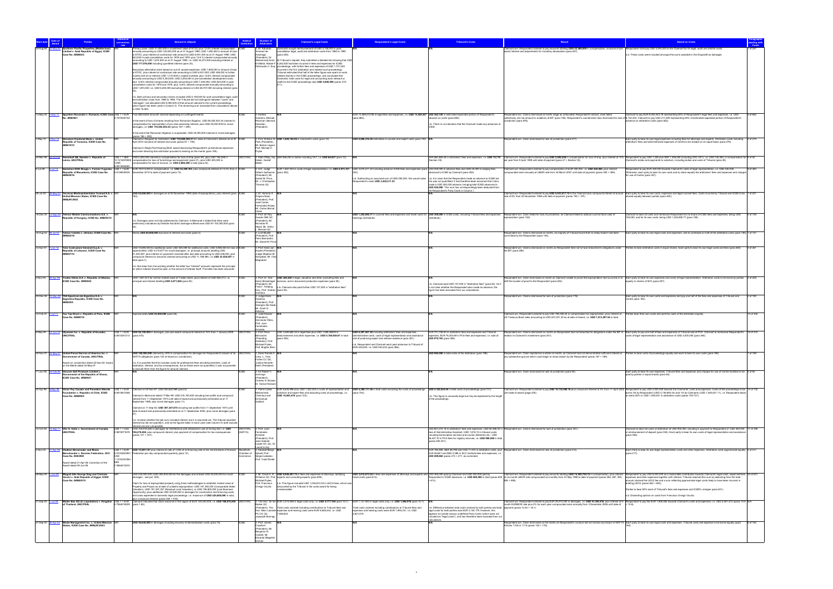|             |                                                                                                                                                                            |                           |                                                                                                                                                                                                                                                                                                |                            |                                                            | aimant's Legal Costs                                                                                                                                                                                                                       | <b>Respondent's Legal Costs</b>                                                                                                                                                                             | <b>Tribunal's Costs</b>                                                                                                                                                                                                               |                                                                                                                                                                                                                                                                                                                             | <b>Award on Costs</b>                                                                                                                                                                                                                                                                                                                                                                                            |           |
|-------------|----------------------------------------------------------------------------------------------------------------------------------------------------------------------------|---------------------------|------------------------------------------------------------------------------------------------------------------------------------------------------------------------------------------------------------------------------------------------------------------------------------------------|----------------------------|------------------------------------------------------------|--------------------------------------------------------------------------------------------------------------------------------------------------------------------------------------------------------------------------------------------|-------------------------------------------------------------------------------------------------------------------------------------------------------------------------------------------------------------|---------------------------------------------------------------------------------------------------------------------------------------------------------------------------------------------------------------------------------------|-----------------------------------------------------------------------------------------------------------------------------------------------------------------------------------------------------------------------------------------------------------------------------------------------------------------------------|------------------------------------------------------------------------------------------------------------------------------------------------------------------------------------------------------------------------------------------------------------------------------------------------------------------------------------------------------------------------------------------------------------------|-----------|
|             | thern Pacific Properties (Middle East)<br>imited v. Arab Republic of Egypt, ICSID                                                                                          |                           | ary claim: USD 41,000,000 in investment value of ETDC plus 12.6% interest compr<br>annually amounting to USD 125,000,000 as at 31 August 1990; USD 1,650,000 in amount of loan                                                                                                                 |                            | limenez de                                                 | mants sought reimbursement of USD 5,108,000 in post-<br>cancellation legal, audit and arbitration costs from 1980 to 1990                                                                                                                  |                                                                                                                                                                                                             |                                                                                                                                                                                                                                       | Claimant win. Respondent ordered to pay amounts totalling USD 22,568,000 in compensation, inclusive of pre- Respondent shall pay USD 5,093,000 to the Claimant for its legal, audit and arbitral costs.<br>award interest and adjustments for monetary devaluation (para 257).                                              |                                                                                                                                                                                                                                                                                                                                                                                                                  |           |
|             | Case No. ARB/84/3                                                                                                                                                          |                           | to ETDC, plus interest at contractual rate amount to USD 6.931.000 as at 31 August 1990; USD<br>623,000 in post-cancellation costs for 1978 and 1979, plus 12.6 % interest compounded annually                                                                                                 |                            | Arechaga<br>(President), Dr.                               | (para 205).                                                                                                                                                                                                                                |                                                                                                                                                                                                             |                                                                                                                                                                                                                                       |                                                                                                                                                                                                                                                                                                                             | 1.b. These costs were included amongst the sums awarded in the Dispositif as damages                                                                                                                                                                                                                                                                                                                             |           |
|             |                                                                                                                                                                            |                           | amounting to USD 1,874,000 as at 31 August 1990; i.e. USD 43,273,000 excluding interest or<br>USD 177,078,000 including quantified interest (para 33)                                                                                                                                          |                            | Mohammed Amin                                              | t Tribunal's request, they submitted a detailed list showing that USD<br>El Mahdi, Robert F 4,242,000 had been incurred in fees and expenses for ICSID<br>Peitrowski Jr. Esq. proceedings, with further fees and expenses of USD 1,701,000 |                                                                                                                                                                                                             |                                                                                                                                                                                                                                       |                                                                                                                                                                                                                                                                                                                             |                                                                                                                                                                                                                                                                                                                                                                                                                  |           |
|             |                                                                                                                                                                            |                           | ondary alternative claim based on out-of -pocket expenses: USD 1,650,000 in amount of loan<br>to ETDC, plus interest at contractual rate amounting to USD 6,931,000; USD 408,000 in further                                                                                                    |                            |                                                            | ncurred in the ICC arbitration and related court proceedings.<br>ribunal estimated that half of the latter figure was spent on work                                                                                                        |                                                                                                                                                                                                             |                                                                                                                                                                                                                                       |                                                                                                                                                                                                                                                                                                                             |                                                                                                                                                                                                                                                                                                                                                                                                                  |           |
|             |                                                                                                                                                                            |                           | monies lent at no interest; USD 1,310,000 in capital invested, plus 12.6% interest compounded<br>annually amounting to USD 4.303.000: USD 2.254.000 in pre-cancellation development costs.<br>plus 12.6% interest compounded annually amounting to USD 7.404.000; USD 623.000 in post-         |                            |                                                            | utilised directly in the ICSID proceedings, and concluded that<br>Claimants' total costs for legal and accounting work relevant or                                                                                                         |                                                                                                                                                                                                             |                                                                                                                                                                                                                                       |                                                                                                                                                                                                                                                                                                                             |                                                                                                                                                                                                                                                                                                                                                                                                                  |           |
|             |                                                                                                                                                                            |                           | cancellation costs for 1978 and 1979, plus 12.6% interest compounded annually amounting to<br>USD 1,874,000; i.e. USD 6,245,000 excluding interest or USD 26,757,000 including interest (para                                                                                                  |                            |                                                            | useful to the ICSID proceedings was USD 5,092,000 (paras 210-                                                                                                                                                                              |                                                                                                                                                                                                             |                                                                                                                                                                                                                                       |                                                                                                                                                                                                                                                                                                                             |                                                                                                                                                                                                                                                                                                                                                                                                                  |           |
|             |                                                                                                                                                                            |                           |                                                                                                                                                                                                                                                                                                |                            |                                                            |                                                                                                                                                                                                                                            |                                                                                                                                                                                                             |                                                                                                                                                                                                                                       |                                                                                                                                                                                                                                                                                                                             |                                                                                                                                                                                                                                                                                                                                                                                                                  |           |
|             |                                                                                                                                                                            |                           | n.b. Both primary and secondary claims included USD 5,108,000 for post-cancellation legal, audit<br>and arbitration costs from 1980 to 1990. The Tribunal did not distinguish between "costs" and<br>"damages", but allocated USD 5,092,000 of that amount claimed to the current proceedings, |                            |                                                            |                                                                                                                                                                                                                                            |                                                                                                                                                                                                             |                                                                                                                                                                                                                                       |                                                                                                                                                                                                                                                                                                                             |                                                                                                                                                                                                                                                                                                                                                                                                                  |           |
|             |                                                                                                                                                                            |                           | which figure has been used in Column G. The remaining sum (excluded from calculations above)<br>is USD 16,000.                                                                                                                                                                                 |                            |                                                            |                                                                                                                                                                                                                                            |                                                                                                                                                                                                             |                                                                                                                                                                                                                                       |                                                                                                                                                                                                                                                                                                                             |                                                                                                                                                                                                                                                                                                                                                                                                                  |           |
| 13-May-04   | o. ARB/06/1                                                                                                                                                                | 0.7470340152              | Spyridon Roussalis v. Romania, ICSID Case US\$ 1 = EUR Two alternative amounts claimed depending on contingent events:                                                                                                                                                                         |                            | : Andrea<br>Siardina, Micha                                |                                                                                                                                                                                                                                            | :UR 10,089,072.98 in legal fees and expenses, i.e. USD 13,505,507 USD 362,150 in estimated expended portion of Respondent's<br>para 882).                                                                   | vance on costs (para 882).                                                                                                                                                                                                            | Respondent win. Claims dismissed at merits stage as unfounded; Respondent's actions, even taken<br>collectively, did not amount to violations of BIT (para 746). Respondent's counterclaim also dismissed for lack of 8,103,304. Claimant to pay USD 217,290 representing 60% of estimated expended portion of Respondent's | Claimant to pay EUR 6,053,443.78 representing 60% of Respondent's legal fees and expenses, i.e. USD                                                                                                                                                                                                                                                                                                              | 5 of 882  |
|             |                                                                                                                                                                            |                           | n the event of loss of shares resulting from Romanian litigation, USD 85,252,032.34 claimed in<br>ompensation for expropriation of pro rata ownership interest, plus USD 25,000,000 for moral<br>damages, i.e. USD 110,252,032.34 (paras 167 + 290).                                           |                            | Reisman, Bernar<br>Ianotiau<br>(President)                 |                                                                                                                                                                                                                                            |                                                                                                                                                                                                             | .b. There is no indication that the Claimant made any advances to                                                                                                                                                                     | urisdiction (para 876).                                                                                                                                                                                                                                                                                                     | dvance on arbitration costs (para 822).                                                                                                                                                                                                                                                                                                                                                                          |           |
|             |                                                                                                                                                                            |                           | the event that Romanian litigation is suspended, USD 25,000,000 claimed in moral damages                                                                                                                                                                                                       |                            |                                                            |                                                                                                                                                                                                                                            |                                                                                                                                                                                                             |                                                                                                                                                                                                                                       |                                                                                                                                                                                                                                                                                                                             |                                                                                                                                                                                                                                                                                                                                                                                                                  |           |
| -May-10     | Standard Chartered Bank v. United<br>-Nov-12<br>epublic of Tanzania, ICSID Case No.                                                                                        |                           | paras 166 + 290).<br>Claimed in Request for Arbitration: USD 118,609,392.31 for value of Claimant's interest as at 30   CSID<br>April 2010 inclusive of interest and costs (paras 61 + 194)                                                                                                    |                            | Park (President)                                           | 3: Prof. William W. USD 1,820,164.95 in Claimant's costs (para 12).                                                                                                                                                                        | USD 8,606,316.25 estimated in counsel and expert costs (para 192). N/A                                                                                                                                      |                                                                                                                                                                                                                                       | Respondent win. Claim dismissed for lack of jurisdiction (para 277)                                                                                                                                                                                                                                                         | Each party to bear its own legal expenses including fees for attorneys and experts. Arbitration costs including 2 of 279<br>rbitrators' fees and administrative expenses of Centre to be divided on an equal basis (para 276).                                                                                                                                                                                   |           |
|             | ARB/10/12                                                                                                                                                                  |                           | Claimed in Reply Post-Hearing Brief: award dismissing Respondent's jurisdictional objections<br>and order directing that arbitration proceed to hearing on the merits (para 195).                                                                                                              |                            | Mr. Barton Legum<br>Prof. Michael C                        |                                                                                                                                                                                                                                            |                                                                                                                                                                                                             |                                                                                                                                                                                                                                       |                                                                                                                                                                                                                                                                                                                             |                                                                                                                                                                                                                                                                                                                                                                                                                  |           |
| 24-Mar-99   | Swembalt AB, Sweden v, Republic of                                                                                                                                         |                           | US\$ 1 = SEK USD 2,250,000 claimed in compensation for loss of ship (para 39), plus USD 156,258 in                                                                                                                                                                                             | <b>UNCITRAL</b>            |                                                            | 3: Allan Philip, Kaj SEK 656,250 in duties including VAT, i.e. USD 64,837 (para 10).                                                                                                                                                       |                                                                                                                                                                                                             |                                                                                                                                                                                                                                       | DKK 662,266.45 in arbitrators' fees and expenses, i.e. USD 74,770 Claimant win. Respondent ordered to pay USD 2,506,258 in compensation for loss of ship, plus interest at 10% Respondent to pay USD 1,345 plus SEK 1,406,250                                                                                               |                                                                                                                                                                                                                                                                                                                                                                                                                  |           |
|             | Latvia, UNCITRAL                                                                                                                                                           | / DKK<br>857395926        | 10.1214574900 compensation for loss of furnishings and equipment (para 41), plus USD 400,000 in<br>compensation for loss of income, i.e. USD 2,806,258 in total (para 42).                                                                                                                     |                            | Hober, Gustaf                                              |                                                                                                                                                                                                                                            |                                                                                                                                                                                                             | (Section VII).                                                                                                                                                                                                                        | per year from 9 April 1999 until date of payment (para 47 + Section VII).                                                                                                                                                                                                                                                   | Claimant's duties and payments to solicitors, including duties and costs of Tribunal (para 49).                                                                                                                                                                                                                                                                                                                  |           |
| 00-lul-0    | Jul-12<br>public of Macedonia, ICSID Case No.                                                                                                                              |                           | Swisslion DOO Skopje v. Former Yugoslav US\$ 1 = EUR EUR 19,013,000 in compensation, i.e. USD 23,359,103, plus compound interest at 13.3% from 2 CSID<br>0.8139439335 November 2010 to date of payment (para 73).                                                                              |                            | 3: H.E. Judge<br>Gilbert Guillaume                         | para 352).                                                                                                                                                                                                                                 | :UR 1,687,404 in costs of legal representation, i.e. USD 2,073,121 USD 3,675,211.23 including advance ICSID fees and expenses (para USD 250,000 in advance fees and USD 25,000 in lodging fees              | vanced to ICSID by Claimant (para 352).                                                                                                                                                                                               | Claimant win. Respondent ordered to pay compensation of EUR 350,000, i.e. USD 430,005, plus interest<br>pounded semi-annually at LIBOR rate from 30 March 2007 until date of payment (paras 350 + 359).                                                                                                                     | Respondent to pay EUR 350,000 towards Claimant's costs of legal representation, i.e. USD 430,005.<br>Otherwise, each party to bear its own costs and to share equally the arbitrators' fees and expenses and charges                                                                                                                                                                                             | 9 of 360  |
|             |                                                                                                                                                                            |                           |                                                                                                                                                                                                                                                                                                |                            | (President) Mr.<br>Daniel M. Price.<br>Mr. J. Christophe   |                                                                                                                                                                                                                                            | Respondent's costs USD 3.425.211.23                                                                                                                                                                         | b. Subtracting an assumed sum of USD 250,000, this would make n.b. It is clear that the Respondent made an advance to ICSID but<br>this was not quantified. It has therefore been assumed that it also                                |                                                                                                                                                                                                                                                                                                                             | or use of Centre (para 357).                                                                                                                                                                                                                                                                                                                                                                                     |           |
|             |                                                                                                                                                                            |                           |                                                                                                                                                                                                                                                                                                |                            | Thomas QC                                                  |                                                                                                                                                                                                                                            |                                                                                                                                                                                                             | made a USD 250,000 advance, bringing total ICSID advances to<br>USD 525,000. This sum has correspondingly been deducted from                                                                                                          |                                                                                                                                                                                                                                                                                                                             |                                                                                                                                                                                                                                                                                                                                                                                                                  |           |
| 28-Jul-00   | Técnicas Medioambientales Tecmed S.A. v.<br>nited Mexican States, ICSID Case No.                                                                                           |                           | USD 52,000,000 in damages as at 25 November 1998 (date of expropriation), plus interest (para ICSID                                                                                                                                                                                            |                            | 1, Dr. Horacio A<br>Grigera Naon                           |                                                                                                                                                                                                                                            |                                                                                                                                                                                                             | the Respondent's Party Costs in Column I.                                                                                                                                                                                             | rate of 6% from 25 November 1998 until date of payment (paras 195 + 197).                                                                                                                                                                                                                                                   | Claimant win. Respondent ordered to pay USD 5,533,017.12 to the Claimant plus compound interest at annual Each party to bear its own costs, expenses and legal counsel fees. Costs incurred by Tribunal and ICSID to be 1 of 2<br>hared equally between parties (para 200).                                                                                                                                      |           |
|             | ARB(AF)/00/2                                                                                                                                                               |                           |                                                                                                                                                                                                                                                                                                |                            | President), Pro<br>José Carlos<br>Fernandez Roza           |                                                                                                                                                                                                                                            |                                                                                                                                                                                                             |                                                                                                                                                                                                                                       |                                                                                                                                                                                                                                                                                                                             |                                                                                                                                                                                                                                                                                                                                                                                                                  |           |
|             |                                                                                                                                                                            |                           |                                                                                                                                                                                                                                                                                                |                            | Mr. Carlos Berna                                           |                                                                                                                                                                                                                                            |                                                                                                                                                                                                             |                                                                                                                                                                                                                                       |                                                                                                                                                                                                                                                                                                                             |                                                                                                                                                                                                                                                                                                                                                                                                                  |           |
| 16-Dec-03   | 3-Sep-06 Telenor Mobile Communications A.S. v.<br>public of Hungary, ICSID No. ARB/04/15                                                                                   |                           | b. Damages were not fully addressed by Claimant. In Memorial it stated that there were                                                                                                                                                                                                         |                            | : Prof. Sir Roy<br>Goode CBE QC<br>(President), Mr.        |                                                                                                                                                                                                                                            | earings (Schedule).                                                                                                                                                                                         | SD 1,252,892,77 in counsel fees and expenses and travel costs for USD 300,000 in ICSID costs, including Tribunal fees and expenses<br>chedule).                                                                                       | Respondent win. Claim failed for lack of jurisdiction, as Claimant failed to adduce a prima facie case of<br>expropriation (para 102).                                                                                                                                                                                      | Claimant to bear all costs and reimburse Respondent for its share of ICSID fees and expenses, being USD<br>150,000, and for its own costs, being USD 1,252,892.77 (para 108).                                                                                                                                                                                                                                    | 5 of 108  |
|             |                                                                                                                                                                            |                           | reliminary indications by Deloitte that direct damage suffered was USD 67-152,000,000 (para                                                                                                                                                                                                    |                            | Nicholas W<br>Allard, Mr. Arthu                            |                                                                                                                                                                                                                                            |                                                                                                                                                                                                             |                                                                                                                                                                                                                                       |                                                                                                                                                                                                                                                                                                                             |                                                                                                                                                                                                                                                                                                                                                                                                                  |           |
|             | 16-Aug-02 26-Jul-07 Tokios Tokelés v. Ukraine, ICSID Case No.<br>ARB/02/18                                                                                                 |                           | Nearly USD 65,000,000 exclusive of interest and costs (para 4)                                                                                                                                                                                                                                 |                            | Marriott QC<br>3: Lord Mustill<br>(President), Prof        |                                                                                                                                                                                                                                            |                                                                                                                                                                                                             |                                                                                                                                                                                                                                       | Respondent win. Claims dismissed on merits, as majority of Tribunal found that no treaty breach had been<br>imitted by the Respondent (para 145).                                                                                                                                                                           | Each party to bear its own legal costs and expenses, and to contribute on half of the arbitration costs (para 146). 1 of 147                                                                                                                                                                                                                                                                                     |           |
|             |                                                                                                                                                                            |                           |                                                                                                                                                                                                                                                                                                |                            | Piero Bernardini.<br>Mr. Daniel M. Price                   |                                                                                                                                                                                                                                            |                                                                                                                                                                                                             |                                                                                                                                                                                                                                       |                                                                                                                                                                                                                                                                                                                             |                                                                                                                                                                                                                                                                                                                                                                                                                  |           |
| 12-Apr-07   | 7-Jun-12 Toto Costruzioni Generali S.p.A. v.<br>Republic of Lebanon, ICSID Case No.                                                                                        |                           | JSD 10,694,000 for additional costs; USD 545,590 for additional costs; USD 5,980,000 for loss of ICSID<br>pportunities; USD 4,010,877 for moral damages; i.e. principal amounts totalling USD                                                                                                  |                            | : Prof. Hans van<br>Houtte (President).                    |                                                                                                                                                                                                                                            |                                                                                                                                                                                                             |                                                                                                                                                                                                                                       | Respondent win. Claims dismissed on merits as Respondent held not to have breached its obligations under<br>the BIT (para 259).                                                                                                                                                                                             | Parties to bear arbitration costs in equal shares. Each party to bear its own legal costs and fees (para 260).                                                                                                                                                                                                                                                                                                   |           |
|             | ARB/07/12                                                                                                                                                                  |                           | 21,230,467, plus interest on payments received after due date amounting to USD 538,000, plus<br>compound interest on amounts claimed amounting to USD 11,769,590, i.e. USD 33,538,057 in<br>total (para 7).                                                                                    |                            | Judge Stephen M.<br>Schwebel, Mr. Fadi<br>Moghaizel        |                                                                                                                                                                                                                                            |                                                                                                                                                                                                             |                                                                                                                                                                                                                                       |                                                                                                                                                                                                                                                                                                                             |                                                                                                                                                                                                                                                                                                                                                                                                                  |           |
|             |                                                                                                                                                                            |                           | 1.b. Not clear from the wording whether the latter two "interest" amounts represent the principal                                                                                                                                                                                              |                            |                                                            |                                                                                                                                                                                                                                            |                                                                                                                                                                                                             |                                                                                                                                                                                                                                       |                                                                                                                                                                                                                                                                                                                             |                                                                                                                                                                                                                                                                                                                                                                                                                  |           |
|             |                                                                                                                                                                            |                           | which interest should be paid, or the amount of interest itself. The latter has been assumed                                                                                                                                                                                                   |                            |                                                            |                                                                                                                                                                                                                                            |                                                                                                                                                                                                             |                                                                                                                                                                                                                                       |                                                                                                                                                                                                                                                                                                                             |                                                                                                                                                                                                                                                                                                                                                                                                                  |           |
| -Nov-94     | Tradex Hellas S.A. v. Republic of Albania<br>9-Anr-99<br>ICSID Case No. ARB/94/2                                                                                           |                           | ISD 1,847,813 for net fair market value of Tradex share, plus interest of USD 824,013, i.e.<br>rincipal and interest totalling USD 2,671,826 (para 50).                                                                                                                                        |                            | . Prof. Dr. Karl-<br>Heinz Böckstiegel<br>(President), Mr. | USD 328,248 in legal, valuation and other consulting fees and<br>ervices, and in document production expenses (para 50).                                                                                                                   |                                                                                                                                                                                                             | n.b. Claimant paid USD 107,000 in "arbitration fees" (para 50). As it                                                                                                                                                                 | shift the burden of proof to the Respondent (para 204).                                                                                                                                                                                                                                                                     | oondent win. Claim dismissed on merits as Claimant unable to prove that expropriation had occurred or to Each party to bear its own expenses and costs of legal representation. Arbitration costs to be borne by parties<br>qually in shares of 50% (para 207).                                                                                                                                                  | 2 of 208  |
|             |                                                                                                                                                                            |                           |                                                                                                                                                                                                                                                                                                |                            | Fred F. Fielding<br>Esq., Prof. Andrea (para 50).          | n.b. Claimant also paid further USD 107.000 in "arbitration fees"                                                                                                                                                                          |                                                                                                                                                                                                             | is not clear whether the Respondent also made an advance, the<br>igure has been excluded from our calculations.                                                                                                                       |                                                                                                                                                                                                                                                                                                                             |                                                                                                                                                                                                                                                                                                                                                                                                                  |           |
| 20-Dec-04   | <b>9-Dec-08</b> TSA Spectrum de Argentina S.A. v.<br>rgentina Republic, ICSID Case No.                                                                                     |                           |                                                                                                                                                                                                                                                                                                |                            | siardina<br>3: Judge Hans<br>Danelius                      |                                                                                                                                                                                                                                            |                                                                                                                                                                                                             |                                                                                                                                                                                                                                       | espondent win. Claims dismissed for lack of jurisdiction (para 176).                                                                                                                                                                                                                                                        | Each party to bear its own costs and expenses and pay one half of the fees and expenses of Tribunal and<br>Centre (para 180).                                                                                                                                                                                                                                                                                    | 4 of 180  |
|             | <b>RB/05/5</b>                                                                                                                                                             |                           |                                                                                                                                                                                                                                                                                                |                            | (President) Prof<br>Georges Abi-Saab                       |                                                                                                                                                                                                                                            |                                                                                                                                                                                                             |                                                                                                                                                                                                                                       |                                                                                                                                                                                                                                                                                                                             |                                                                                                                                                                                                                                                                                                                                                                                                                  |           |
|             | 12-Feb-07 7-Jul-11 Tza Yap Shum v. Republic of Peru, ICSID                                                                                                                 |                           | Approximately USD 25,000,000 (para 85)                                                                                                                                                                                                                                                         |                            | Mr. Grant D.<br>Jdonas<br>3: Judd Kessle                   |                                                                                                                                                                                                                                            |                                                                                                                                                                                                             |                                                                                                                                                                                                                                       | Claimant win. Respondent ordered to pay USD 786,306.24 in compensation for expropriation, plus interest at Parties bear their own costs and split the costs of the arbitration equally.                                                                                                                                     |                                                                                                                                                                                                                                                                                                                                                                                                                  | 10 of 302 |
|             | Case No. ARB/07/6                                                                                                                                                          |                           |                                                                                                                                                                                                                                                                                                |                            | Hernando Otero<br>Prof. Juan                               |                                                                                                                                                                                                                                            |                                                                                                                                                                                                             |                                                                                                                                                                                                                                       | US Treasury Bond rates amounting to USD 227,201.30 as at date of Award, i.e. USD 1,013,507.54 in total.                                                                                                                                                                                                                     |                                                                                                                                                                                                                                                                                                                                                                                                                  |           |
|             |                                                                                                                                                                            |                           |                                                                                                                                                                                                                                                                                                |                            | Fernández-<br>Armesto<br>3: Prof. Piero                    | ISD 3 590 662 32 in legal fees plus USD 1 595 26635 in                                                                                                                                                                                     |                                                                                                                                                                                                             |                                                                                                                                                                                                                                       |                                                                                                                                                                                                                                                                                                                             |                                                                                                                                                                                                                                                                                                                                                                                                                  |           |
|             | 8-May-09 12-Jun-12 Ulysseas Inc. v. Republic of Ecuador,<br><b>JNCITRAL</b>                                                                                                | 0.8015351313 (para 370).  | US\$ 1 = EUR USD 56,100,000 in damages, plus pre-award compound interest at 15% from 1 January 2008 UNCITRAL                                                                                                                                                                                   |                            | Bernardini<br>(Presiding                                   | disbursements and other expenses, i.e. USD 5,185,928.67 in total<br>(para 355).                                                                                                                                                            | USD 6.297.557.44 including arbitrators' fees and expenses.<br>administrative costs, costs of legal representation and assistance<br>and of producing expert and witness evidence (para 361).                | UR 701.746.93 in arbitrators fees and expenses and Tribunal<br>xpenses; EUR 76,353.69 in PCA fees and expenses; i.e. total of<br>USD 970,763 (para 368).                                                                              | relation to Claimant's investment (para 351).                                                                                                                                                                                                                                                                               | Respondent win. Claims dismissed on merits as Respondent had not breached its obligations under the BIT in Each party to pay one half of fees and expenses of Tribunal and of PCA. Claimant to reimburse Respondent's 18 of 37<br>osts of legal representation and assistance of USD 2,000,000 (para 365).                                                                                                       |           |
|             |                                                                                                                                                                            |                           |                                                                                                                                                                                                                                                                                                |                            | Arbitrator), Pro<br>Michael Pryles<br>Prof. Brigitte Stern |                                                                                                                                                                                                                                            | b. Respondent and Claimant each paid advances to Tribunal of<br>EUR 425,000, i.e. USD 530,233 (para 366).                                                                                                   |                                                                                                                                                                                                                                       |                                                                                                                                                                                                                                                                                                                             |                                                                                                                                                                                                                                                                                                                                                                                                                  |           |
| 30-Nov-01 2 | United Parcel Service of America Inc. v.                                                                                                                                   |                           | USD 160,000,000 claimed by UPS in compensation for damages for Respondent's breach of its UNCITRAL                                                                                                                                                                                             |                            | 3. Dean Ronald A. N/                                       |                                                                                                                                                                                                                                            |                                                                                                                                                                                                             | USD 950,000 in total costs of the arbitration (para 188).                                                                                                                                                                             | ndent win. Claim reiected as a whole on merits, as Claimant had not demonstrated sufficient interest or                                                                                                                                                                                                                     | Parties to bear costs of proceedings equally and each to bear its own costs (para 188)                                                                                                                                                                                                                                                                                                                           | 1 of 189  |
|             | ernment of Canada, UNCITRAL<br>ward on Jurisdiction dated 22-Nov-02: Awar                                                                                                  |                           | NAFTA obligations (para 120 of Award on Jurisdiction).<br>n.b. It is possible that this includes costs for professional fees and disbursements, costs of                                                                                                                                       |                            | Cass, L. Yves<br>Fortier CC QC.<br>Justice Kenneth         |                                                                                                                                                                                                                                            |                                                                                                                                                                                                             |                                                                                                                                                                                                                                       | any substantive ground which could begin to show breach by the Respondent (paras 187 + 189).                                                                                                                                                                                                                                |                                                                                                                                                                                                                                                                                                                                                                                                                  |           |
|             | on the Merits dated 24-May-07                                                                                                                                              |                           | arbitration, interest, and tax consequences, but as these were not quantified, it was not possible<br>to exclude them from the figure for amount claimed.                                                                                                                                      |                            | Keith (President)                                          |                                                                                                                                                                                                                                            |                                                                                                                                                                                                             |                                                                                                                                                                                                                                       |                                                                                                                                                                                                                                                                                                                             |                                                                                                                                                                                                                                                                                                                                                                                                                  |           |
| 1-Jun-92    | 6-Feb-94 Vacuum Salt Products Limited v.<br>ernment of the Republic of Ghana,<br>ICSID Case No. ARB/92/1                                                                   |                           |                                                                                                                                                                                                                                                                                                |                            | 3: Sir Robert Y<br>lennings<br>(President).                |                                                                                                                                                                                                                                            |                                                                                                                                                                                                             |                                                                                                                                                                                                                                       | lespondent win. Claim dismissed for lack of jurisdiction (para 55).                                                                                                                                                                                                                                                         | Each party to bear its own expenses. Tribunal fees and expenses and charges for use of Centre facilities to be 4 of 60<br>baid by parties in equal shares (para 58).                                                                                                                                                                                                                                             |           |
|             |                                                                                                                                                                            |                           |                                                                                                                                                                                                                                                                                                |                            | Charles N. Brower<br>Dr. Kamal Hossai                      |                                                                                                                                                                                                                                            |                                                                                                                                                                                                             |                                                                                                                                                                                                                                       |                                                                                                                                                                                                                                                                                                                             |                                                                                                                                                                                                                                                                                                                                                                                                                  |           |
| 20-Apr-98   | May-08 Victor Pey Casado and President Allende US\$ 1 = EUR Claimed on 02-Nov-97: USD 500,822,969 (para 6).<br>Foundation v. Republic of Chile, ICSID<br>Case No. ARB/98/2 | 0.6510831468              | laimed in Memorial dated 17-Mar-99: USD 515,193,400 including lost profits and compound                                                                                                                                                                                                        |                            | 3: Pierre Lalive,<br>Mohammed<br>Chemloul and              | plicitors and expert fees and excluding costs of proceedings, i.e.<br>USD 14,603,478 (para 723).                                                                                                                                           | UR 8,835,996 plus USD 1,032,253 in costs of representation and USD 4,389,111.56 in total costs excluding the costs of proceedings USD 4,182,524.45 in total costs of proceedings (para 731).<br>(para 724). | b. This figure is unusually large but may be explained by the length                                                                                                                                                                  | until date of award (page 235).                                                                                                                                                                                                                                                                                             | Claimant win. Respondent ordered to pay USD 10,132,690.18 plus compound interest at 5% from 11 April 2002 Respondent to pay USD 2,000,000 towards the Claimants' costs and expenses. Costs of the proceedings to be 14 of 732<br>borne 3/4 by Respondent (USD 3,136,893.34) and 1/4 by Claimants (USD 1,045,631.11), i.e. Respondent bears<br>n extra 25% or USD 1,045,631 in arbitration costs (paras 730-731). |           |
|             |                                                                                                                                                                            |                           | nterest from 11 September 1973 until date of award and provisionally estimated as at 11<br>September 1999, plus moral damages (para 11).                                                                                                                                                       |                            | Emmanuel<br>Gaillard                                       |                                                                                                                                                                                                                                            |                                                                                                                                                                                                             | of the proceedings.                                                                                                                                                                                                                   |                                                                                                                                                                                                                                                                                                                             |                                                                                                                                                                                                                                                                                                                                                                                                                  |           |
|             |                                                                                                                                                                            |                           | Claimed on 11-Sep-02: USD 397.347.674 including lost profits from 11 September 1973 until<br>date of award and provisionally estimated as at 11 September 2002, plus moral damages (para                                                                                                       |                            |                                                            |                                                                                                                                                                                                                                            |                                                                                                                                                                                                             |                                                                                                                                                                                                                                       |                                                                                                                                                                                                                                                                                                                             |                                                                                                                                                                                                                                                                                                                                                                                                                  |           |
|             |                                                                                                                                                                            |                           | n.b. Unclear whether the last sum included interest, but it is assumed not. The tribunal awarded                                                                                                                                                                                               |                            |                                                            |                                                                                                                                                                                                                                            |                                                                                                                                                                                                             |                                                                                                                                                                                                                                       |                                                                                                                                                                                                                                                                                                                             |                                                                                                                                                                                                                                                                                                                                                                                                                  |           |
|             |                                                                                                                                                                            |                           | terest but did not quantify it, and so the figures taken in each case (see Column K) both exclude<br>nterest and are comparable.                                                                                                                                                               |                            |                                                            |                                                                                                                                                                                                                                            |                                                                                                                                                                                                             |                                                                                                                                                                                                                                       |                                                                                                                                                                                                                                                                                                                             |                                                                                                                                                                                                                                                                                                                                                                                                                  |           |
| 12-Oct-06   | Vito G. Gallo v. Government of Canada,<br>5-Sen-1<br>UNCITRAL                                                                                                              |                           | US\$ 1 = CAD CAD 104,919,250 in damages for interference with enterprise's use of mining site, i.e. USD<br>0.9872071678 106,278,858, plus compound interest, plus payment of compensation for tax consequences<br>(paras 121 + 337).                                                           | <b>UNCITRAL</b><br>(NAFTA) | 3: Prof. Juan<br>Fernández-<br>Armesto                     |                                                                                                                                                                                                                                            |                                                                                                                                                                                                             | fees of Administrative Assistant: USD 1.818.10 in tribunal costs<br>including transcription services and courier deliveries etc.: USD                                                                                                 | USD 801,274.18 in arbitrators' fees and expenses; USD 60,466.02 in Respondent win. Claims dismissed for lack of jurisdiction (para 341).                                                                                                                                                                                    | 17 of 359 120 lear full costs of arbitration of USD 900,000, resulting in payment to Respondent of USD 450,000<br>n reimbursement of deposit (para 354). Each party to bear its own costs of legal representation and assistance<br>(para 358).                                                                                                                                                                  |           |
|             |                                                                                                                                                                            |                           |                                                                                                                                                                                                                                                                                                |                            | (President), Pro<br>Jean-Gabriel<br>Castel OC QC, Dr       |                                                                                                                                                                                                                                            |                                                                                                                                                                                                             | 36,447.70 in PCA fees for registry services; i.e. USD 900,006 in total<br>(paras 350-351).                                                                                                                                            |                                                                                                                                                                                                                                                                                                                             |                                                                                                                                                                                                                                                                                                                                                                                                                  |           |
| 1-Nov-04    | 1-Apr-06 Vladimir Berschader and Moïse                                                                                                                                     |                           | US\$ 1 = EUR USD 13,287,147 plus interest at rate of 1/300 of re-financing rate of the Central Bank of Russian                                                                                                                                                                                 |                            | Laurent Lévy<br>3: Advokat Beng                            |                                                                                                                                                                                                                                            |                                                                                                                                                                                                             |                                                                                                                                                                                                                                       | :UR 194,495, SEK 48,790 and CAD 11,572 in arbitration costs, plus Respondent win. Claim dismissed for lack of jurisdiction (para 212).                                                                                                                                                                                      | Each Party to bear its own legal representation costs and other expenses. Arbitration costs apportioned equally 4 of 217                                                                                                                                                                                                                                                                                         |           |
|             | rschander v. Russian Federation, SCC<br>Case No. 080/2004                                                                                                                  | CAD<br>.1375333786        | 0.8103450490 / Federation per day compounded quarterly (para 12).                                                                                                                                                                                                                              | Chamber of<br>Commerce     | Sjövall, Prof.<br>Sergei Lebedev,<br>Prof. Todd Weile      |                                                                                                                                                                                                                                            |                                                                                                                                                                                                             | EUR 26,661 and SEK 2,388 in SCC Institute fees and expenses, i.e<br>USD 289,862 (paras 213 + 217, as corrected).                                                                                                                      |                                                                                                                                                                                                                                                                                                                             | para 217).                                                                                                                                                                                                                                                                                                                                                                                                       |           |
|             | Award dated 21-Apr-06; Correction of the<br>Award dated 09-Jun-06                                                                                                          | .5564410233               |                                                                                                                                                                                                                                                                                                |                            |                                                            |                                                                                                                                                                                                                                            |                                                                                                                                                                                                             |                                                                                                                                                                                                                                       |                                                                                                                                                                                                                                                                                                                             |                                                                                                                                                                                                                                                                                                                                                                                                                  |           |
| 26-May-05   | Waguih Elie George Siag and Clorinda                                                                                                                                       |                           | USD 230,000,000 (USD 200,000,000 for the damages and at least USD 30,000,000 for moral                                                                                                                                                                                                         |                            |                                                            | I: Mr. David A. R. USD 8,046,491.72 in fees and expenses of attorneys, testifying                                                                                                                                                          | USD 3,612,673.24 in fees and expenses of attorneys and experts and USD 365,000 paid by Claimant and USD 500,000 paid by                                                                                     |                                                                                                                                                                                                                                       | Claimant win. Respondent ordered to pay amounts totalling USD 74,550,794.75 in compensation, plus interest                                                                                                                                                                                                                  | Respondent to pay USD 6,000,000 as a reasonable contribution towards Claimants' legal costs, expert witness                                                                                                                                                                                                                                                                                                      | 32 of 631 |
|             | Vecchi v. Arab Republic of Egypt, ICSID<br>Case No. ARB/05/15                                                                                                              |                           | amages - see par. 504)<br>Claim for loss of expropriated property using three methodologies to establish market value of                                                                                                                                                                       |                            | Michael Prvles<br>Prof. Francisco                          | Williams QC, Prof. experts and consulting experts (para 605).<br>.b. This figure included USD 1,035,814.02 in LECG fees, which wa                                                                                                          | ravel costs (para 612).                                                                                                                                                                                     | $+ 613$ ).                                                                                                                                                                                                                            | Respondent in ICSID advances, i.e. USD 865,000 in total (paras 605 at six-month LIBOR rate compounded six-monthly from 23 May 1996 to date of payment (paras 584, 587, 593,<br>$595 + 598$ ).                                                                                                                               | nses and other expenses together with interest. Tribunal reached this sum by deducting from the total<br>ount claimed the LECG fee and a sum reflecting approximate legal costs likely to have been incurred in<br>riefing LECG (paras 622 + 630).                                                                                                                                                               |           |
|             |                                                                                                                                                                            |                           | Property and Project as at date of unlawful expropriation: USD 181.350.000 (Comparable Sales<br>Valuation), USD 191,357,357 (Residual Land Valuation), or USD 195,800,000 (Lost Business                                                                                                       |                            | Orrego Vicuña                                              | discounted by the Tribunal in the costs award for being<br>nreasonable.                                                                                                                                                                    |                                                                                                                                                                                                             |                                                                                                                                                                                                                                       |                                                                                                                                                                                                                                                                                                                             | arties to bear 50% each of Tribunal's fees and expenses and ICSID's charges (para 631).                                                                                                                                                                                                                                                                                                                          |           |
|             |                                                                                                                                                                            |                           | Opportunity); plus additional USD 30,000,000 in damages for construction and financing costs<br>and costs expended in domestic legal proceedings; i.e. maximum of USD 225,800,000 in total,<br>plus compound interest (paras 504 + 519).                                                       |                            |                                                            |                                                                                                                                                                                                                                            |                                                                                                                                                                                                             |                                                                                                                                                                                                                                       |                                                                                                                                                                                                                                                                                                                             | b. Dissenting opinion on costs from Francisco Orrego Vicuña.                                                                                                                                                                                                                                                                                                                                                     |           |
| 1-Sep-05    | of Thailand, UNCITRAL                                                                                                                                                      | 0.7064016009 (para 1.82). | Walter Bau AG (In Liquidation) v. Kingdom US\$ 1 = EUR Claimant indicated that claim would be in the region of EUR 120,000,000, i.e. USD 169,875,040 UNCITRAL                                                                                                                                  |                            | Barker QC                                                  | 3: The Hon. Sir lan EUR 3,374,596 in legal costs only, i.e. USD 4,777,164 (para 15.7)                                                                                                                                                      | EUR 1,121,000 in legal costs only, i.e. USD 1,586,916 (para 15.7)                                                                                                                                           |                                                                                                                                                                                                                                       | month EURIBOR rate plus 2% for each year compounded semi-annually from 3 December 2006 until date of                                                                                                                                                                                                                        | Claimant win. Respondent ordered to pay EUR 29,210,000 in damages, i.e. USD 41,350,416, plus interest at 6- Respondent to pay the EUR 1,806,560 towards Claimant's costs and expenses, i.e. USD 2,557,412 (paras 15.6 NVA<br>$+ 15.81$                                                                                                                                                                           |           |
|             |                                                                                                                                                                            |                           |                                                                                                                                                                                                                                                                                                |                            | (President). The<br>PC OC QC.                              | Total costs claimed including contributions to Tribunal fees and<br>Hon. Marc Lalonde expenses and hearing costs were EUR 5,606,443, i.e. USD<br>7.936.623.                                                                                | otal costs claimed including contributions to Tribunal fees and<br>expenses and hearing costs were EUR 1,993,331, i.e. USD<br>2.821.810.                                                                    | b. Difference between total costs claimed by both parties and total payment (paras 14.44 + 16.1).<br>legal costs for both parties was EUR 3.104.178. However, this<br>ppears to include various undefined Party Costs (which were not |                                                                                                                                                                                                                                                                                                                             |                                                                                                                                                                                                                                                                                                                                                                                                                  |           |
| -Sep-00     |                                                                                                                                                                            |                           |                                                                                                                                                                                                                                                                                                |                            | Jayavadh Bunnag                                            |                                                                                                                                                                                                                                            |                                                                                                                                                                                                             | ncluded as "legal costs"), and has therefore been excluded from our<br>calculations.                                                                                                                                                  |                                                                                                                                                                                                                                                                                                                             |                                                                                                                                                                                                                                                                                                                                                                                                                  |           |
|             | Waste Management Inc. v. United Mexican<br>ates, ICSID Case No. ARB(AF)/00/3                                                                                               |                           | ISD 36,630,000 in damages including recovery of demobilisation costs (para 74).                                                                                                                                                                                                                |                            | , Prof. James<br>Crawford<br>(President), M                |                                                                                                                                                                                                                                            |                                                                                                                                                                                                             |                                                                                                                                                                                                                                       | Respondent win. Claim dismissed on the merits as Respondent's conduct did not involve any breach of NAFTA Each party to bear its own legal costs and expenses. Tribunal costs and expense to be borne equally (para<br>Articles 1105 or 1110 (paras 140 + 178).                                                             |                                                                                                                                                                                                                                                                                                                                                                                                                  |           |
|             |                                                                                                                                                                            |                           |                                                                                                                                                                                                                                                                                                |                            | Benjamin R.<br>Civiletti, Mr.<br>Eduardo Magalló           |                                                                                                                                                                                                                                            |                                                                                                                                                                                                             |                                                                                                                                                                                                                                       |                                                                                                                                                                                                                                                                                                                             |                                                                                                                                                                                                                                                                                                                                                                                                                  |           |
|             |                                                                                                                                                                            |                           |                                                                                                                                                                                                                                                                                                |                            | Gómez                                                      |                                                                                                                                                                                                                                            |                                                                                                                                                                                                             |                                                                                                                                                                                                                                       |                                                                                                                                                                                                                                                                                                                             |                                                                                                                                                                                                                                                                                                                                                                                                                  |           |